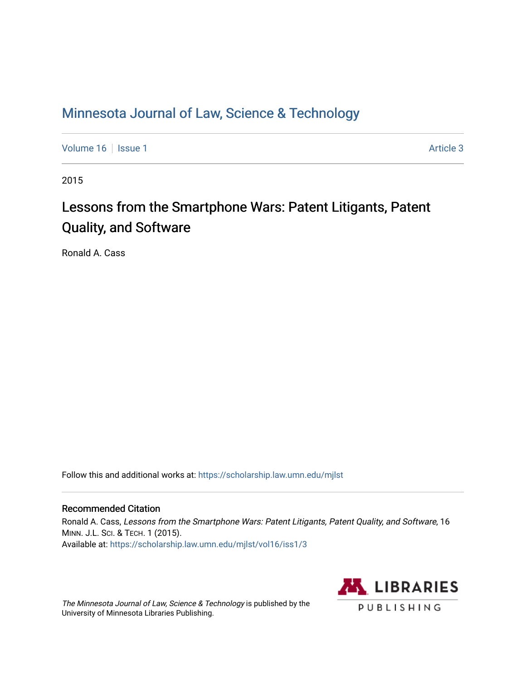## [Minnesota Journal of Law, Science & Technology](https://scholarship.law.umn.edu/mjlst?utm_source=scholarship.law.umn.edu%2Fmjlst%2Fvol16%2Fiss1%2F3&utm_medium=PDF&utm_campaign=PDFCoverPages)

[Volume 16](https://scholarship.law.umn.edu/mjlst/vol16?utm_source=scholarship.law.umn.edu%2Fmjlst%2Fvol16%2Fiss1%2F3&utm_medium=PDF&utm_campaign=PDFCoverPages) | [Issue 1](https://scholarship.law.umn.edu/mjlst/vol16/iss1?utm_source=scholarship.law.umn.edu%2Fmjlst%2Fvol16%2Fiss1%2F3&utm_medium=PDF&utm_campaign=PDFCoverPages) Article 3

2015

# Lessons from the Smartphone Wars: Patent Litigants, Patent Quality, and Software

Ronald A. Cass

Follow this and additional works at: [https://scholarship.law.umn.edu/mjlst](https://scholarship.law.umn.edu/mjlst?utm_source=scholarship.law.umn.edu%2Fmjlst%2Fvol16%2Fiss1%2F3&utm_medium=PDF&utm_campaign=PDFCoverPages) 

#### Recommended Citation

Ronald A. Cass, Lessons from the Smartphone Wars: Patent Litigants, Patent Quality, and Software, 16 MINN. J.L. SCI. & TECH. 1 (2015). Available at: [https://scholarship.law.umn.edu/mjlst/vol16/iss1/3](https://scholarship.law.umn.edu/mjlst/vol16/iss1/3?utm_source=scholarship.law.umn.edu%2Fmjlst%2Fvol16%2Fiss1%2F3&utm_medium=PDF&utm_campaign=PDFCoverPages) 

The Minnesota Journal of Law, Science & Technology is published by the University of Minnesota Libraries Publishing.

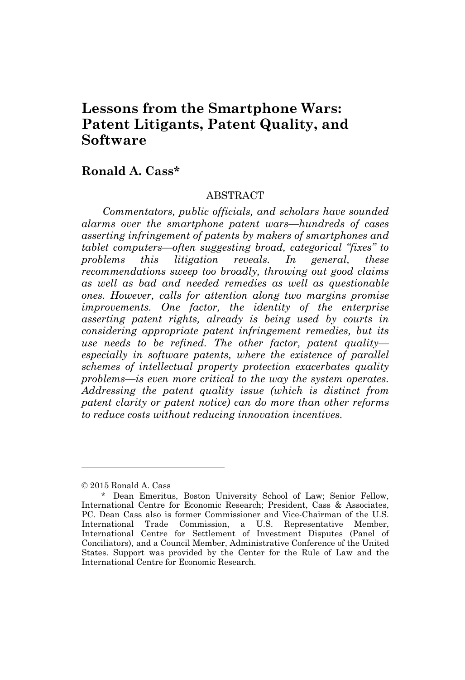### **Lessons from the Smartphone Wars: Patent Litigants, Patent Quality, and Software**

#### **Ronald A. Cass\***

#### **ABSTRACT**

*Commentators, public officials, and scholars have sounded alarms over the smartphone patent wars—hundreds of cases asserting infringement of patents by makers of smartphones and tablet computers—often suggesting broad, categorical "fixes" to problems this litigation reveals. In general, these recommendations sweep too broadly, throwing out good claims as well as bad and needed remedies as well as questionable ones. However, calls for attention along two margins promise improvements. One factor, the identity of the enterprise asserting patent rights, already is being used by courts in considering appropriate patent infringement remedies, but its use needs to be refined. The other factor, patent quality especially in software patents, where the existence of parallel schemes of intellectual property protection exacerbates quality problems—is even more critical to the way the system operates. Addressing the patent quality issue (which is distinct from patent clarity or patent notice) can do more than other reforms to reduce costs without reducing innovation incentives.*

<sup>©</sup> 2015 Ronald A. Cass

<sup>\*</sup> Dean Emeritus, Boston University School of Law; Senior Fellow, International Centre for Economic Research; President, Cass & Associates, PC. Dean Cass also is former Commissioner and Vice-Chairman of the U.S. International Trade Commission, a U.S. Representative Member, International Centre for Settlement of Investment Disputes (Panel of Conciliators), and a Council Member, Administrative Conference of the United States. Support was provided by the Center for the Rule of Law and the International Centre for Economic Research.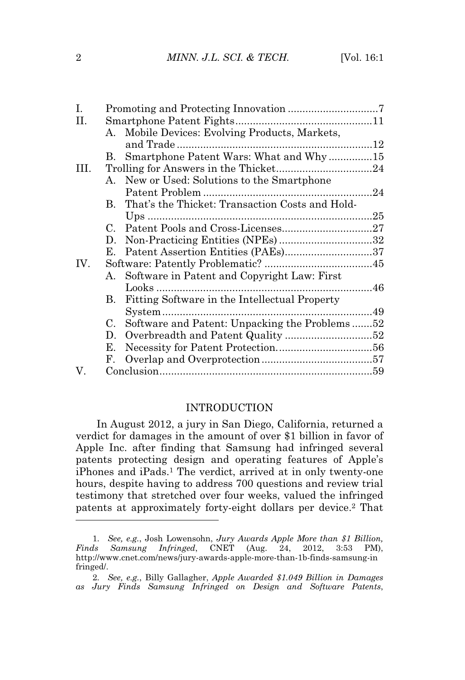| Ι.   |    |                                                    |  |  |
|------|----|----------------------------------------------------|--|--|
| Η.   |    |                                                    |  |  |
|      |    | A. Mobile Devices: Evolving Products, Markets,     |  |  |
|      |    |                                                    |  |  |
|      |    | B. Smartphone Patent Wars: What and Why15          |  |  |
| III. |    |                                                    |  |  |
|      |    | A. New or Used: Solutions to the Smartphone        |  |  |
|      |    |                                                    |  |  |
|      |    | B. That's the Thicket: Transaction Costs and Hold- |  |  |
|      |    |                                                    |  |  |
|      |    |                                                    |  |  |
|      |    |                                                    |  |  |
|      | Е. |                                                    |  |  |
| IV.  |    |                                                    |  |  |
|      |    | A. Software in Patent and Copyright Law: First     |  |  |
|      |    |                                                    |  |  |
|      | В. | Fitting Software in the Intellectual Property      |  |  |
|      |    |                                                    |  |  |
|      |    | C. Software and Patent: Unpacking the Problems52   |  |  |
|      | D. | Overbreadth and Patent Quality 52                  |  |  |
|      | Е. |                                                    |  |  |
|      | F. |                                                    |  |  |
| V.   |    |                                                    |  |  |
|      |    |                                                    |  |  |

#### INTRODUCTION

In August 2012, a jury in San Diego, California, returned a verdict for damages in the amount of over \$1 billion in favor of Apple Inc. after finding that Samsung had infringed several patents protecting design and operating features of Apple's iPhones and iPads.<sup>1</sup> The verdict, arrived at in only twenty-one hours, despite having to address 700 questions and review trial testimony that stretched over four weeks, valued the infringed patents at approximately forty-eight dollars per device.<sup>2</sup> That

<sup>1</sup>*. See, e.g.*, Josh Lowensohn, *Jury Awards Apple More than \$1 Billion, Finds Samsung Infringed*, CNET (Aug. 24, 2012, 3:53 PM), http://www.cnet.com/news/jury-awards-apple-more-than-1b-finds-samsung-in fringed/.

<sup>2</sup>*. See, e.g.*, Billy Gallagher, *Apple Awarded \$1.049 Billion in Damages as Jury Finds Samsung Infringed on Design and Software Patents*,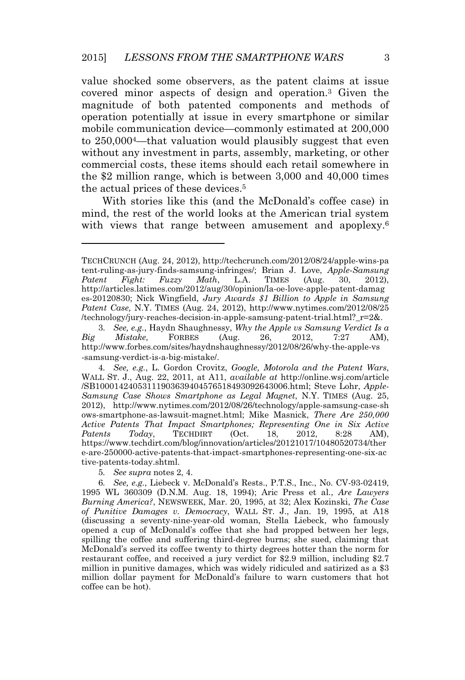value shocked some observers, as the patent claims at issue covered minor aspects of design and operation.<sup>3</sup> Given the magnitude of both patented components and methods of operation potentially at issue in every smartphone or similar mobile communication device—commonly estimated at 200,000 to 250,0004—that valuation would plausibly suggest that even without any investment in parts, assembly, marketing, or other commercial costs, these items should each retail somewhere in the \$2 million range, which is between 3,000 and 40,000 times the actual prices of these devices.<sup>5</sup>

With stories like this (and the McDonald's coffee case) in mind, the rest of the world looks at the American trial system with views that range between amusement and apoplexy.<sup>6</sup>

5*. See supra* notes 2, 4.

TECHCRUNCH (Aug. 24, 2012), http://techcrunch.com/2012/08/24/apple-wins-pa tent-ruling-as-jury-finds-samsung-infringes/; Brian J. Love, *Apple-Samsung Patent Fight: Fuzzy Math*, L.A. TIMES (Aug. 30, 2012), http://articles.latimes.com/2012/aug/30/opinion/la-oe-love-apple-patent-damag es-20120830; Nick Wingfield, *Jury Awards \$1 Billion to Apple in Samsung Patent Case,* N.Y. TIMES (Aug. 24, 2012), http://www.nytimes.com/2012/08/25 /technology/jury-reaches-decision-in-apple-samsung-patent-trial.html?\_r=2&.

<sup>3</sup>*. See, e.g.*, Haydn Shaughnessy, *Why the Apple vs Samsung Verdict Is a Big Mistake*, FORBES (Aug. 26, 2012, 7:27 AM), http://www.forbes.com/sites/haydnshaughnessy/2012/08/26/why-the-apple-vs -samsung-verdict-is-a-big-mistake/.

<sup>4</sup>*. See, e.g.*, L. Gordon Crovitz, *Google, Motorola and the Patent Wars*, WALL ST. J., Aug. 22, 2011, at A11, *available at* http://online.wsj.com/article /SB10001424053111903639404576518493092643006.html; Steve Lohr, *Apple-Samsung Case Shows Smartphone as Legal Magnet*, N.Y. TIMES (Aug. 25, 2012), http://www.nytimes.com/2012/08/26/technology/apple-samsung-case-sh ows-smartphone-as-lawsuit-magnet.html; Mike Masnick, *There Are 250,000 Active Patents That Impact Smartphones; Representing One in Six Active Patents Today*, TECHDIRT (Oct. 18, 2012, 8:28 AM), https://www.techdirt.com/blog/innovation/articles/20121017/10480520734/ther e-are-250000-active-patents-that-impact-smartphones-representing-one-six-ac tive-patents-today.shtml.

<sup>6</sup>*. See, e.g.*, Liebeck v. McDonald's Rests., P.T.S., Inc., No. CV-93-02419, 1995 WL 360309 (D.N.M. Aug. 18, 1994); Aric Press et al., *Are Lawyers Burning America?*, NEWSWEEK, Mar. 20, 1995, at 32; Alex Kozinski, *The Case of Punitive Damages v. Democracy*, WALL ST. J., Jan. 19, 1995, at A18 (discussing a seventy-nine-year-old woman, Stella Liebeck, who famously opened a cup of McDonald's coffee that she had propped between her legs, spilling the coffee and suffering third-degree burns; she sued, claiming that McDonald's served its coffee twenty to thirty degrees hotter than the norm for restaurant coffee, and received a jury verdict for \$2.9 million, including \$2.7 million in punitive damages, which was widely ridiculed and satirized as a \$3 million dollar payment for McDonald's failure to warn customers that hot coffee can be hot).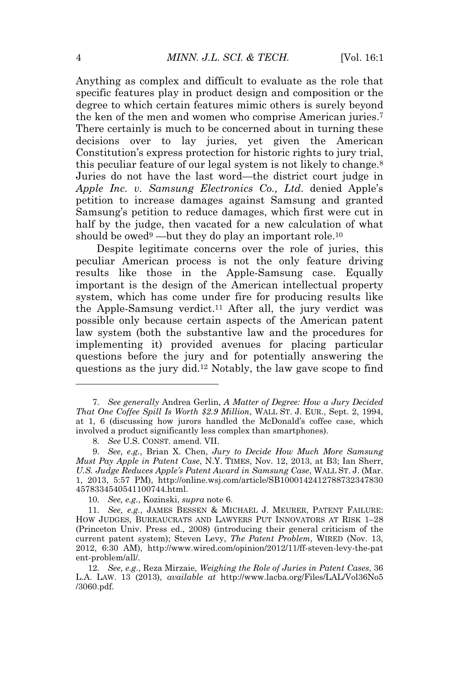Anything as complex and difficult to evaluate as the role that specific features play in product design and composition or the degree to which certain features mimic others is surely beyond the ken of the men and women who comprise American juries.<sup>7</sup> There certainly is much to be concerned about in turning these decisions over to lay juries, yet given the American Constitution's express protection for historic rights to jury trial, this peculiar feature of our legal system is not likely to change.<sup>8</sup> Juries do not have the last word—the district court judge in *Apple Inc. v. Samsung Electronics Co., Ltd.* denied Apple's petition to increase damages against Samsung and granted Samsung's petition to reduce damages, which first were cut in half by the judge, then vacated for a new calculation of what should be owed<sup>9</sup> —but they do play an important role.<sup>10</sup>

Despite legitimate concerns over the role of juries, this peculiar American process is not the only feature driving results like those in the Apple-Samsung case. Equally important is the design of the American intellectual property system, which has come under fire for producing results like the Apple-Samsung verdict.<sup>11</sup> After all, the jury verdict was possible only because certain aspects of the American patent law system (both the substantive law and the procedures for implementing it) provided avenues for placing particular questions before the jury and for potentially answering the questions as the jury did.<sup>12</sup> Notably, the law gave scope to find

<sup>7</sup>*. See generally* Andrea Gerlin, *A Matter of Degree: How a Jury Decided That One Coffee Spill Is Worth \$2.9 Million*, WALL ST. J. EUR., Sept. 2, 1994, at 1, 6 (discussing how jurors handled the McDonald's coffee case, which involved a product significantly less complex than smartphones).

<sup>8</sup>*. See* U.S. CONST. amend. VII.

<sup>9</sup>*. See, e.g.*, Brian X. Chen, *Jury to Decide How Much More Samsung Must Pay Apple in Patent Case*, N.Y. TIMES, Nov. 12, 2013, at B3; Ian Sherr, *U.S. Judge Reduces Apple's Patent Award in Samsung Case*, WALL ST. J. (Mar. 1, 2013, 5:57 PM), http://online.wsj.com/article/SB1000142412788732347830 4578334540541100744.html.

<sup>10</sup>*. See, e.g.*, Kozinski, *supra* note 6.

<sup>11</sup>*. See, e.g.*, JAMES BESSEN & MICHAEL J. MEURER, PATENT FAILURE: HOW JUDGES, BUREAUCRATS AND LAWYERS PUT INNOVATORS AT RISK 1–28 (Princeton Univ. Press ed., 2008) (introducing their general criticism of the current patent system); Steven Levy, *The Patent Problem*, WIRED (Nov. 13, 2012, 6:30 AM), http://www.wired.com/opinion/2012/11/ff-steven-levy-the-pat ent-problem/all/.

<sup>12</sup>*. See, e.g.*, Reza Mirzaie, *Weighing the Role of Juries in Patent Cases*, 36 L.A. LAW. 13 (2013), *available at* http://www.lacba.org/Files/LAL/Vol36No5 /3060.pdf.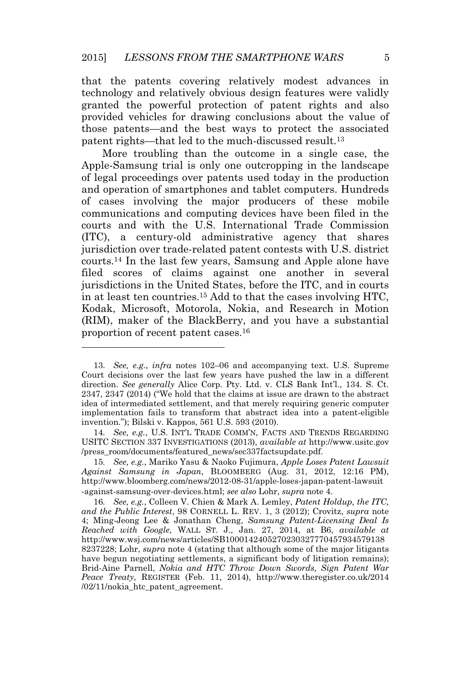that the patents covering relatively modest advances in technology and relatively obvious design features were validly granted the powerful protection of patent rights and also provided vehicles for drawing conclusions about the value of those patents—and the best ways to protect the associated patent rights—that led to the much-discussed result.<sup>13</sup>

More troubling than the outcome in a single case, the Apple-Samsung trial is only one outcropping in the landscape of legal proceedings over patents used today in the production and operation of smartphones and tablet computers. Hundreds of cases involving the major producers of these mobile communications and computing devices have been filed in the courts and with the U.S. International Trade Commission (ITC), a century-old administrative agency that shares jurisdiction over trade-related patent contests with U.S. district courts.<sup>14</sup> In the last few years, Samsung and Apple alone have filed scores of claims against one another in several jurisdictions in the United States, before the ITC, and in courts in at least ten countries.<sup>15</sup> Add to that the cases involving HTC, Kodak, Microsoft, Motorola, Nokia, and Research in Motion (RIM), maker of the BlackBerry, and you have a substantial proportion of recent patent cases.<sup>16</sup>

14*. See, e.g.*, U.S. INT'<sup>L</sup> TRADE COMM'N, FACTS AND TRENDS REGARDING USITC SECTION 337 INVESTIGATIONS (2013), *available at* http://www.usitc.gov /press\_room/documents/featured\_news/sec337factsupdate.pdf.

<sup>13</sup>*. See, e.g.*, *infra* notes 102–06 and accompanying text. U.S. Supreme Court decisions over the last few years have pushed the law in a different direction. *See generally* Alice Corp. Pty. Ltd. v. CLS Bank Int'l., 134. S. Ct. 2347, 2347 (2014) ("We hold that the claims at issue are drawn to the abstract idea of intermediated settlement, and that merely requiring generic computer implementation fails to transform that abstract idea into a patent-eligible invention."); Bilski v. Kappos, 561 U.S. 593 (2010).

<sup>15</sup>*. See, e.g.*, Mariko Yasu & Naoko Fujimura, *Apple Loses Patent Lawsuit Against Samsung in Japan*, BLOOMBERG (Aug. 31, 2012, 12:16 PM), http://www.bloomberg.com/news/2012-08-31/apple-loses-japan-patent-lawsuit -against-samsung-over-devices.html; *see also* Lohr, *supra* note 4.

<sup>16</sup>*. See, e.g.*, Colleen V. Chien & Mark A. Lemley, *Patent Holdup, the ITC, and the Public Interest*, 98 CORNELL L. REV. 1, 3 (2012); Crovitz, *supra* note 4; Ming-Jeong Lee & Jonathan Cheng, *Samsung Patent-Licensing Deal Is Reached with Google*, WALL ST. J., Jan. 27, 2014, at B6, *available at* http://www.wsj.com/news/articles/SB1000142405270230327770457934579138 8237228; Lohr, *supra* note 4 (stating that although some of the major litigants have begun negotiating settlements, a significant body of litigation remains); Brid-Aine Parnell, *Nokia and HTC Throw Down Swords, Sign Patent War Peace Treaty*, REGISTER (Feb. 11, 2014), http://www.theregister.co.uk/2014 /02/11/nokia\_htc\_patent\_agreement.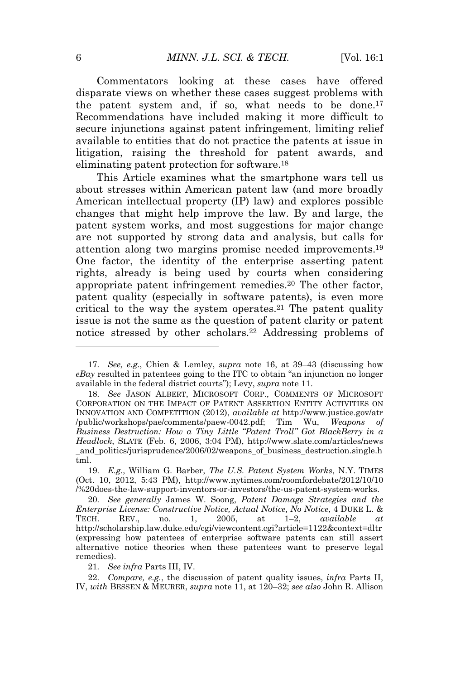Commentators looking at these cases have offered disparate views on whether these cases suggest problems with the patent system and, if so, what needs to be done.<sup>17</sup> Recommendations have included making it more difficult to secure injunctions against patent infringement, limiting relief available to entities that do not practice the patents at issue in litigation, raising the threshold for patent awards, and eliminating patent protection for software.<sup>18</sup>

This Article examines what the smartphone wars tell us about stresses within American patent law (and more broadly American intellectual property (IP) law) and explores possible changes that might help improve the law. By and large, the patent system works, and most suggestions for major change are not supported by strong data and analysis, but calls for attention along two margins promise needed improvements.<sup>19</sup> One factor, the identity of the enterprise asserting patent rights, already is being used by courts when considering appropriate patent infringement remedies.<sup>20</sup> The other factor, patent quality (especially in software patents), is even more critical to the way the system operates.<sup>21</sup> The patent quality issue is not the same as the question of patent clarity or patent notice stressed by other scholars.<sup>22</sup> Addressing problems of

21*. See infra* Parts III, IV.

<sup>17</sup>*. See, e.g.*, Chien & Lemley, *supra* note 16, at 39–43 (discussing how *eBay* resulted in patentees going to the ITC to obtain "an injunction no longer available in the federal district courts"); Levy, *supra* note 11.

<sup>18</sup>*. See* JASON ALBERT, MICROSOFT CORP., COMMENTS OF MICROSOFT CORPORATION ON THE IMPACT OF PATENT ASSERTION ENTITY ACTIVITIES ON INNOVATION AND COMPETITION (2012), *available at* http://www.justice.gov/atr /public/workshops/pae/comments/paew-0042.pdf; Tim Wu, *Weapons of Business Destruction: How a Tiny Little "Patent Troll" Got BlackBerry in a Headlock*, SLATE (Feb. 6, 2006, 3:04 PM), http://www.slate.com/articles/news \_and\_politics/jurisprudence/2006/02/weapons\_of\_business\_destruction.single.h tml.

<sup>19</sup>*. E.g.*, William G. Barber, *The U.S. Patent System Works*, N.Y. TIMES (Oct. 10, 2012, 5:43 PM), http://www.nytimes.com/roomfordebate/2012/10/10 /%20does-the-law-support-inventors-or-investors/the-us-patent-system-works.

<sup>20</sup>*. See generally* James W. Soong, *Patent Damage Strategies and the Enterprise License: Constructive Notice, Actual Notice, No Notice*, 4 DUKE L. & TECH. REV., no. 1, 2005, at 1–2, *available at* http://scholarship.law.duke.edu/cgi/viewcontent.cgi?article=1122&context=dltr (expressing how patentees of enterprise software patents can still assert alternative notice theories when these patentees want to preserve legal remedies).

<sup>22</sup>*. Compare, e.g.*, the discussion of patent quality issues, *infra* Parts II, IV, *with* BESSEN & MEURER, *supra* note 11, at 120–32; *see also* John R. Allison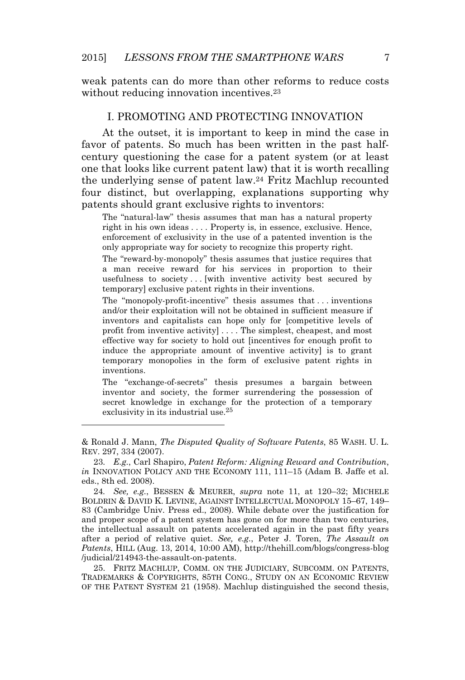weak patents can do more than other reforms to reduce costs without reducing innovation incentives.<sup>23</sup>

#### I. PROMOTING AND PROTECTING INNOVATION

At the outset, it is important to keep in mind the case in favor of patents. So much has been written in the past halfcentury questioning the case for a patent system (or at least one that looks like current patent law) that it is worth recalling the underlying sense of patent law.<sup>24</sup> Fritz Machlup recounted four distinct, but overlapping, explanations supporting why patents should grant exclusive rights to inventors:

The "natural-law" thesis assumes that man has a natural property right in his own ideas .... Property is, in essence, exclusive. Hence, enforcement of exclusivity in the use of a patented invention is the only appropriate way for society to recognize this property right.

The "reward-by-monopoly" thesis assumes that justice requires that a man receive reward for his services in proportion to their usefulness to society ... [with inventive activity best secured by temporary] exclusive patent rights in their inventions.

The "monopoly-profit-incentive" thesis assumes that . . . inventions and/or their exploitation will not be obtained in sufficient measure if inventors and capitalists can hope only for [competitive levels of profit from inventive activity] . . . . The simplest, cheapest, and most effective way for society to hold out [incentives for enough profit to induce the appropriate amount of inventive activity] is to grant temporary monopolies in the form of exclusive patent rights in inventions.

The "exchange-of-secrets" thesis presumes a bargain between inventor and society, the former surrendering the possession of secret knowledge in exchange for the protection of a temporary exclusivity in its industrial use.25

& Ronald J. Mann, *The Disputed Quality of Software Patents*, 85 WASH. U. L. REV. 297, 334 (2007).

23*. E.g.*, Carl Shapiro, *Patent Reform: Aligning Reward and Contribution*, *in* INNOVATION POLICY AND THE ECONOMY 111, 111–15 (Adam B. Jaffe et al. eds., 8th ed. 2008).

24*. See, e.g.*, BESSEN & MEURER, *supra* note 11, at 120–32; MICHELE BOLDRIN & DAVID K. LEVINE, AGAINST INTELLECTUAL MONOPOLY 15–67, 149– 83 (Cambridge Univ. Press ed., 2008). While debate over the justification for and proper scope of a patent system has gone on for more than two centuries, the intellectual assault on patents accelerated again in the past fifty years after a period of relative quiet. *See, e.g.*, Peter J. Toren, *The Assault on Patents*, HILL (Aug. 13, 2014, 10:00 AM), http://thehill.com/blogs/congress-blog /judicial/214943-the-assault-on-patents.

25. FRITZ MACHLUP, COMM. ON THE JUDICIARY, SUBCOMM. ON PATENTS, TRADEMARKS & COPYRIGHTS, 85TH CONG., STUDY ON AN ECONOMIC REVIEW OF THE PATENT SYSTEM 21 (1958). Machlup distinguished the second thesis,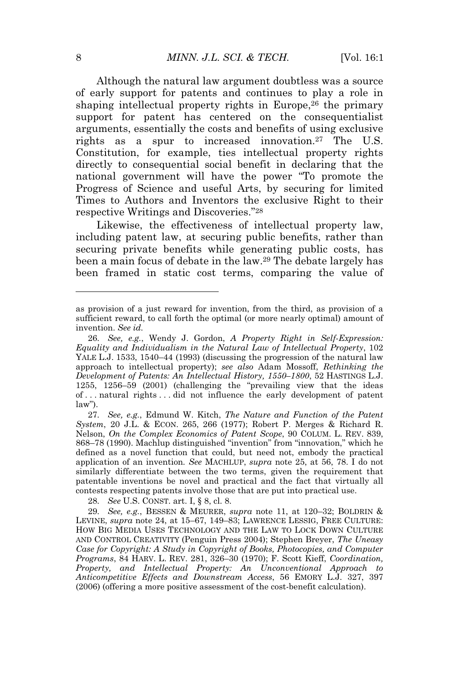Although the natural law argument doubtless was a source of early support for patents and continues to play a role in shaping intellectual property rights in Europe,<sup>26</sup> the primary support for patent has centered on the consequentialist arguments, essentially the costs and benefits of using exclusive rights as a spur to increased innovation.<sup>27</sup> The U.S. Constitution, for example, ties intellectual property rights directly to consequential social benefit in declaring that the national government will have the power "To promote the Progress of Science and useful Arts, by securing for limited Times to Authors and Inventors the exclusive Right to their respective Writings and Discoveries." 28

Likewise, the effectiveness of intellectual property law, including patent law, at securing public benefits, rather than securing private benefits while generating public costs, has been a main focus of debate in the law.<sup>29</sup> The debate largely has been framed in static cost terms, comparing the value of

27*. See, e.g.*, Edmund W. Kitch, *The Nature and Function of the Patent System*, 20 J.L. & ECON. 265, 266 (1977); Robert P. Merges & Richard R. Nelson, *On the Complex Economics of Patent Scope*, 90 COLUM. L. REV. 839, 868–78 (1990). Machlup distinguished "invention" from "innovation," which he defined as a novel function that could, but need not, embody the practical application of an invention*. See* MACHLUP, *supra* note 25, at 56, 78. I do not similarly differentiate between the two terms, given the requirement that patentable inventions be novel and practical and the fact that virtually all contests respecting patents involve those that are put into practical use.

28*. See* U.S. CONST. art. I, § 8, cl. 8.

as provision of a just reward for invention, from the third, as provision of a sufficient reward, to call forth the optimal (or more nearly optimal) amount of invention. *See id.*

<sup>26</sup>*. See, e.g.*, Wendy J. Gordon, *A Property Right in Self-Expression: Equality and Individualism in the Natural Law of Intellectual Property*, 102 YALE L.J. 1533, 1540–44 (1993) (discussing the progression of the natural law approach to intellectual property); *see also* Adam Mossoff, *Rethinking the Development of Patents: An Intellectual History, 1550–1800*, 52 HASTINGS L.J. 1255, 1256–59 (2001) (challenging the "prevailing view that the ideas of . . . natural rights . . . did not influence the early development of patent law").

<sup>29</sup>*. See, e.g.*, BESSEN & MEURER, *supra* note 11, at 120–32; BOLDRIN & LEVINE, *supra* note 24, at 15–67, 149–83; LAWRENCE LESSIG, FREE CULTURE: HOW BIG MEDIA USES TECHNOLOGY AND THE LAW TO LOCK DOWN CULTURE AND CONTROL CREATIVITY (Penguin Press 2004); Stephen Breyer, *The Uneasy Case for Copyright: A Study in Copyright of Books, Photocopies, and Computer Programs*, 84 HARV. L. REV. 281, 326–30 (1970); F. Scott Kieff, *Coordination, Property, and Intellectual Property: An Unconventional Approach to Anticompetitive Effects and Downstream Access*, 56 EMORY L.J. 327, 397 (2006) (offering a more positive assessment of the cost-benefit calculation).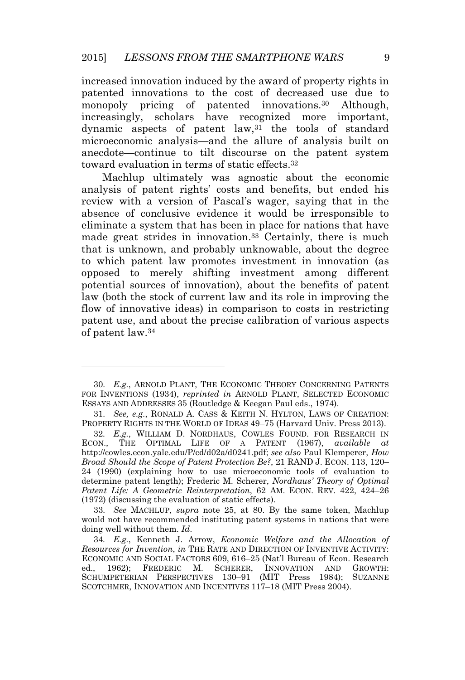increased innovation induced by the award of property rights in patented innovations to the cost of decreased use due to monopoly pricing of patented innovations.<sup>30</sup> Although, increasingly, scholars have recognized more important, dynamic aspects of patent  $law$ ,  $31$  the tools of standard microeconomic analysis—and the allure of analysis built on anecdote—continue to tilt discourse on the patent system toward evaluation in terms of static effects.<sup>32</sup>

Machlup ultimately was agnostic about the economic analysis of patent rights' costs and benefits, but ended his review with a version of Pascal's wager, saying that in the absence of conclusive evidence it would be irresponsible to eliminate a system that has been in place for nations that have made great strides in innovation.<sup>33</sup> Certainly, there is much that is unknown, and probably unknowable, about the degree to which patent law promotes investment in innovation (as opposed to merely shifting investment among different potential sources of innovation), about the benefits of patent law (both the stock of current law and its role in improving the flow of innovative ideas) in comparison to costs in restricting patent use, and about the precise calibration of various aspects of patent law.<sup>34</sup>

<sup>30</sup>*. E.g.*, ARNOLD PLANT, THE ECONOMIC THEORY CONCERNING PATENTS FOR INVENTIONS (1934), *reprinted in* ARNOLD PLANT, SELECTED ECONOMIC ESSAYS AND ADDRESSES 35 (Routledge & Keegan Paul eds., 1974).

<sup>31</sup>*. See, e.g.*, RONALD A. CASS & KEITH N. HYLTON, LAWS OF CREATION: PROPERTY RIGHTS IN THE WORLD OF IDEAS 49–75 (Harvard Univ. Press 2013).

<sup>32</sup>*. E.g.*, WILLIAM D. NORDHAUS, COWLES FOUND. FOR RESEARCH IN ECON., THE OPTIMAL LIFE OF A PATENT (1967), *available at* http://cowles.econ.yale.edu/P/cd/d02a/d0241.pdf; *see also* Paul Klemperer, *How Broad Should the Scope of Patent Protection Be?*, 21 RAND J. ECON. 113, 120– 24 (1990) (explaining how to use microeconomic tools of evaluation to determine patent length); Frederic M. Scherer, *Nordhaus' Theory of Optimal Patent Life: A Geometric Reinterpretation*, 62 AM. ECON. REV. 422, 424–26 (1972) (discussing the evaluation of static effects).

<sup>33</sup>*. See* MACHLUP, *supra* note 25, at 80. By the same token, Machlup would not have recommended instituting patent systems in nations that were doing well without them. *Id*.

<sup>34</sup>*. E.g.*, Kenneth J. Arrow, *Economic Welfare and the Allocation of Resources for Invention*, *in* THE RATE AND DIRECTION OF INVENTIVE ACTIVITY: ECONOMIC AND SOCIAL FACTORS 609, 616–25 (Nat'l Bureau of Econ. Research ed., 1962); FREDERIC M. SCHERER, INNOVATION AND GROWTH: SCHUMPETERIAN PERSPECTIVES 130–91 (MIT Press 1984); SUZANNE SCOTCHMER, INNOVATION AND INCENTIVES 117–18 (MIT Press 2004).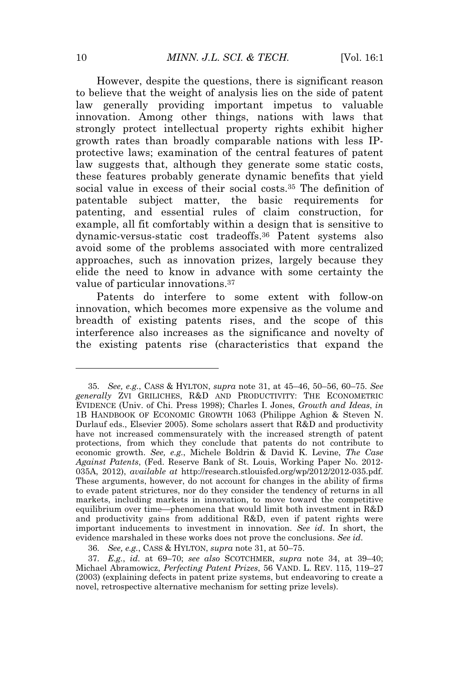However, despite the questions, there is significant reason to believe that the weight of analysis lies on the side of patent law generally providing important impetus to valuable innovation. Among other things, nations with laws that strongly protect intellectual property rights exhibit higher growth rates than broadly comparable nations with less IPprotective laws; examination of the central features of patent law suggests that, although they generate some static costs, these features probably generate dynamic benefits that yield social value in excess of their social costs.<sup>35</sup> The definition of patentable subject matter, the basic requirements for patenting, and essential rules of claim construction, for example, all fit comfortably within a design that is sensitive to dynamic-versus-static cost tradeoffs.<sup>36</sup> Patent systems also avoid some of the problems associated with more centralized approaches, such as innovation prizes, largely because they elide the need to know in advance with some certainty the value of particular innovations.<sup>37</sup>

Patents do interfere to some extent with follow-on innovation, which becomes more expensive as the volume and breadth of existing patents rises, and the scope of this interference also increases as the significance and novelty of the existing patents rise (characteristics that expand the

<sup>35</sup>*. See, e.g.*, CASS & HYLTON, *supra* note 31, at 45–46, 50–56, 60–75. *See generally* ZVI GRILICHES, R&D AND PRODUCTIVITY: THE ECONOMETRIC EVIDENCE (Univ. of Chi. Press 1998); Charles I. Jones, *Growth and Ideas*, *in* 1B HANDBOOK OF ECONOMIC GROWTH 1063 (Philippe Aghion & Steven N. Durlauf eds., Elsevier 2005). Some scholars assert that R&D and productivity have not increased commensurately with the increased strength of patent protections, from which they conclude that patents do not contribute to economic growth. *See, e.g.*, Michele Boldrin & David K. Levine, *The Case Against Patents*, (Fed. Reserve Bank of St. Louis, Working Paper No. 2012- 035A, 2012), *available at* http://research.stlouisfed.org/wp/2012/2012-035.pdf. These arguments, however, do not account for changes in the ability of firms to evade patent strictures, nor do they consider the tendency of returns in all markets, including markets in innovation, to move toward the competitive equilibrium over time—phenomena that would limit both investment in R&D and productivity gains from additional R&D, even if patent rights were important inducements to investment in innovation. *See id*. In short, the evidence marshaled in these works does not prove the conclusions. *See id*.

<sup>36</sup>*. See, e.g.*, CASS & HYLTON, *supra* note 31, at 50–75.

<sup>37</sup>*. E.g.*, *id.* at 69–70; *see also* SCOTCHMER, *supra* note 34, at 39–40; Michael Abramowicz, *Perfecting Patent Prizes*, 56 VAND. L. REV. 115, 119–27 (2003) (explaining defects in patent prize systems, but endeavoring to create a novel, retrospective alternative mechanism for setting prize levels).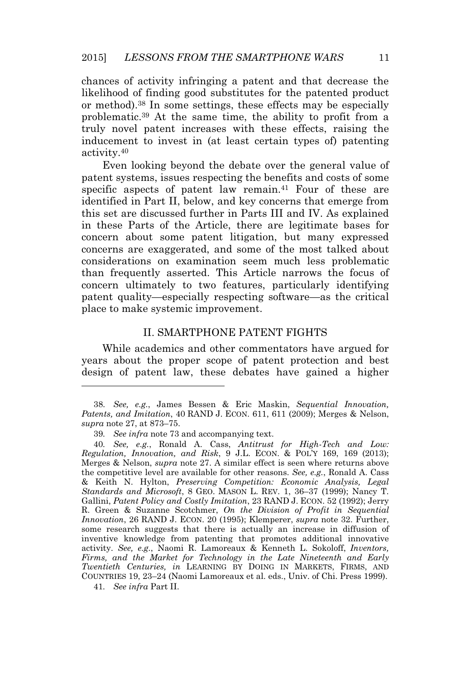chances of activity infringing a patent and that decrease the likelihood of finding good substitutes for the patented product or method).<sup>38</sup> In some settings, these effects may be especially problematic.<sup>39</sup> At the same time, the ability to profit from a truly novel patent increases with these effects, raising the inducement to invest in (at least certain types of) patenting activity.<sup>40</sup>

Even looking beyond the debate over the general value of patent systems, issues respecting the benefits and costs of some specific aspects of patent law remain.<sup>41</sup> Four of these are identified in Part II, below, and key concerns that emerge from this set are discussed further in Parts III and IV. As explained in these Parts of the Article, there are legitimate bases for concern about some patent litigation, but many expressed concerns are exaggerated, and some of the most talked about considerations on examination seem much less problematic than frequently asserted. This Article narrows the focus of concern ultimately to two features, particularly identifying patent quality—especially respecting software—as the critical place to make systemic improvement.

#### II. SMARTPHONE PATENT FIGHTS

While academics and other commentators have argued for years about the proper scope of patent protection and best design of patent law, these debates have gained a higher

<sup>38</sup>*. See, e.g.*, James Bessen & Eric Maskin, *Sequential Innovation, Patents, and Imitation*, 40 RAND J. ECON. 611, 611 (2009); Merges & Nelson, *supra* note 27, at 873–75.

<sup>39</sup>*. See infra* note 73 and accompanying text.

<sup>40</sup>*. See, e.g.*, Ronald A. Cass, *Antitrust for High-Tech and Low: Regulation, Innovation, and Risk*, 9 J.L. ECON. & POL'<sup>Y</sup> 169, 169 (2013); Merges & Nelson, *supra* note 27. A similar effect is seen where returns above the competitive level are available for other reasons. *See, e.g.*, Ronald A. Cass & Keith N. Hylton, *Preserving Competition: Economic Analysis, Legal Standards and Microsoft*, 8 GEO. MASON L. REV. 1, 36–37 (1999); Nancy T. Gallini, *Patent Policy and Costly Imitation*, 23 RAND J. ECON. 52 (1992); Jerry R. Green & Suzanne Scotchmer, *On the Division of Profit in Sequential Innovation*, 26 RAND J. ECON. 20 (1995); Klemperer, *supra* note 32. Further, some research suggests that there is actually an increase in diffusion of inventive knowledge from patenting that promotes additional innovative activity. *See, e.g.*, Naomi R. Lamoreaux & Kenneth L. Sokoloff, *Inventors, Firms, and the Market for Technology in the Late Nineteenth and Early Twentieth Centuries, in* LEARNING BY DOING IN MARKETS, FIRMS, AND COUNTRIES 19, 23–24 (Naomi Lamoreaux et al. eds., Univ. of Chi. Press 1999).

<sup>41</sup>*. See infra* Part II.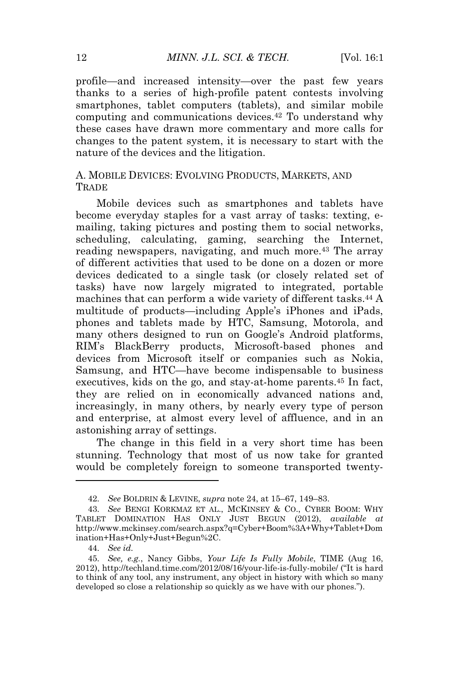profile—and increased intensity—over the past few years thanks to a series of high-profile patent contests involving smartphones, tablet computers (tablets), and similar mobile computing and communications devices.<sup>42</sup> To understand why these cases have drawn more commentary and more calls for changes to the patent system, it is necessary to start with the nature of the devices and the litigation.

#### A. MOBILE DEVICES: EVOLVING PRODUCTS, MARKETS, AND **TRADE**

Mobile devices such as smartphones and tablets have become everyday staples for a vast array of tasks: texting, emailing, taking pictures and posting them to social networks, scheduling, calculating, gaming, searching the Internet, reading newspapers, navigating, and much more.<sup>43</sup> The array of different activities that used to be done on a dozen or more devices dedicated to a single task (or closely related set of tasks) have now largely migrated to integrated, portable machines that can perform a wide variety of different tasks.<sup>44</sup> A multitude of products—including Apple's iPhones and iPads, phones and tablets made by HTC, Samsung, Motorola, and many others designed to run on Google's Android platforms, RIM's BlackBerry products, Microsoft-based phones and devices from Microsoft itself or companies such as Nokia, Samsung, and HTC—have become indispensable to business executives, kids on the go, and stay-at-home parents.<sup>45</sup> In fact, they are relied on in economically advanced nations and, increasingly, in many others, by nearly every type of person and enterprise, at almost every level of affluence, and in an astonishing array of settings.

The change in this field in a very short time has been stunning. Technology that most of us now take for granted would be completely foreign to someone transported twenty-

<sup>42</sup>*. See* BOLDRIN & LEVINE, *supra* note 24, at 15–67, 149–83.

<sup>43</sup>*. See* BENGI KORKMAZ ET AL., MCKINSEY & CO., CYBER BOOM: WHY TABLET DOMINATION HAS ONLY JUST BEGUN (2012), *available at* http://www.mckinsey.com/search.aspx?q=Cyber+Boom%3A+Why+Tablet+Dom ination+Has+Only+Just+Begun%2C.

<sup>44</sup>*. See id.*

<sup>45</sup>*. See, e.g.*, Nancy Gibbs, *Your Life Is Fully Mobile*, TIME (Aug 16, 2012), http://techland.time.com/2012/08/16/your-life-is-fully-mobile/ ("It is hard to think of any tool, any instrument, any object in history with which so many developed so close a relationship so quickly as we have with our phones.").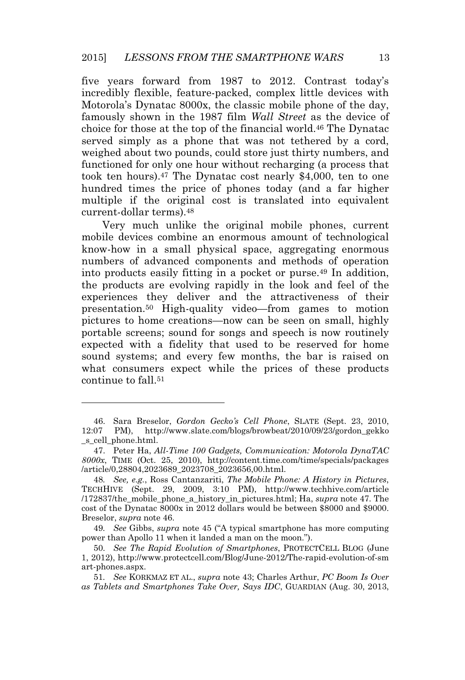five years forward from 1987 to 2012. Contrast today's incredibly flexible, feature-packed, complex little devices with Motorola's Dynatac 8000x, the classic mobile phone of the day, famously shown in the 1987 film *Wall Street* as the device of choice for those at the top of the financial world.<sup>46</sup> The Dynatac served simply as a phone that was not tethered by a cord, weighed about two pounds, could store just thirty numbers, and functioned for only one hour without recharging (a process that took ten hours).<sup>47</sup> The Dynatac cost nearly \$4,000, ten to one hundred times the price of phones today (and a far higher multiple if the original cost is translated into equivalent current-dollar terms).<sup>48</sup>

Very much unlike the original mobile phones, current mobile devices combine an enormous amount of technological know-how in a small physical space, aggregating enormous numbers of advanced components and methods of operation into products easily fitting in a pocket or purse.<sup>49</sup> In addition, the products are evolving rapidly in the look and feel of the experiences they deliver and the attractiveness of their presentation.<sup>50</sup> High-quality video—from games to motion pictures to home creations—now can be seen on small, highly portable screens; sound for songs and speech is now routinely expected with a fidelity that used to be reserved for home sound systems; and every few months, the bar is raised on what consumers expect while the prices of these products continue to fall.<sup>51</sup>

<sup>46.</sup> Sara Breselor, *Gordon Gecko's Cell Phone*, SLATE (Sept. 23, 2010, 12:07 PM), http://www.slate.com/blogs/browbeat/2010/09/23/gordon\_gekko \_s\_cell\_phone.html.

<sup>47.</sup> Peter Ha, *All-Time 100 Gadgets, Communication: Motorola DynaTAC 8000x*, TIME (Oct. 25, 2010), http://content.time.com/time/specials/packages /article/0,28804,2023689\_2023708\_2023656,00.html.

<sup>48</sup>*. See, e.g.*, Ross Cantanzariti, *The Mobile Phone: A History in Pictures*, TECHHIVE (Sept. 29, 2009, 3:10 PM), http://www.techhive.com/article /172837/the\_mobile\_phone\_a\_history\_in\_pictures.html; Ha, *supra* note 47*.* The cost of the Dynatac 8000x in 2012 dollars would be between \$8000 and \$9000. Breselor, *supra* note 46.

<sup>49</sup>*. See* Gibbs, *supra* note 45 ("A typical smartphone has more computing power than Apollo 11 when it landed a man on the moon.").

<sup>50</sup>*. See The Rapid Evolution of Smartphones*, PROTECTCELL BLOG (June 1, 2012), http://www.protectcell.com/Blog/June-2012/The-rapid-evolution-of-sm art-phones.aspx.

<sup>51</sup>*. See* KORKMAZ ET AL., *supra* note 43; Charles Arthur, *PC Boom Is Over as Tablets and Smartphones Take Over, Says IDC*, GUARDIAN (Aug. 30, 2013,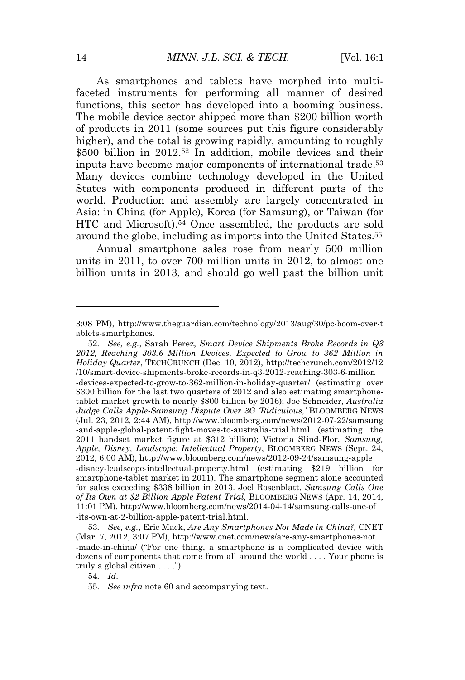As smartphones and tablets have morphed into multifaceted instruments for performing all manner of desired functions, this sector has developed into a booming business. The mobile device sector shipped more than \$200 billion worth of products in 2011 (some sources put this figure considerably higher), and the total is growing rapidly, amounting to roughly \$500 billion in 2012.<sup>52</sup> In addition, mobile devices and their inputs have become major components of international trade.<sup>53</sup> Many devices combine technology developed in the United States with components produced in different parts of the world. Production and assembly are largely concentrated in Asia: in China (for Apple), Korea (for Samsung), or Taiwan (for HTC and Microsoft).<sup>54</sup> Once assembled, the products are sold around the globe, including as imports into the United States.<sup>55</sup>

Annual smartphone sales rose from nearly 500 million units in 2011, to over 700 million units in 2012, to almost one billion units in 2013, and should go well past the billion unit

52*. See, e.g.*, Sarah Perez, *Smart Device Shipments Broke Records in Q3 2012, Reaching 303.6 Million Devices, Expected to Grow to 362 Million in Holiday Quarter*, TECHCRUNCH (Dec. 10, 2012), http://techcrunch.com/2012/12 /10/smart-device-shipments-broke-records-in-q3-2012-reaching-303-6-million -devices-expected-to-grow-to-362-million-in-holiday-quarter/ (estimating over \$300 billion for the last two quarters of 2012 and also estimating smartphonetablet market growth to nearly \$800 billion by 2016); Joe Schneider, *Australia Judge Calls Apple-Samsung Dispute Over 3G 'Ridiculous,'* BLOOMBERG NEWS (Jul. 23, 2012, 2:44 AM), http://www.bloomberg.com/news/2012-07-22/samsung -and-apple-global-patent-fight-moves-to-australia-trial.html (estimating the 2011 handset market figure at \$312 billion); Victoria Slind-Flor, *Samsung, Apple, Disney, Leadscope: Intellectual Property*, BLOOMBERG NEWS (Sept. 24, 2012, 6:00 AM), http://www.bloomberg.com/news/2012-09-24/samsung-apple -disney-leadscope-intellectual-property.html (estimating \$219 billion for smartphone-tablet market in 2011). The smartphone segment alone accounted for sales exceeding \$338 billion in 2013. Joel Rosenblatt, *Samsung Calls One of Its Own at \$2 Billion Apple Patent Trial*, BLOOMBERG NEWS (Apr. 14, 2014, 11:01 PM), http://www.bloomberg.com/news/2014-04-14/samsung-calls-one-of -its-own-at-2-billion-apple-patent-trial.html.

53*. See, e.g.*, Eric Mack, *Are Any Smartphones Not Made in China?,* CNET (Mar. 7, 2012, 3:07 PM), http://www.cnet.com/news/are-any-smartphones-not -made-in-china/ ("For one thing, a smartphone is a complicated device with dozens of components that come from all around the world . . . . Your phone is truly a global citizen . . . .").

<sup>3:08</sup> PM), http://www.theguardian.com/technology/2013/aug/30/pc-boom-over-t ablets-smartphones.

<sup>54</sup>*. Id.*

<sup>55</sup>*. See infra* note 60 and accompanying text.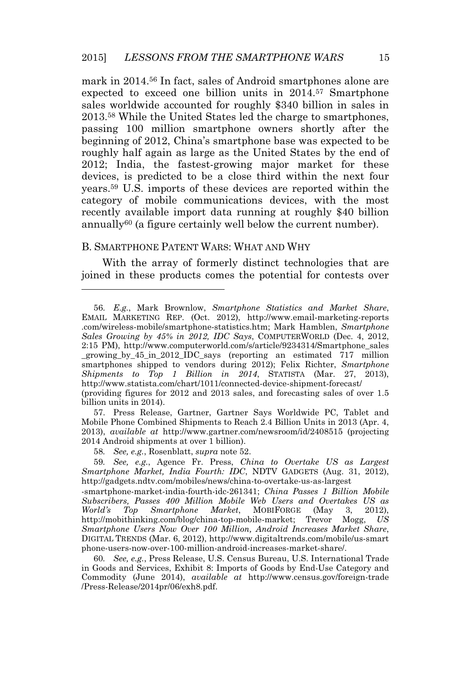mark in 2014.<sup>56</sup> In fact, sales of Android smartphones alone are expected to exceed one billion units in 2014.<sup>57</sup> Smartphone sales worldwide accounted for roughly \$340 billion in sales in 2013.<sup>58</sup> While the United States led the charge to smartphones, passing 100 million smartphone owners shortly after the beginning of 2012, China's smartphone base was expected to be roughly half again as large as the United States by the end of 2012; India, the fastest-growing major market for these devices, is predicted to be a close third within the next four years.<sup>59</sup> U.S. imports of these devices are reported within the category of mobile communications devices, with the most recently available import data running at roughly \$40 billion annually<sup>60</sup> (a figure certainly well below the current number).

#### B. SMARTPHONE PATENT WARS: WHAT AND WHY

With the array of formerly distinct technologies that are joined in these products comes the potential for contests over

57. Press Release, Gartner, Gartner Says Worldwide PC, Tablet and Mobile Phone Combined Shipments to Reach 2.4 Billion Units in 2013 (Apr. 4, 2013), *available at* http://www.gartner.com/newsroom/id/2408515 (projecting 2014 Android shipments at over 1 billion).

58*. See, e.g.*, Rosenblatt, *supra* note 52.

59*. See, e.g.*, Agence Fr. Press, *China to Overtake US as Largest Smartphone Market, India Fourth: IDC*, NDTV GADGETS (Aug. 31, 2012), http://gadgets.ndtv.com/mobiles/news/china-to-overtake-us-as-largest

-smartphone-market-india-fourth-idc-261341; *China Passes 1 Billion Mobile Subscribers, Passes 400 Million Mobile Web Users and Overtakes US as World's Top Smartphone Market*, MOBIFORGE (May 3, 2012), http://mobithinking.com/blog/china-top-mobile-market; Trevor Mogg, *US Smartphone Users Now Over 100 Million, Android Increases Market Share*, DIGITAL TRENDS (Mar. 6, 2012), http://www.digitaltrends.com/mobile/us-smart phone-users-now-over-100-million-android-increases-market-share/.

60*. See, e.g.*, Press Release, U.S. Census Bureau, U.S. International Trade in Goods and Services, Exhibit 8: Imports of Goods by End-Use Category and Commodity (June 2014), *available at* http://www.census.gov/foreign-trade /Press-Release/2014pr/06/exh8.pdf.

<sup>56</sup>*. E.g.*, Mark Brownlow, *Smartphone Statistics and Market Share*, EMAIL MARKETING REP. (Oct. 2012), http://www.email-marketing-reports .com/wireless-mobile/smartphone-statistics.htm; Mark Hamblen, *Smartphone Sales Growing by 45% in 2012, IDC Says*, COMPUTERWORLD (Dec. 4, 2012, 2:15 PM), http://www.computerworld.com/s/article/9234314/Smartphone\_sales \_growing\_by\_45\_in\_2012\_IDC\_says (reporting an estimated 717 million smartphones shipped to vendors during 2012); Felix Richter, *Smartphone Shipments to Top 1 Billion in 2014*, STATISTA (Mar. 27, 2013), http://www.statista.com/chart/1011/connected-device-shipment-forecast/ (providing figures for 2012 and 2013 sales, and forecasting sales of over 1.5 billion units in 2014).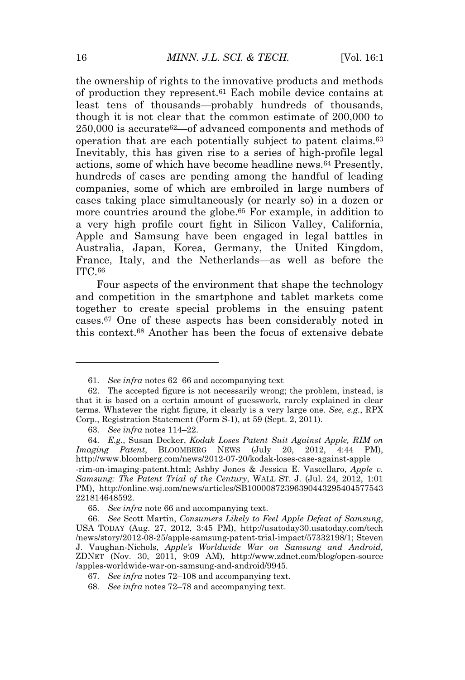the ownership of rights to the innovative products and methods of production they represent.<sup>61</sup> Each mobile device contains at least tens of thousands—probably hundreds of thousands, though it is not clear that the common estimate of 200,000 to  $250,000$  is accurate<sup>62</sup>—of advanced components and methods of operation that are each potentially subject to patent claims.<sup>63</sup> Inevitably, this has given rise to a series of high-profile legal actions, some of which have become headline news.<sup>64</sup> Presently, hundreds of cases are pending among the handful of leading companies, some of which are embroiled in large numbers of cases taking place simultaneously (or nearly so) in a dozen or more countries around the globe.<sup>65</sup> For example, in addition to a very high profile court fight in Silicon Valley, California, Apple and Samsung have been engaged in legal battles in Australia, Japan, Korea, Germany, the United Kingdom, France, Italy, and the Netherlands—as well as before the ITC.<sup>66</sup>

Four aspects of the environment that shape the technology and competition in the smartphone and tablet markets come together to create special problems in the ensuing patent cases.<sup>67</sup> One of these aspects has been considerably noted in this context.<sup>68</sup> Another has been the focus of extensive debate

<sup>61</sup>*. See infra* notes 62–66 and accompanying text

<sup>62.</sup> The accepted figure is not necessarily wrong; the problem, instead, is that it is based on a certain amount of guesswork, rarely explained in clear terms. Whatever the right figure, it clearly is a very large one. *See, e.g.*, RPX Corp., Registration Statement (Form S-1), at 59 (Sept. 2, 2011).

<sup>63</sup>*. See infra* notes 114–22.

<sup>64</sup>*. E.g.*, Susan Decker, *Kodak Loses Patent Suit Against Apple, RIM on Imaging Patent*, BLOOMBERG NEWS (July 20, 2012, 4:44 PM), http://www.bloomberg.com/news/2012-07-20/kodak-loses-case-against-apple -rim-on-imaging-patent.html; Ashby Jones & Jessica E. Vascellaro, *Apple v. Samsung: The Patent Trial of the Century*, WALL ST. J. (Jul. 24, 2012, 1:01 PM), http://online.wsj.com/news/articles/SB10000872396390443295404577543 221814648592.

<sup>65</sup>*. See infra* note 66 and accompanying text.

<sup>66</sup>*. See* Scott Martin, *Consumers Likely to Feel Apple Defeat of Samsung*, USA TODAY (Aug. 27, 2012, 3:45 PM), http://usatoday30.usatoday.com/tech /news/story/2012-08-25/apple-samsung-patent-trial-impact/57332198/1; Steven J. Vaughan-Nichols, *Apple's Worldwide War on Samsung and Android,* ZDNET (Nov. 30, 2011, 9:09 AM), http://www.zdnet.com/blog/open-source /apples-worldwide-war-on-samsung-and-android/9945.

<sup>67</sup>*. See infra* notes 72–108 and accompanying text.

<sup>68</sup>*. See infra* notes 72–78 and accompanying text.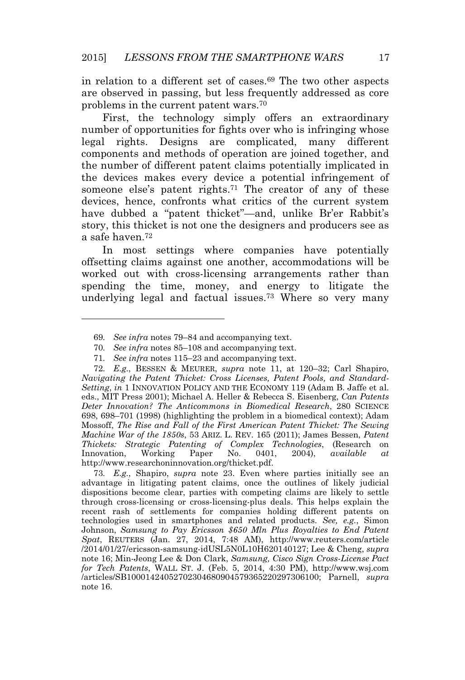in relation to a different set of cases.<sup>69</sup> The two other aspects are observed in passing, but less frequently addressed as core problems in the current patent wars.<sup>70</sup>

First, the technology simply offers an extraordinary number of opportunities for fights over who is infringing whose legal rights. Designs are complicated, many different components and methods of operation are joined together, and the number of different patent claims potentially implicated in the devices makes every device a potential infringement of someone else's patent rights.<sup>71</sup> The creator of any of these devices, hence, confronts what critics of the current system have dubbed a "patent thicket"—and, unlike Br'er Rabbit's story, this thicket is not one the designers and producers see as a safe haven.<sup>72</sup>

In most settings where companies have potentially offsetting claims against one another, accommodations will be worked out with cross-licensing arrangements rather than spending the time, money, and energy to litigate the underlying legal and factual issues.<sup>73</sup> Where so very many

71*. See infra* notes 115–23 and accompanying text.

72*. E.g.*, BESSEN & MEURER, *supra* note 11, at 120–32; Carl Shapiro, *Navigating the Patent Thicket: Cross Licenses, Patent Pools, and Standard-Setting*, *in* 1 INNOVATION POLICY AND THE ECONOMY 119 (Adam B. Jaffe et al. eds., MIT Press 2001); Michael A. Heller & Rebecca S. Eisenberg, *Can Patents Deter Innovation? The Anticommons in Biomedical Research*, 280 SCIENCE 698, 698–701 (1998) (highlighting the problem in a biomedical context); Adam Mossoff, *The Rise and Fall of the First American Patent Thicket: The Sewing Machine War of the 1850s*, 53 ARIZ. L. REV. 165 (2011); James Bessen, *Patent Thickets: Strategic Patenting of Complex Technologies*, (Research on Innovation, Working Paper No. 0401, 2004), *available at* http://www.researchoninnovation.org/thicket.pdf.

73*. E.g.*, Shapiro, *supra* note 23. Even where parties initially see an advantage in litigating patent claims, once the outlines of likely judicial dispositions become clear, parties with competing claims are likely to settle through cross-licensing or cross-licensing-plus deals. This helps explain the recent rash of settlements for companies holding different patents on technologies used in smartphones and related products. *See, e.g.*, Simon Johnson, *Samsung to Pay Ericsson \$650 Mln Plus Royalties to End Patent Spat*, REUTERS (Jan. 27, 2014, 7:48 AM), http://www.reuters.com/article /2014/01/27/ericsson-samsung-idUSL5N0L10H620140127; Lee & Cheng, *supra* note 16; Min-Jeong Lee & Don Clark, *Samsung, Cisco Sign Cross-License Pact for Tech Patents*, WALL ST. J. (Feb. 5, 2014, 4:30 PM), http://www.wsj.com /articles/SB10001424052702304680904579365220297306100; Parnell, *supra* note 16.

<sup>69</sup>*. See infra* notes 79–84 and accompanying text.

<sup>70</sup>*. See infra* notes 85–108 and accompanying text.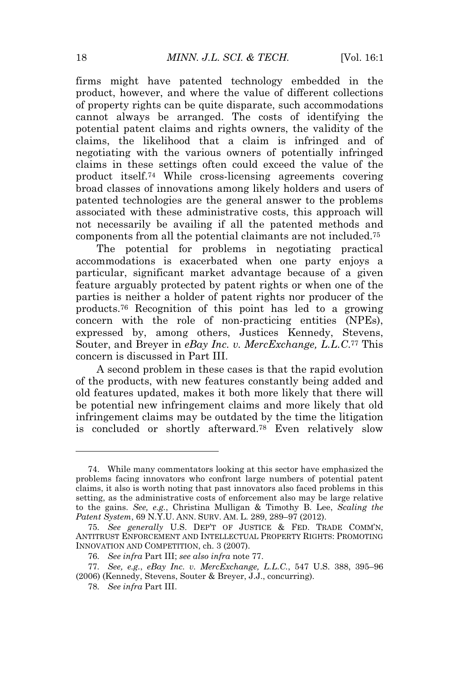firms might have patented technology embedded in the product, however, and where the value of different collections of property rights can be quite disparate, such accommodations cannot always be arranged. The costs of identifying the potential patent claims and rights owners, the validity of the claims, the likelihood that a claim is infringed and of negotiating with the various owners of potentially infringed claims in these settings often could exceed the value of the product itself.<sup>74</sup> While cross-licensing agreements covering broad classes of innovations among likely holders and users of patented technologies are the general answer to the problems associated with these administrative costs, this approach will not necessarily be availing if all the patented methods and components from all the potential claimants are not included.<sup>75</sup>

The potential for problems in negotiating practical accommodations is exacerbated when one party enjoys a particular, significant market advantage because of a given feature arguably protected by patent rights or when one of the parties is neither a holder of patent rights nor producer of the products.<sup>76</sup> Recognition of this point has led to a growing concern with the role of non-practicing entities (NPEs), expressed by, among others, Justices Kennedy, Stevens, Souter, and Breyer in *eBay Inc. v. MercExchange, L.L.C*. <sup>77</sup> This concern is discussed in Part III.

A second problem in these cases is that the rapid evolution of the products, with new features constantly being added and old features updated, makes it both more likely that there will be potential new infringement claims and more likely that old infringement claims may be outdated by the time the litigation is concluded or shortly afterward.<sup>78</sup> Even relatively slow

<sup>74.</sup> While many commentators looking at this sector have emphasized the problems facing innovators who confront large numbers of potential patent claims, it also is worth noting that past innovators also faced problems in this setting, as the administrative costs of enforcement also may be large relative to the gains. *See, e.g.*, Christina Mulligan & Timothy B. Lee, *Scaling the Patent System*, 69 N.Y.U. ANN. SURV. AM. L. 289, 289–97 (2012).

<sup>75</sup>*. See generally* U.S. DEP'T OF JUSTICE & FED. TRADE COMM'N, ANTITRUST ENFORCEMENT AND INTELLECTUAL PROPERTY RIGHTS: PROMOTING INNOVATION AND COMPETITION, ch. 3 (2007).

<sup>76</sup>*. See infra* Part III; *see also infra* note 77.

<sup>77</sup>*. See, e.g.*, *eBay Inc. v. MercExchange, L.L.C.*, 547 U.S. 388, 395–96 (2006) (Kennedy, Stevens, Souter & Breyer, J.J., concurring).

<sup>78</sup>*. See infra* Part III.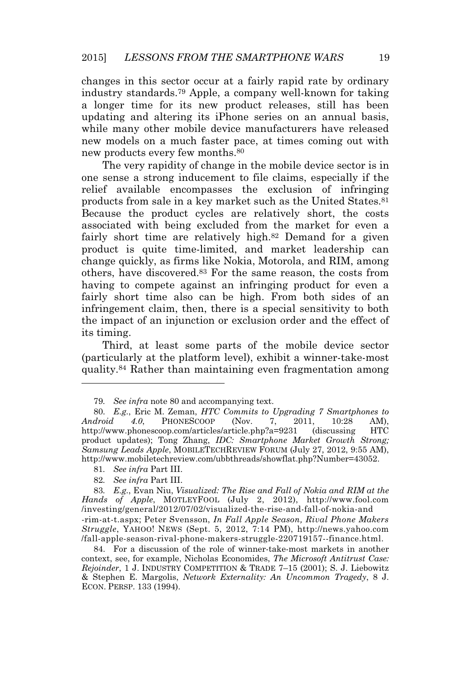changes in this sector occur at a fairly rapid rate by ordinary industry standards.<sup>79</sup> Apple, a company well-known for taking a longer time for its new product releases, still has been updating and altering its iPhone series on an annual basis, while many other mobile device manufacturers have released new models on a much faster pace, at times coming out with new products every few months.<sup>80</sup>

The very rapidity of change in the mobile device sector is in one sense a strong inducement to file claims, especially if the relief available encompasses the exclusion of infringing products from sale in a key market such as the United States.<sup>81</sup> Because the product cycles are relatively short, the costs associated with being excluded from the market for even a fairly short time are relatively high.<sup>82</sup> Demand for a given product is quite time-limited, and market leadership can change quickly, as firms like Nokia, Motorola, and RIM, among others, have discovered.<sup>83</sup> For the same reason, the costs from having to compete against an infringing product for even a fairly short time also can be high. From both sides of an infringement claim, then, there is a special sensitivity to both the impact of an injunction or exclusion order and the effect of its timing.

Third, at least some parts of the mobile device sector (particularly at the platform level), exhibit a winner-take-most quality.<sup>84</sup> Rather than maintaining even fragmentation among

<sup>79</sup>*. See infra* note 80 and accompanying text.

<sup>80</sup>*. E.g.*, Eric M. Zeman, *HTC Commits to Upgrading 7 Smartphones to Android 4.0*, PHONESCOOP (Nov. 7, 2011, 10:28 AM), http://www.phonescoop.com/articles/article.php?a=9231 (discussing HTC product updates); Tong Zhang, *IDC: Smartphone Market Growth Strong; Samsung Leads Apple*, MOBILETECHREVIEW FORUM (July 27, 2012, 9:55 AM), http://www.mobiletechreview.com/ubbthreads/showflat.php?Number=43052.

<sup>81</sup>*. See infra* Part III.

<sup>82</sup>*. See infra* Part III.

<sup>83</sup>*. E.g.*, Evan Niu, *Visualized: The Rise and Fall of Nokia and RIM at the Hands of Apple*, MOTLEYFOOL (July 2, 2012), http://www.fool.com /investing/general/2012/07/02/visualized-the-rise-and-fall-of-nokia-and -rim-at-t.aspx; Peter Svensson, *In Fall Apple Season, Rival Phone Makers Struggle*, YAHOO! NEWS (Sept. 5, 2012, 7:14 PM), http://news.yahoo.com /fall-apple-season-rival-phone-makers-struggle-220719157--finance.html.

<sup>84.</sup> For a discussion of the role of winner-take-most markets in another context, see, for example, Nicholas Economides, *The Microsoft Antitrust Case: Rejoinder*, 1 J. INDUSTRY COMPETITION & TRADE 7–15 (2001); S. J. Liebowitz & Stephen E. Margolis, *Network Externality: An Uncommon Tragedy*, 8 J. ECON. PERSP. 133 (1994).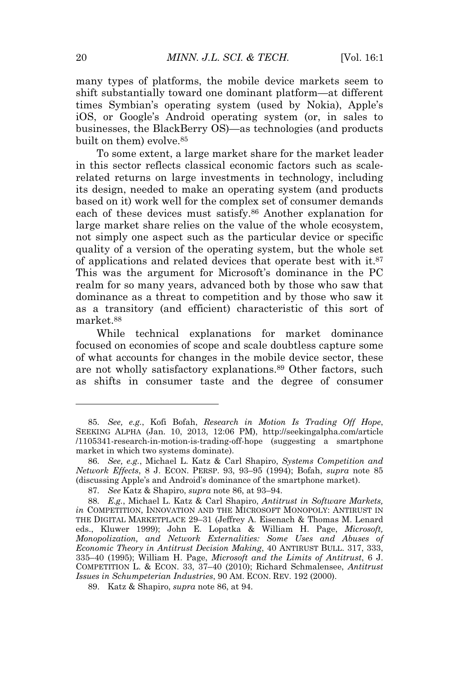many types of platforms, the mobile device markets seem to shift substantially toward one dominant platform—at different times Symbian's operating system (used by Nokia), Apple's iOS, or Google's Android operating system (or, in sales to businesses, the BlackBerry OS)—as technologies (and products built on them) evolve.<sup>85</sup>

To some extent, a large market share for the market leader in this sector reflects classical economic factors such as scalerelated returns on large investments in technology, including its design, needed to make an operating system (and products based on it) work well for the complex set of consumer demands each of these devices must satisfy.<sup>86</sup> Another explanation for large market share relies on the value of the whole ecosystem, not simply one aspect such as the particular device or specific quality of a version of the operating system, but the whole set of applications and related devices that operate best with it.<sup>87</sup> This was the argument for Microsoft's dominance in the PC realm for so many years, advanced both by those who saw that dominance as a threat to competition and by those who saw it as a transitory (and efficient) characteristic of this sort of market.<sup>88</sup>

While technical explanations for market dominance focused on economies of scope and scale doubtless capture some of what accounts for changes in the mobile device sector, these are not wholly satisfactory explanations.<sup>89</sup> Other factors, such as shifts in consumer taste and the degree of consumer

<sup>85</sup>*. See, e.g.*, Kofi Bofah, *Research in Motion Is Trading Off Hope*, SEEKING ALPHA (Jan. 10, 2013, 12:06 PM), http://seekingalpha.com/article /1105341-research-in-motion-is-trading-off-hope (suggesting a smartphone market in which two systems dominate).

<sup>86</sup>*. See, e.g.*, Michael L. Katz & Carl Shapiro, *Systems Competition and Network Effects*, 8 J. ECON. PERSP. 93, 93–95 (1994); Bofah, *supra* note 85 (discussing Apple's and Android's dominance of the smartphone market).

<sup>87</sup>*. See* Katz & Shapiro, *supra* note 86, at 93–94.

<sup>88</sup>*. E.g.*, Michael L. Katz & Carl Shapiro, *Antitrust in Software Markets, in* COMPETITION, INNOVATION AND THE MICROSOFT MONOPOLY: ANTIRUST IN THE DIGITAL MARKETPLACE 29–31 (Jeffrey A. Eisenach & Thomas M. Lenard eds., Kluwer 1999); John E. Lopatka & William H. Page, *Microsoft, Monopolization, and Network Externalities: Some Uses and Abuses of Economic Theory in Antitrust Decision Making*, 40 ANTIRUST BULL. 317, 333, 335–40 (1995); William H. Page, *Microsoft and the Limits of Antitrust*, 6 J. COMPETITION L. & ECON. 33, 37–40 (2010); Richard Schmalensee, *Antitrust Issues in Schumpeterian Industries*, 90 AM. ECON. REV. 192 (2000).

<sup>89.</sup> Katz & Shapiro, *supra* note 86, at 94.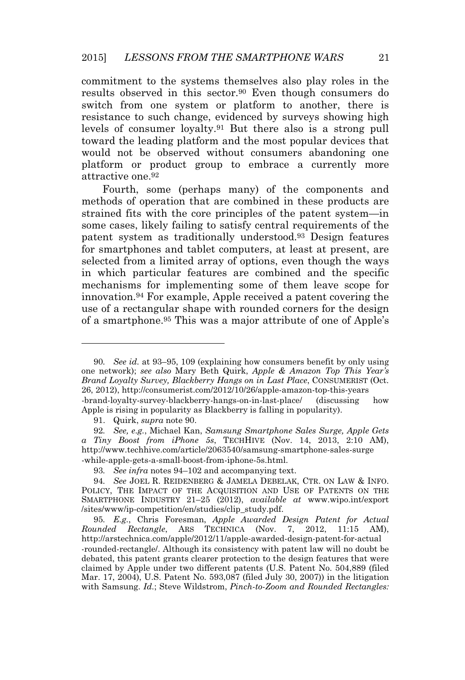commitment to the systems themselves also play roles in the results observed in this sector.<sup>90</sup> Even though consumers do switch from one system or platform to another, there is resistance to such change, evidenced by surveys showing high levels of consumer loyalty.<sup>91</sup> But there also is a strong pull toward the leading platform and the most popular devices that would not be observed without consumers abandoning one platform or product group to embrace a currently more attractive one.<sup>92</sup>

Fourth, some (perhaps many) of the components and methods of operation that are combined in these products are strained fits with the core principles of the patent system—in some cases, likely failing to satisfy central requirements of the patent system as traditionally understood.<sup>93</sup> Design features for smartphones and tablet computers, at least at present, are selected from a limited array of options, even though the ways in which particular features are combined and the specific mechanisms for implementing some of them leave scope for innovation.<sup>94</sup> For example, Apple received a patent covering the use of a rectangular shape with rounded corners for the design of a smartphone.<sup>95</sup> This was a major attribute of one of Apple's

<sup>90</sup>*. See id.* at 93–95, 109 (explaining how consumers benefit by only using one network); *see also* Mary Beth Quirk, *Apple & Amazon Top This Year's Brand Loyalty Survey, Blackberry Hangs on in Last Place*, CONSUMERIST (Oct. 26, 2012), http://consumerist.com/2012/10/26/apple-amazon-top-this-years -brand-loyalty-survey-blackberry-hangs-on-in-last-place/ (discussing how Apple is rising in popularity as Blackberry is falling in popularity).

<sup>91.</sup> Quirk, *supra* note 90.

<sup>92</sup>*. See, e.g.*, Michael Kan, *Samsung Smartphone Sales Surge, Apple Gets a Tiny Boost from iPhone 5s*, TECHHIVE (Nov. 14, 2013, 2:10 AM), http://www.techhive.com/article/2063540/samsung-smartphone-sales-surge -while-apple-gets-a-small-boost-from-iphone-5s.html.

<sup>93</sup>*. See infra* notes 94–102 and accompanying text.

<sup>94</sup>*. See* JOEL R. REIDENBERG & JAMELA DEBELAK, CTR. ON LAW & INFO. POLICY, THE IMPACT OF THE ACQUISITION AND USE OF PATENTS ON THE SMARTPHONE INDUSTRY 21–25 (2012), *available at* www.wipo.int/export /sites/www/ip-competition/en/studies/clip\_study.pdf.

<sup>95</sup>*. E.g.*, Chris Foresman, *Apple Awarded Design Patent for Actual Rounded Rectangle*, ARS TECHNICA (Nov. 7, 2012, 11:15 AM), http://arstechnica.com/apple/2012/11/apple-awarded-design-patent-for-actual -rounded-rectangle/. Although its consistency with patent law will no doubt be debated, this patent grants clearer protection to the design features that were claimed by Apple under two different patents (U.S. Patent No. 504,889 (filed Mar. 17, 2004), U.S. Patent No. 593,087 (filed July 30, 2007)) in the litigation with Samsung. *Id.*; Steve Wildstrom, *Pinch-to-Zoom and Rounded Rectangles:*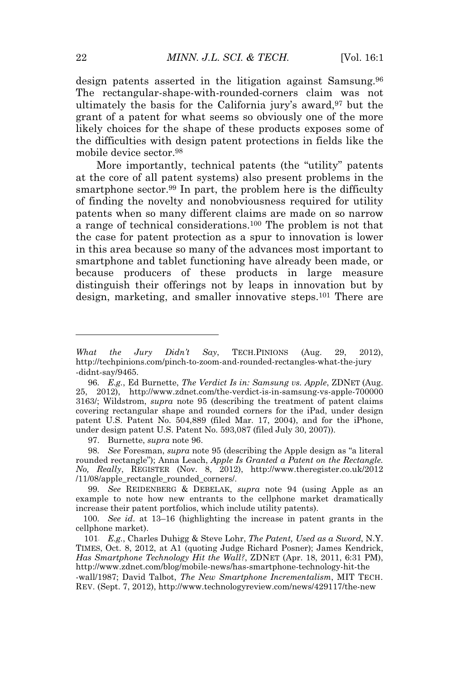design patents asserted in the litigation against Samsung.<sup>96</sup> The rectangular-shape-with-rounded-corners claim was not ultimately the basis for the California jury's award,<sup>97</sup> but the grant of a patent for what seems so obviously one of the more likely choices for the shape of these products exposes some of the difficulties with design patent protections in fields like the mobile device sector.<sup>98</sup>

More importantly, technical patents (the "utility" patents at the core of all patent systems) also present problems in the smartphone sector.<sup>99</sup> In part, the problem here is the difficulty of finding the novelty and nonobviousness required for utility patents when so many different claims are made on so narrow a range of technical considerations.<sup>100</sup> The problem is not that the case for patent protection as a spur to innovation is lower in this area because so many of the advances most important to smartphone and tablet functioning have already been made, or because producers of these products in large measure distinguish their offerings not by leaps in innovation but by design, marketing, and smaller innovative steps.<sup>101</sup> There are

97. Burnette, *supra* note 96.

98*. See* Foresman, *supra* note 95 (describing the Apple design as "a literal rounded rectangle"); Anna Leach, *Apple Is Granted a Patent on the Rectangle. No, Really*, REGISTER (Nov. 8, 2012), http://www.theregister.co.uk/2012 /11/08/apple\_rectangle\_rounded\_corners/.

99*. See* REIDENBERG & DEBELAK, *supra* note 94 (using Apple as an example to note how new entrants to the cellphone market dramatically increase their patent portfolios, which include utility patents).

100*. See id*. at 13–16 (highlighting the increase in patent grants in the cellphone market).

101. *E.g.*, Charles Duhigg & Steve Lohr, *The Patent, Used as a Sword*, N.Y. TIMES, Oct. 8, 2012, at A1 (quoting Judge Richard Posner); James Kendrick, *Has Smartphone Technology Hit the Wall?*, ZDNET (Apr. 18, 2011, 6:31 PM), http://www.zdnet.com/blog/mobile-news/has-smartphone-technology-hit-the -wall/1987; David Talbot, *The New Smartphone Incrementalism*, MIT TECH. REV. (Sept. 7, 2012), http://www.technologyreview.com/news/429117/the-new

*What the Jury Didn't Say*, TECH.PINIONS (Aug. 29, 2012), http://techpinions.com/pinch-to-zoom-and-rounded-rectangles-what-the-jury -didnt-say/9465.

<sup>96</sup>*. E.g.*, Ed Burnette, *The Verdict Is in: Samsung vs. Apple*, ZDNET (Aug. 25, 2012), http://www.zdnet.com/the-verdict-is-in-samsung-vs-apple-700000 3163/; Wildstrom, *supra* note 95 (describing the treatment of patent claims covering rectangular shape and rounded corners for the iPad, under design patent U.S. Patent No. 504,889 (filed Mar. 17, 2004), and for the iPhone, under design patent U.S. Patent No. 593,087 (filed July 30, 2007)).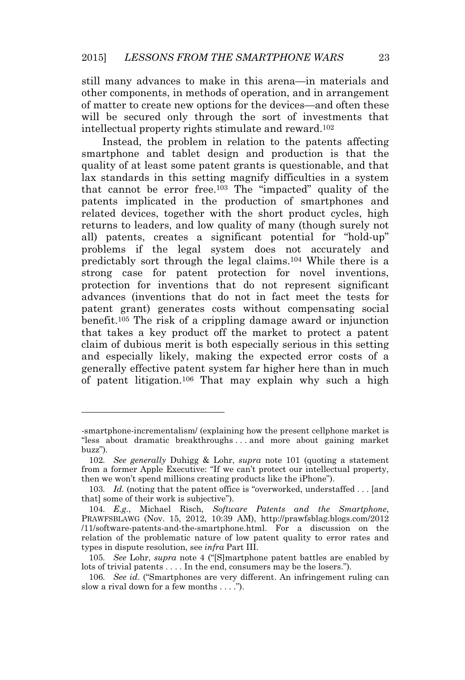still many advances to make in this arena—in materials and other components, in methods of operation, and in arrangement of matter to create new options for the devices—and often these will be secured only through the sort of investments that intellectual property rights stimulate and reward.<sup>102</sup>

Instead, the problem in relation to the patents affecting smartphone and tablet design and production is that the quality of at least some patent grants is questionable, and that lax standards in this setting magnify difficulties in a system that cannot be error free.<sup>103</sup> The "impacted" quality of the patents implicated in the production of smartphones and related devices, together with the short product cycles, high returns to leaders, and low quality of many (though surely not all) patents, creates a significant potential for "hold-up" problems if the legal system does not accurately and predictably sort through the legal claims.<sup>104</sup> While there is a strong case for patent protection for novel inventions, protection for inventions that do not represent significant advances (inventions that do not in fact meet the tests for patent grant) generates costs without compensating social benefit.<sup>105</sup> The risk of a crippling damage award or injunction that takes a key product off the market to protect a patent claim of dubious merit is both especially serious in this setting and especially likely, making the expected error costs of a generally effective patent system far higher here than in much of patent litigation.<sup>106</sup> That may explain why such a high

<sup>-</sup>smartphone-incrementalism/ (explaining how the present cellphone market is "less about dramatic breakthroughs . . . and more about gaining market buzz")*.*

<sup>102</sup>*. See generally* Duhigg & Lohr, *supra* note 101 (quoting a statement from a former Apple Executive: "If we can't protect our intellectual property, then we won't spend millions creating products like the iPhone").

<sup>103</sup>*. Id.* (noting that the patent office is "overworked, understaffed . . . [and that] some of their work is subjective").

<sup>104</sup>*. E.g.*, Michael Risch, *Software Patents and the Smartphone*, PRAWFSBLAWG (Nov. 15, 2012, 10:39 AM), http://prawfsblag.blogs.com/2012 /11/software-patents-and-the-smartphone.html. For a discussion on the relation of the problematic nature of low patent quality to error rates and types in dispute resolution, see *infra* Part III.

<sup>105</sup>*. See* Lohr, *supra* note 4 ("[S]martphone patent battles are enabled by lots of trivial patents . . . . In the end, consumers may be the losers.").

<sup>106</sup>*. See id*. ("Smartphones are very different. An infringement ruling can slow a rival down for a few months  $\dots$ .").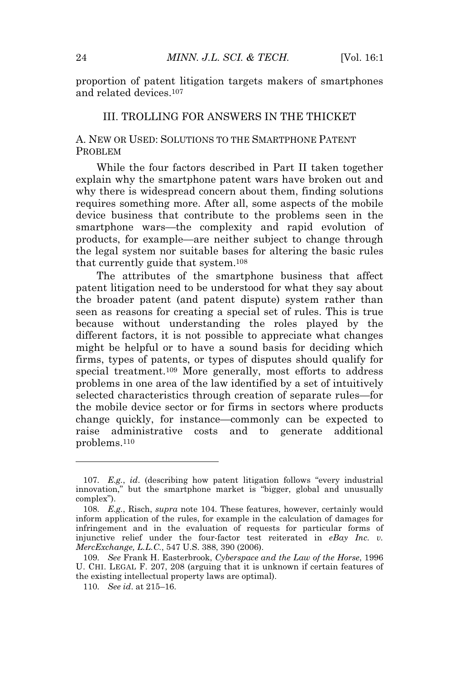proportion of patent litigation targets makers of smartphones and related devices.<sup>107</sup>

#### III. TROLLING FOR ANSWERS IN THE THICKET

#### A. NEW OR USED: SOLUTIONS TO THE SMARTPHONE PATENT PROBLEM

While the four factors described in Part II taken together explain why the smartphone patent wars have broken out and why there is widespread concern about them, finding solutions requires something more. After all, some aspects of the mobile device business that contribute to the problems seen in the smartphone wars—the complexity and rapid evolution of products, for example—are neither subject to change through the legal system nor suitable bases for altering the basic rules that currently guide that system.<sup>108</sup>

The attributes of the smartphone business that affect patent litigation need to be understood for what they say about the broader patent (and patent dispute) system rather than seen as reasons for creating a special set of rules. This is true because without understanding the roles played by the different factors, it is not possible to appreciate what changes might be helpful or to have a sound basis for deciding which firms, types of patents, or types of disputes should qualify for special treatment.<sup>109</sup> More generally, most efforts to address problems in one area of the law identified by a set of intuitively selected characteristics through creation of separate rules—for the mobile device sector or for firms in sectors where products change quickly, for instance—commonly can be expected to raise administrative costs and to generate additional problems.<sup>110</sup>

<sup>107</sup>*. E.g.*, *id*. (describing how patent litigation follows "every industrial innovation," but the smartphone market is "bigger, global and unusually complex").

<sup>108</sup>*. E.g.*, Risch, *supra* note 104. These features, however, certainly would inform application of the rules, for example in the calculation of damages for infringement and in the evaluation of requests for particular forms of injunctive relief under the four-factor test reiterated in *eBay Inc. v. MercExchange, L.L.C.*, 547 U.S. 388, 390 (2006).

<sup>109</sup>*. See* Frank H. Easterbrook, *Cyberspace and the Law of the Horse*, 1996 U. CHI. LEGAL F. 207, 208 (arguing that it is unknown if certain features of the existing intellectual property laws are optimal).

<sup>110</sup>*. See id*. at 215–16.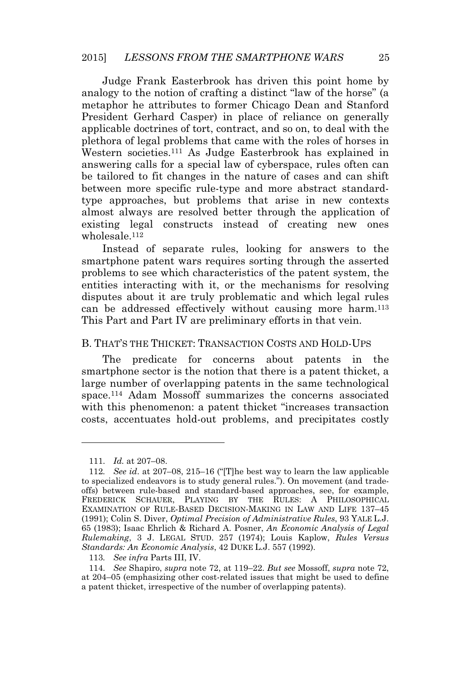Judge Frank Easterbrook has driven this point home by analogy to the notion of crafting a distinct "law of the horse" (a metaphor he attributes to former Chicago Dean and Stanford President Gerhard Casper) in place of reliance on generally applicable doctrines of tort, contract, and so on, to deal with the plethora of legal problems that came with the roles of horses in Western societies.<sup>111</sup> As Judge Easterbrook has explained in answering calls for a special law of cyberspace, rules often can be tailored to fit changes in the nature of cases and can shift between more specific rule-type and more abstract standardtype approaches, but problems that arise in new contexts almost always are resolved better through the application of existing legal constructs instead of creating new ones wholesale <sup>112</sup>

Instead of separate rules, looking for answers to the smartphone patent wars requires sorting through the asserted problems to see which characteristics of the patent system, the entities interacting with it, or the mechanisms for resolving disputes about it are truly problematic and which legal rules can be addressed effectively without causing more harm.<sup>113</sup> This Part and Part IV are preliminary efforts in that vein.

#### B. THAT'<sup>S</sup> THE THICKET: TRANSACTION COSTS AND HOLD-UPS

The predicate for concerns about patents in the smartphone sector is the notion that there is a patent thicket, a large number of overlapping patents in the same technological space.<sup>114</sup> Adam Mossoff summarizes the concerns associated with this phenomenon: a patent thicket "increases transaction costs, accentuates hold-out problems, and precipitates costly

<sup>111</sup>*. Id.* at 207–08.

<sup>112</sup>*. See id*. at 207–08, 215–16 ("[T]he best way to learn the law applicable to specialized endeavors is to study general rules."). On movement (and tradeoffs) between rule-based and standard-based approaches, see, for example, FREDERICK SCHAUER, PLAYING BY THE RULES: A PHILOSOPHICAL EXAMINATION OF RULE-BASED DECISION-MAKING IN LAW AND LIFE 137–45 (1991); Colin S. Diver, *Optimal Precision of Administrative Rules*, 93 YALE L.J. 65 (1983); Isaac Ehrlich & Richard A. Posner, *An Economic Analysis of Legal Rulemaking*, 3 J. LEGAL STUD. 257 (1974); Louis Kaplow, *Rules Versus Standards: An Economic Analysis*, 42 DUKE L.J. 557 (1992).

<sup>113</sup>*. See infra* Parts III, IV.

<sup>114</sup>*. See* Shapiro, *supra* note 72, at 119–22. *But see* Mossoff, *supra* note 72, at 204–05 (emphasizing other cost-related issues that might be used to define a patent thicket, irrespective of the number of overlapping patents).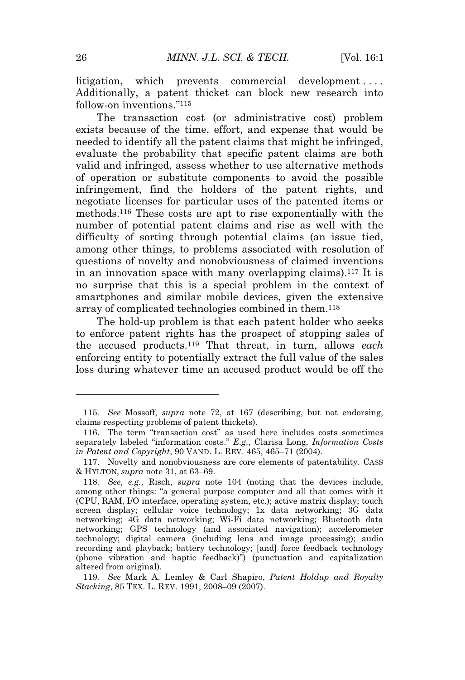litigation, which prevents commercial development.... Additionally, a patent thicket can block new research into follow-on inventions."<sup>115</sup>

The transaction cost (or administrative cost) problem exists because of the time, effort, and expense that would be needed to identify all the patent claims that might be infringed, evaluate the probability that specific patent claims are both valid and infringed, assess whether to use alternative methods of operation or substitute components to avoid the possible infringement, find the holders of the patent rights, and negotiate licenses for particular uses of the patented items or methods.<sup>116</sup> These costs are apt to rise exponentially with the number of potential patent claims and rise as well with the difficulty of sorting through potential claims (an issue tied, among other things, to problems associated with resolution of questions of novelty and nonobviousness of claimed inventions in an innovation space with many overlapping claims).<sup>117</sup> It is no surprise that this is a special problem in the context of smartphones and similar mobile devices, given the extensive array of complicated technologies combined in them.<sup>118</sup>

The hold-up problem is that each patent holder who seeks to enforce patent rights has the prospect of stopping sales of the accused products.<sup>119</sup> That threat, in turn, allows *each* enforcing entity to potentially extract the full value of the sales loss during whatever time an accused product would be off the

<sup>115</sup>*. See* Mossoff, *supra* note 72, at 167 (describing, but not endorsing, claims respecting problems of patent thickets).

<sup>116.</sup> The term "transaction cost" as used here includes costs sometimes separately labeled "information costs." *E.g.*, Clarisa Long, *Information Costs in Patent and Copyright*, 90 VAND. L. REV. 465, 465–71 (2004).

<sup>117.</sup> Novelty and nonobviousness are core elements of patentability. CASS & HYLTON, *supra* note 31, at 63–69.

<sup>118</sup>*. See, e.g.*, Risch, *supra* note 104 (noting that the devices include, among other things: "a general purpose computer and all that comes with it (CPU, RAM, I/O interface, operating system, etc.); active matrix display; touch screen display; cellular voice technology; 1x data networking; 3G data networking; 4G data networking; Wi-Fi data networking; Bluetooth data networking; GPS technology (and associated navigation); accelerometer technology; digital camera (including lens and image processing); audio recording and playback; battery technology; [and] force feedback technology (phone vibration and haptic feedback)") (punctuation and capitalization altered from original).

<sup>119</sup>*. See* Mark A. Lemley & Carl Shapiro, *Patent Holdup and Royalty Stacking*, 85 TEX. L. REV. 1991, 2008–09 (2007).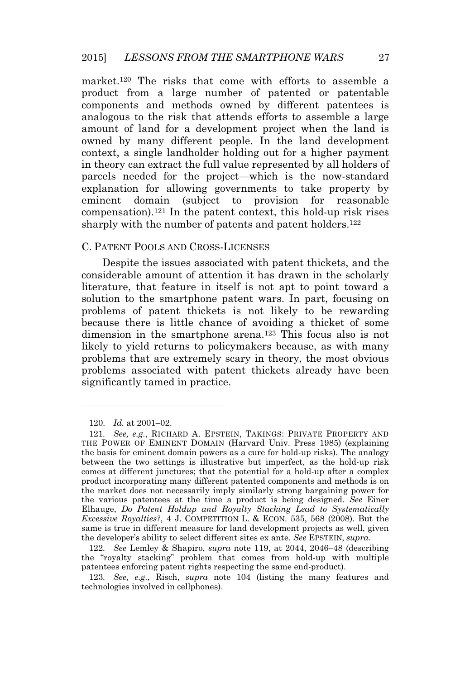market.<sup>120</sup> The risks that come with efforts to assemble a product from a large number of patented or patentable components and methods owned by different patentees is analogous to the risk that attends efforts to assemble a large amount of land for a development project when the land is owned by many different people. In the land development context, a single landholder holding out for a higher payment in theory can extract the full value represented by all holders of parcels needed for the project—which is the now-standard explanation for allowing governments to take property by eminent domain (subject to provision for reasonable  $compensation)$ <sup>121</sup> In the patent context, this hold-up risk rises sharply with the number of patents and patent holders.<sup>122</sup>

#### C. PATENT POOLS AND CROSS-LICENSES

Despite the issues associated with patent thickets, and the considerable amount of attention it has drawn in the scholarly literature, that feature in itself is not apt to point toward a solution to the smartphone patent wars. In part, focusing on problems of patent thickets is not likely to be rewarding because there is little chance of avoiding a thicket of some dimension in the smartphone arena.<sup>123</sup> This focus also is not likely to yield returns to policymakers because, as with many problems that are extremely scary in theory, the most obvious problems associated with patent thickets already have been significantly tamed in practice.

122*. See* Lemley & Shapiro, *supra* note 119, at 2044, 2046–48 (describing the "royalty stacking" problem that comes from hold-up with multiple patentees enforcing patent rights respecting the same end-product).

<sup>120</sup>*. Id.* at 2001–02.

<sup>121</sup>*. See, e.g.*, RICHARD A. EPSTEIN, TAKINGS: PRIVATE PROPERTY AND THE POWER OF EMINENT DOMAIN (Harvard Univ. Press 1985) (explaining the basis for eminent domain powers as a cure for hold-up risks). The analogy between the two settings is illustrative but imperfect, as the hold-up risk comes at different junctures; that the potential for a hold-up after a complex product incorporating many different patented components and methods is on the market does not necessarily imply similarly strong bargaining power for the various patentees at the time a product is being designed. *See* Einer Elhauge, *Do Patent Holdup and Royalty Stacking Lead to Systematically Excessive Royalties?*, 4 J. COMPETITION L. & ECON. 535, 568 (2008). But the same is true in different measure for land development projects as well, given the developer's ability to select different sites ex ante. *See* EPSTEIN, *supra*.

<sup>123</sup>*. See, e.g.*, Risch, *supra* note 104 (listing the many features and technologies involved in cellphones).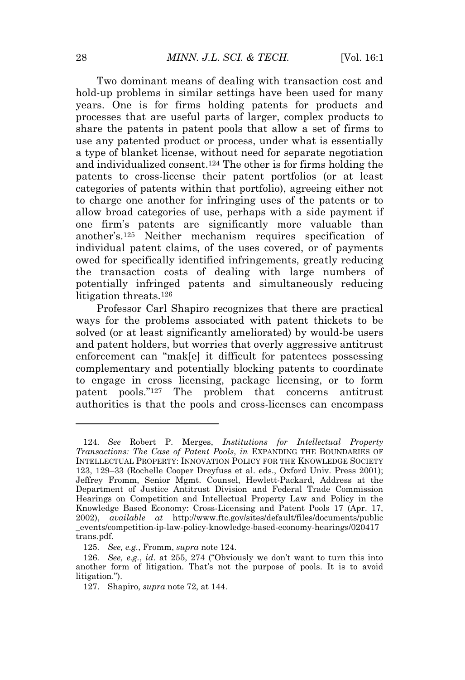Two dominant means of dealing with transaction cost and hold-up problems in similar settings have been used for many years. One is for firms holding patents for products and processes that are useful parts of larger, complex products to share the patents in patent pools that allow a set of firms to use any patented product or process, under what is essentially a type of blanket license, without need for separate negotiation and individualized consent.<sup>124</sup> The other is for firms holding the patents to cross-license their patent portfolios (or at least categories of patents within that portfolio), agreeing either not to charge one another for infringing uses of the patents or to allow broad categories of use, perhaps with a side payment if one firm's patents are significantly more valuable than another's.<sup>125</sup> Neither mechanism requires specification of individual patent claims, of the uses covered, or of payments owed for specifically identified infringements, greatly reducing the transaction costs of dealing with large numbers of potentially infringed patents and simultaneously reducing litigation threats.<sup>126</sup>

Professor Carl Shapiro recognizes that there are practical ways for the problems associated with patent thickets to be solved (or at least significantly ameliorated) by would-be users and patent holders, but worries that overly aggressive antitrust enforcement can "mak[e] it difficult for patentees possessing complementary and potentially blocking patents to coordinate to engage in cross licensing, package licensing, or to form patent pools." <sup>127</sup> The problem that concerns antitrust authorities is that the pools and cross-licenses can encompass

<sup>124</sup>*. See* Robert P. Merges, *Institutions for Intellectual Property Transactions: The Case of Patent Pools*, *in* EXPANDING THE BOUNDARIES OF INTELLECTUAL PROPERTY: INNOVATION POLICY FOR THE KNOWLEDGE SOCIETY 123, 129–33 (Rochelle Cooper Dreyfuss et al. eds., Oxford Univ. Press 2001); Jeffrey Fromm, Senior Mgmt. Counsel, Hewlett-Packard, Address at the Department of Justice Antitrust Division and Federal Trade Commission Hearings on Competition and Intellectual Property Law and Policy in the Knowledge Based Economy: Cross-Licensing and Patent Pools 17 (Apr. 17, 2002), *available at* http://www.ftc.gov/sites/default/files/documents/public \_events/competition-ip-law-policy-knowledge-based-economy-hearings/020417 trans.pdf.

<sup>125</sup>*. See, e.g.*, Fromm, *supra* note 124.

<sup>126</sup>*. See, e.g.*, *id*. at 255, 274 ("Obviously we don't want to turn this into another form of litigation. That's not the purpose of pools. It is to avoid litigation.").

<sup>127.</sup> Shapiro, *supra* note 72, at 144.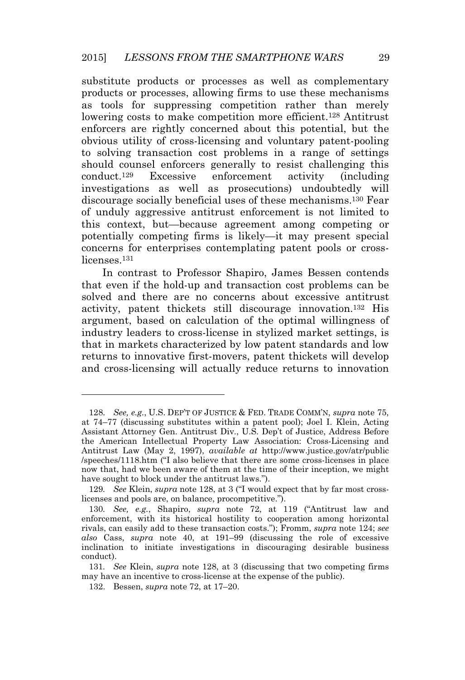substitute products or processes as well as complementary products or processes, allowing firms to use these mechanisms as tools for suppressing competition rather than merely lowering costs to make competition more efficient.<sup>128</sup> Antitrust enforcers are rightly concerned about this potential, but the obvious utility of cross-licensing and voluntary patent-pooling to solving transaction cost problems in a range of settings should counsel enforcers generally to resist challenging this conduct.<sup>129</sup> Excessive enforcement activity (including investigations as well as prosecutions) undoubtedly will discourage socially beneficial uses of these mechanisms.<sup>130</sup> Fear of unduly aggressive antitrust enforcement is not limited to this context, but—because agreement among competing or potentially competing firms is likely—it may present special concerns for enterprises contemplating patent pools or crosslicenses.<sup>131</sup>

In contrast to Professor Shapiro, James Bessen contends that even if the hold-up and transaction cost problems can be solved and there are no concerns about excessive antitrust activity, patent thickets still discourage innovation.<sup>132</sup> His argument, based on calculation of the optimal willingness of industry leaders to cross-license in stylized market settings, is that in markets characterized by low patent standards and low returns to innovative first-movers, patent thickets will develop and cross-licensing will actually reduce returns to innovation

<sup>128</sup>*. See, e.g.*, U.S. DEP'T OF JUSTICE & FED. TRADE COMM'N, *supra* note 75, at 74–77 (discussing substitutes within a patent pool); Joel I. Klein, Acting Assistant Attorney Gen. Antitrust Div., U.S. Dep't of Justice, Address Before the American Intellectual Property Law Association: Cross-Licensing and Antitrust Law (May 2, 1997), *available at* http://www.justice.gov/atr/public /speeches/1118.htm ("I also believe that there are some cross-licenses in place now that, had we been aware of them at the time of their inception, we might have sought to block under the antitrust laws.").

<sup>129</sup>*. See* Klein, *supra* note 128, at 3 ("I would expect that by far most crosslicenses and pools are, on balance, procompetitive.").

<sup>130</sup>*. See, e.g.*, Shapiro, *supra* note 72, at 119 ("Antitrust law and enforcement, with its historical hostility to cooperation among horizontal rivals, can easily add to these transaction costs."); Fromm, *supra* note 124; *see also* Cass, *supra* note 40, at 191–99 (discussing the role of excessive inclination to initiate investigations in discouraging desirable business conduct).

<sup>131</sup>*. See* Klein, *supra* note 128, at 3 (discussing that two competing firms may have an incentive to cross-license at the expense of the public).

<sup>132.</sup> Bessen, *supra* note 72, at 17–20.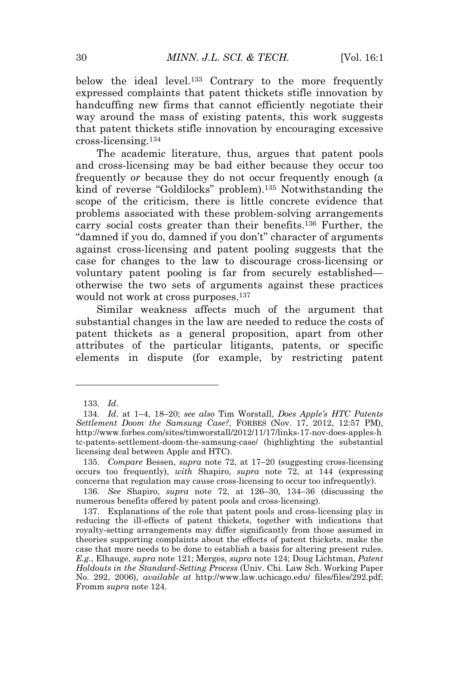below the ideal level.<sup>133</sup> Contrary to the more frequently expressed complaints that patent thickets stifle innovation by handcuffing new firms that cannot efficiently negotiate their way around the mass of existing patents, this work suggests that patent thickets stifle innovation by encouraging excessive cross-licensing.<sup>134</sup>

The academic literature, thus, argues that patent pools and cross-licensing may be bad either because they occur too frequently *or* because they do not occur frequently enough (a kind of reverse "Goldilocks" problem).<sup>135</sup> Notwithstanding the scope of the criticism, there is little concrete evidence that problems associated with these problem-solving arrangements carry social costs greater than their benefits.<sup>136</sup> Further, the "damned if you do, damned if you don't" character of arguments against cross-licensing and patent pooling suggests that the case for changes to the law to discourage cross-licensing or voluntary patent pooling is far from securely established otherwise the two sets of arguments against these practices would not work at cross purposes.<sup>137</sup>

Similar weakness affects much of the argument that substantial changes in the law are needed to reduce the costs of patent thickets as a general proposition, apart from other attributes of the particular litigants, patents, or specific elements in dispute (for example, by restricting patent

<sup>133</sup>*. Id*.

<sup>134</sup>*. Id*. at 1–4, 18–20; *see also* Tim Worstall, *Does Apple's HTC Patents Settlement Doom the Samsung Case?*, FORBES (Nov. 17, 2012, 12:57 PM), http://www.forbes.com/sites/timworstall/2012/11/17/links-17-nov-does-apples-h tc-patents-settlement-doom-the-samsung-case/ (highlighting the substantial licensing deal between Apple and HTC).

<sup>135</sup>*. Compare* Bessen, *supra* note 72, at 17–20 (suggesting cross-licensing occurs too frequently), *with* Shapiro, *supra* note 72, at 144 (expressing concerns that regulation may cause cross-licensing to occur too infrequently).

<sup>136</sup>*. See* Shapiro, *supra* note 72, at 126–30, 134–36 (discussing the numerous benefits offered by patent pools and cross-licensing).

<sup>137.</sup> Explanations of the role that patent pools and cross-licensing play in reducing the ill-effects of patent thickets, together with indications that royalty-setting arrangements may differ significantly from those assumed in theories supporting complaints about the effects of patent thickets, make the case that more needs to be done to establish a basis for altering present rules. *E.g.*, Elhauge, *supra* note 121; Merges, *supra* note 124; Doug Lichtman, *Patent Holdouts in the Standard-Setting Process* (Univ. Chi. Law Sch. Working Paper No. 292, 2006), *available at* http://www.law.uchicago.edu/ files/files/292.pdf; Fromm *supra* note 124.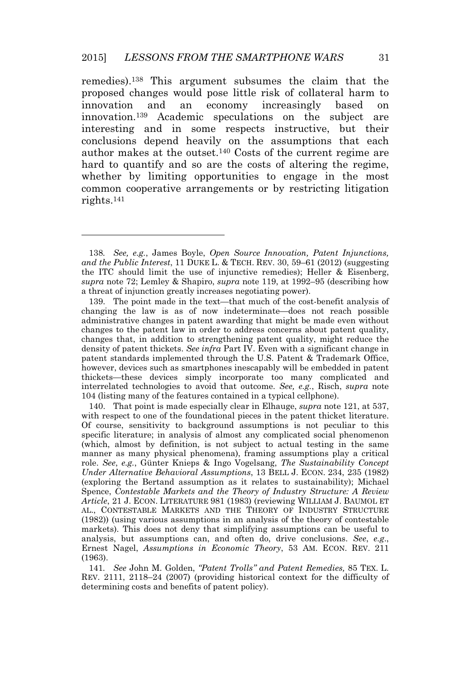remedies).<sup>138</sup> This argument subsumes the claim that the proposed changes would pose little risk of collateral harm to innovation and an economy increasingly based on innovation.<sup>139</sup> Academic speculations on the subject are interesting and in some respects instructive, but their conclusions depend heavily on the assumptions that each author makes at the outset.<sup>140</sup> Costs of the current regime are hard to quantify and so are the costs of altering the regime, whether by limiting opportunities to engage in the most common cooperative arrangements or by restricting litigation rights.<sup>141</sup>

<sup>138</sup>*. See, e.g.*, James Boyle, *Open Source Innovation, Patent Injunctions, and the Public Interest*, 11 DUKE L. & TECH. REV. 30, 59–61 (2012) (suggesting the ITC should limit the use of injunctive remedies); Heller & Eisenberg, *supra* note 72; Lemley & Shapiro, *supra* note 119, at 1992–95 (describing how a threat of injunction greatly increases negotiating power).

<sup>139.</sup> The point made in the text—that much of the cost-benefit analysis of changing the law is as of now indeterminate—does not reach possible administrative changes in patent awarding that might be made even without changes to the patent law in order to address concerns about patent quality, changes that, in addition to strengthening patent quality, might reduce the density of patent thickets. *See infra* Part IV. Even with a significant change in patent standards implemented through the U.S. Patent & Trademark Office, however, devices such as smartphones inescapably will be embedded in patent thickets—these devices simply incorporate too many complicated and interrelated technologies to avoid that outcome. *See, e.g.*, Risch, *supra* note 104 (listing many of the features contained in a typical cellphone).

<sup>140.</sup> That point is made especially clear in Elhauge, *supra* note 121, at 537, with respect to one of the foundational pieces in the patent thicket literature. Of course, sensitivity to background assumptions is not peculiar to this specific literature; in analysis of almost any complicated social phenomenon (which, almost by definition, is not subject to actual testing in the same manner as many physical phenomena), framing assumptions play a critical role. *See*, *e.g.*, Günter Knieps & Ingo Vogelsang, *The Sustainability Concept Under Alternative Behavioral Assumptions*, 13 BELL J. ECON. 234, 235 (1982) (exploring the Bertand assumption as it relates to sustainability); Michael Spence, *Contestable Markets and the Theory of Industry Structure: A Review Article*, 21 J. ECON. LITERATURE 981 (1983) (reviewing WILLIAM J. BAUMOL ET AL., CONTESTABLE MARKETS AND THE THEORY OF INDUSTRY STRUCTURE (1982)) (using various assumptions in an analysis of the theory of contestable markets). This does not deny that simplifying assumptions can be useful to analysis, but assumptions can, and often do, drive conclusions. *See*, *e.g*., Ernest Nagel, *Assumptions in Economic Theory*, 53 AM. ECON. REV. 211 (1963).

<sup>141</sup>*. See* John M. Golden, *"Patent Trolls" and Patent Remedies,* 85 TEX. L. REV. 2111, 2118–24 (2007) (providing historical context for the difficulty of determining costs and benefits of patent policy).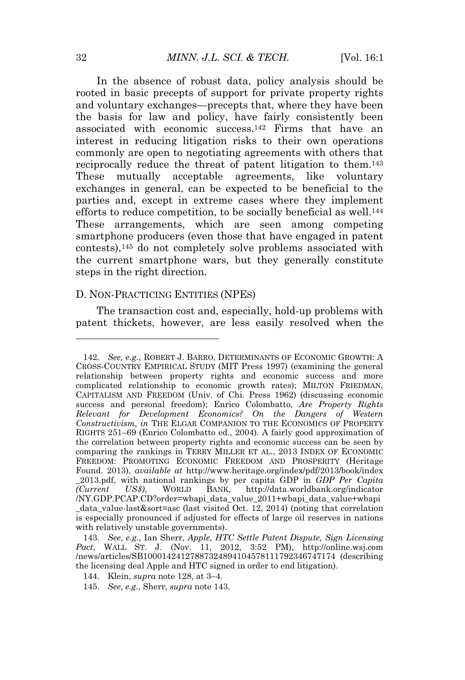In the absence of robust data, policy analysis should be rooted in basic precepts of support for private property rights and voluntary exchanges—precepts that, where they have been the basis for law and policy, have fairly consistently been associated with economic success.<sup>142</sup> Firms that have an interest in reducing litigation risks to their own operations commonly are open to negotiating agreements with others that reciprocally reduce the threat of patent litigation to them.<sup>143</sup> These mutually acceptable agreements, like voluntary exchanges in general, can be expected to be beneficial to the parties and, except in extreme cases where they implement efforts to reduce competition, to be socially beneficial as well.<sup>144</sup> These arrangements, which are seen among competing smartphone producers (even those that have engaged in patent contests),<sup>145</sup> do not completely solve problems associated with the current smartphone wars, but they generally constitute steps in the right direction.

#### D. NON-PRACTICING ENTITIES (NPES)

The transaction cost and, especially, hold-up problems with patent thickets, however, are less easily resolved when the

<sup>142</sup>*. See, e.g.*, ROBERT J. BARRO, DETERMINANTS OF ECONOMIC GROWTH: A CROSS-COUNTRY EMPIRICAL STUDY (MIT Press 1997) (examining the general relationship between property rights and economic success and more complicated relationship to economic growth rates); MILTON FRIEDMAN, CAPITALISM AND FREEDOM (Univ. of Chi. Press 1962) (discussing economic success and personal freedom); Enrico Colombatto, *Are Property Rights Relevant for Development Economics? On the Dangers of Western Constructivism*, *in* THE ELGAR COMPANION TO THE ECONOMICS OF PROPERTY RIGHTS 251–69 (Enrico Colombatto ed., 2004). A fairly good approximation of the correlation between property rights and economic success can be seen by comparing the rankings in TERRY MILLER ET AL., 2013 INDEX OF ECONOMIC FREEDOM: PROMOTING ECONOMIC FREEDOM AND PROSPERITY (Heritage Found. 2013), *available at* http://www.heritage.org/index/pdf/2013/book/index \_2013.pdf, with national rankings by per capita GDP in *GDP Per Capita (Current US\$)*, WORLD BANK, http://data.worldbank.org/indicator /NY.GDP.PCAP.CD?order=wbapi\_data\_value\_2011+wbapi\_data\_value+wbapi \_data\_value-last&sort=asc (last visited Oct. 12, 2014) (noting that correlation is especially pronounced if adjusted for effects of large oil reserves in nations with relatively unstable governments).

<sup>143</sup>*. See*, *e.g.*, Ian Sherr, *Apple, HTC Settle Patent Dispute, Sign Licensing Pact*, WALL ST. J. (Nov. 11, 2012, 3:52 PM), http://online.wsj.com /news/articles/SB10001424127887324894104578111792346747174 (describing the licensing deal Apple and HTC signed in order to end litigation).

<sup>144.</sup> Klein, *supra* note 128, at 3–4.

<sup>145</sup>*. See*, *e.g.*, Sherr, *supra* note 143.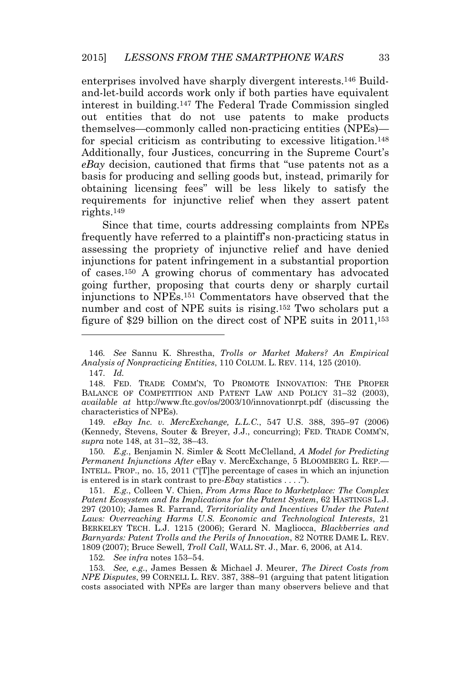enterprises involved have sharply divergent interests.<sup>146</sup> Buildand-let-build accords work only if both parties have equivalent interest in building.<sup>147</sup> The Federal Trade Commission singled out entities that do not use patents to make products themselves—commonly called non-practicing entities (NPEs) for special criticism as contributing to excessive litigation.<sup>148</sup> Additionally, four Justices, concurring in the Supreme Court's *eBay* decision, cautioned that firms that "use patents not as a basis for producing and selling goods but, instead, primarily for obtaining licensing fees" will be less likely to satisfy the requirements for injunctive relief when they assert patent rights.<sup>149</sup>

Since that time, courts addressing complaints from NPEs frequently have referred to a plaintiff's non-practicing status in assessing the propriety of injunctive relief and have denied injunctions for patent infringement in a substantial proportion of cases.<sup>150</sup> A growing chorus of commentary has advocated going further, proposing that courts deny or sharply curtail injunctions to NPEs.<sup>151</sup> Commentators have observed that the number and cost of NPE suits is rising.<sup>152</sup> Two scholars put a figure of \$29 billion on the direct cost of NPE suits in 2011,<sup>153</sup>

149*. eBay Inc. v. MercExchange, L.L.C.*, 547 U.S. 388, 395–97 (2006) (Kennedy, Stevens, Souter & Breyer, J.J., concurring); FED. TRADE COMM'N, *supra* note 148, at 31–32, 38–43.

150*. E.g.*, Benjamin N. Simler & Scott McClelland, *A Model for Predicting Permanent Injunctions After* eBay v. MercExchange, 5 BLOOMBERG L. REP.— INTELL. PROP., no. 15, 2011 ("[T]he percentage of cases in which an injunction is entered is in stark contrast to pre*-Ebay* statistics . . . .").

151*. E.g.*, Colleen V. Chien, *From Arms Race to Marketplace: The Complex Patent Ecosystem and Its Implications for the Patent System*, 62 HASTINGS L.J. 297 (2010); James R. Farrand, *Territoriality and Incentives Under the Patent Laws: Overreaching Harms U.S. Economic and Technological Interests*, 21 BERKELEY TECH. L.J. 1215 (2006); Gerard N. Magliocca, *Blackberries and Barnyards: Patent Trolls and the Perils of Innovation*, 82 NOTRE DAME L. REV. 1809 (2007); Bruce Sewell, *Troll Call*, WALL ST. J., Mar. 6, 2006, at A14.

152*. See infra* notes 153–54.

153*. See, e.g.*, James Bessen & Michael J. Meurer, *The Direct Costs from NPE Disputes*, 99 CORNELL L. REV. 387, 388–91 (arguing that patent litigation costs associated with NPEs are larger than many observers believe and that

<sup>146</sup>*. See* Sannu K. Shrestha, *Trolls or Market Makers? An Empirical Analysis of Nonpracticing Entities*, 110 COLUM. L. REV. 114, 125 (2010).

<sup>147</sup>*. Id.*

<sup>148.</sup> FED. TRADE COMM'N, T<sup>O</sup> PROMOTE INNOVATION: THE PROPER BALANCE OF COMPETITION AND PATENT LAW AND POLICY 31–32 (2003), *available at* http://www.ftc.gov/os/2003/10/innovationrpt.pdf (discussing the characteristics of NPEs).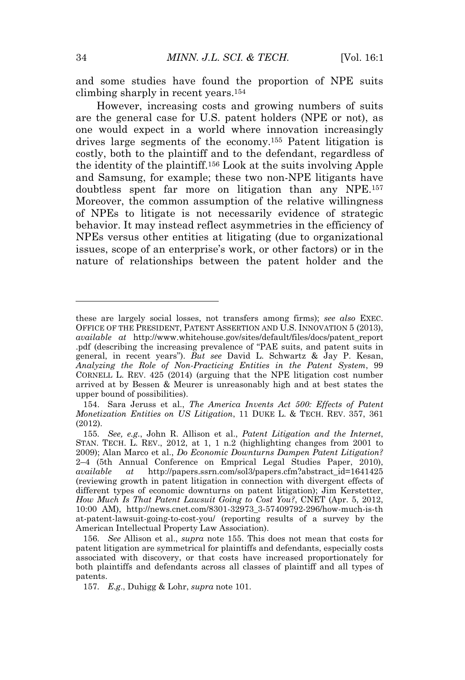and some studies have found the proportion of NPE suits climbing sharply in recent years.<sup>154</sup>

However, increasing costs and growing numbers of suits are the general case for U.S. patent holders (NPE or not), as one would expect in a world where innovation increasingly drives large segments of the economy.<sup>155</sup> Patent litigation is costly, both to the plaintiff and to the defendant, regardless of the identity of the plaintiff.<sup>156</sup> Look at the suits involving Apple and Samsung, for example; these two non-NPE litigants have doubtless spent far more on litigation than any NPE.<sup>157</sup> Moreover, the common assumption of the relative willingness of NPEs to litigate is not necessarily evidence of strategic behavior. It may instead reflect asymmetries in the efficiency of NPEs versus other entities at litigating (due to organizational issues, scope of an enterprise's work, or other factors) or in the nature of relationships between the patent holder and the

these are largely social losses, not transfers among firms); *see also* EXEC. OFFICE OF THE PRESIDENT, PATENT ASSERTION AND U.S. INNOVATION 5 (2013), *available at* http://www.whitehouse.gov/sites/default/files/docs/patent\_report .pdf (describing the increasing prevalence of "PAE suits, and patent suits in general, in recent years"). *But see* David L. Schwartz & Jay P. Kesan, *Analyzing the Role of Non-Practicing Entities in the Patent System*, 99 CORNELL L. REV. 425 (2014) (arguing that the NPE litigation cost number arrived at by Bessen & Meurer is unreasonably high and at best states the upper bound of possibilities).

<sup>154.</sup> Sara Jeruss et al., *The America Invents Act 500: Effects of Patent Monetization Entities on US Litigation*, 11 DUKE L. & TECH. REV. 357, 361 (2012).

<sup>155</sup>*. See, e.g.*, John R. Allison et al., *Patent Litigation and the Internet*, STAN. TECH. L. REV., 2012, at 1, 1 n.2 (highlighting changes from 2001 to 2009); Alan Marco et al., *Do Economic Downturns Dampen Patent Litigation?* 2–4 (5th Annual Conference on Emprical Legal Studies Paper, 2010), *available at* http://papers.ssrn.com/sol3/papers.cfm?abstract\_id=1641425 (reviewing growth in patent litigation in connection with divergent effects of different types of economic downturns on patent litigation); Jim Kerstetter, *How Much Is That Patent Lawsuit Going to Cost You?*, CNET (Apr. 5, 2012, 10:00 AM), http://news.cnet.com/8301-32973\_3-57409792-296/how-much-is-th at-patent-lawsuit-going-to-cost-you/ (reporting results of a survey by the American Intellectual Property Law Association).

<sup>156</sup>*. See* Allison et al., *supra* note 155. This does not mean that costs for patent litigation are symmetrical for plaintiffs and defendants, especially costs associated with discovery, or that costs have increased proportionately for both plaintiffs and defendants across all classes of plaintiff and all types of patents.

<sup>157</sup>*. E.g*., Duhigg & Lohr, *supra* note 101.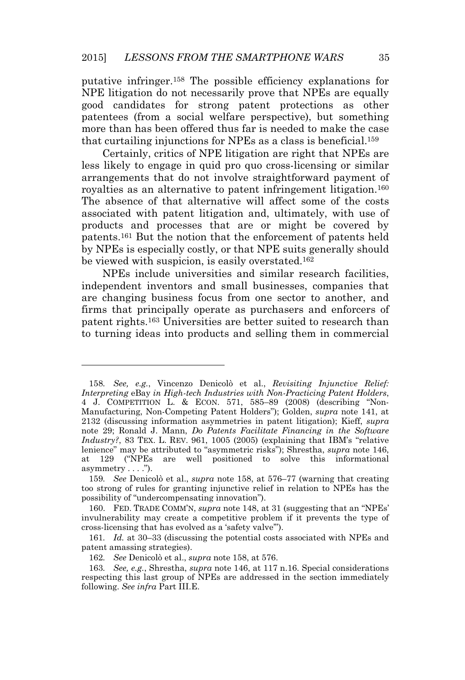putative infringer.<sup>158</sup> The possible efficiency explanations for NPE litigation do not necessarily prove that NPEs are equally good candidates for strong patent protections as other patentees (from a social welfare perspective), but something more than has been offered thus far is needed to make the case that curtailing injunctions for NPEs as a class is beneficial.<sup>159</sup>

Certainly, critics of NPE litigation are right that NPEs are less likely to engage in quid pro quo cross-licensing or similar arrangements that do not involve straightforward payment of royalties as an alternative to patent infringement litigation.<sup>160</sup> The absence of that alternative will affect some of the costs associated with patent litigation and, ultimately, with use of products and processes that are or might be covered by patents.<sup>161</sup> But the notion that the enforcement of patents held by NPEs is especially costly, or that NPE suits generally should be viewed with suspicion, is easily overstated.<sup>162</sup>

NPEs include universities and similar research facilities, independent inventors and small businesses, companies that are changing business focus from one sector to another, and firms that principally operate as purchasers and enforcers of patent rights.<sup>163</sup> Universities are better suited to research than to turning ideas into products and selling them in commercial

<sup>158</sup>*. See, e.g.*, Vincenzo Denicolò et al., *Revisiting Injunctive Relief: Interpreting* eBay *in High-tech Industries with Non-Practicing Patent Holders*, 4 J. COMPETITION L. & ECON. 571, 585–89 (2008) (describing "Non-Manufacturing, Non-Competing Patent Holders"); Golden, *supra* note 141, at 2132 (discussing information asymmetries in patent litigation); Kieff, *supra* note 29; Ronald J. Mann, *Do Patents Facilitate Financing in the Software Industry?*, 83 TEX. L. REV. 961, 1005 (2005) (explaining that IBM's "relative lenience" may be attributed to "asymmetric risks"); Shrestha, *supra* note 146, at 129 ("NPEs are well positioned to solve this informational asymmetry  $\dots$ .").

<sup>159</sup>*. See* Denicolò et al., *supra* note 158, at 576–77 (warning that creating too strong of rules for granting injunctive relief in relation to NPEs has the possibility of "undercompensating innovation").

<sup>160.</sup> FED. TRADE COMM'N, *supra* note 148, at 31 (suggesting that an "NPEs' invulnerability may create a competitive problem if it prevents the type of cross-licensing that has evolved as a 'safety valve'").

<sup>161</sup>*. Id.* at 30–33 (discussing the potential costs associated with NPEs and patent amassing strategies).

<sup>162</sup>*. See* Denicolò et al., *supra* note 158, at 576.

<sup>163</sup>*. See, e.g.*, Shrestha, *supra* note 146, at 117 n.16. Special considerations respecting this last group of NPEs are addressed in the section immediately following. *See infra* Part III.E.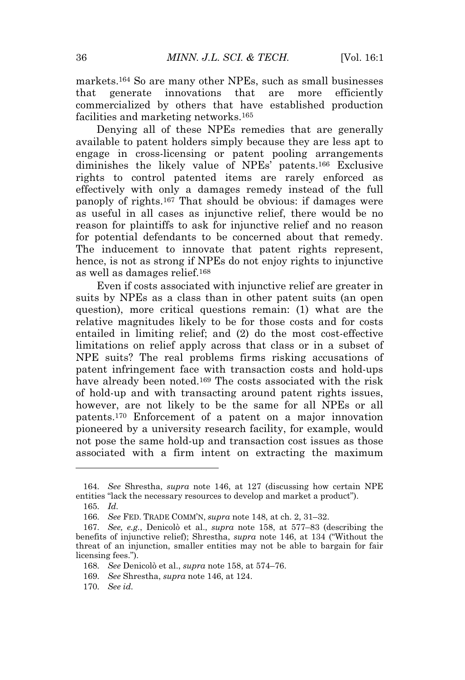markets.<sup>164</sup> So are many other NPEs, such as small businesses that generate innovations that are more efficiently commercialized by others that have established production facilities and marketing networks.<sup>165</sup>

Denying all of these NPEs remedies that are generally available to patent holders simply because they are less apt to engage in cross-licensing or patent pooling arrangements diminishes the likely value of NPEs' patents.<sup>166</sup> Exclusive rights to control patented items are rarely enforced as effectively with only a damages remedy instead of the full panoply of rights.<sup>167</sup> That should be obvious: if damages were as useful in all cases as injunctive relief, there would be no reason for plaintiffs to ask for injunctive relief and no reason for potential defendants to be concerned about that remedy. The inducement to innovate that patent rights represent, hence, is not as strong if NPEs do not enjoy rights to injunctive as well as damages relief.<sup>168</sup>

Even if costs associated with injunctive relief are greater in suits by NPEs as a class than in other patent suits (an open question), more critical questions remain: (1) what are the relative magnitudes likely to be for those costs and for costs entailed in limiting relief; and (2) do the most cost-effective limitations on relief apply across that class or in a subset of NPE suits? The real problems firms risking accusations of patent infringement face with transaction costs and hold-ups have already been noted.<sup>169</sup> The costs associated with the risk of hold-up and with transacting around patent rights issues, however, are not likely to be the same for all NPEs or all patents.<sup>170</sup> Enforcement of a patent on a major innovation pioneered by a university research facility, for example, would not pose the same hold-up and transaction cost issues as those associated with a firm intent on extracting the maximum

<sup>164</sup>*. See* Shrestha, *supra* note 146, at 127 (discussing how certain NPE entities "lack the necessary resources to develop and market a product").

<sup>165</sup>*. Id.*

<sup>166</sup>*. See* FED. TRADE COMM'N, *supra* note 148, at ch. 2, 31–32.

<sup>167</sup>*. See, e.g.*, Denicolò et al., *supra* note 158, at 577–83 (describing the benefits of injunctive relief); Shrestha, *supra* note 146, at 134 ("Without the threat of an injunction, smaller entities may not be able to bargain for fair licensing fees.").

<sup>168</sup>*. See* Denicolò et al., *supra* note 158, at 574–76.

<sup>169</sup>*. See* Shrestha, *supra* note 146, at 124.

<sup>170</sup>*. See id.*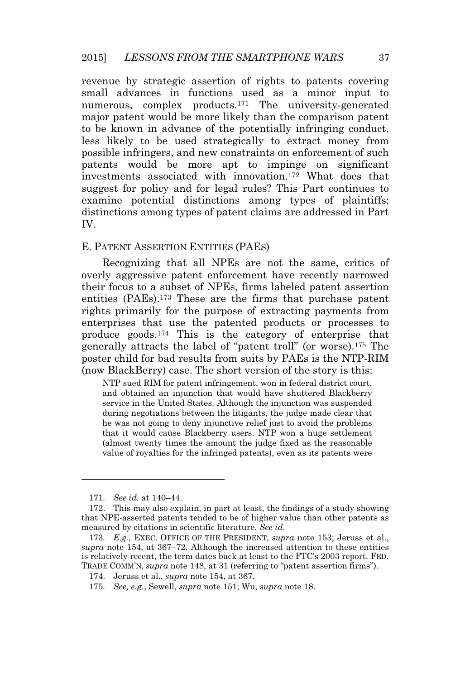revenue by strategic assertion of rights to patents covering small advances in functions used as a minor input to numerous, complex products.<sup>171</sup> The university-generated major patent would be more likely than the comparison patent to be known in advance of the potentially infringing conduct, less likely to be used strategically to extract money from possible infringers, and new constraints on enforcement of such patents would be more apt to impinge on significant investments associated with innovation.<sup>172</sup> What does that suggest for policy and for legal rules? This Part continues to examine potential distinctions among types of plaintiffs; distinctions among types of patent claims are addressed in Part IV.

#### E. PATENT ASSERTION ENTITIES (PAES)

Recognizing that all NPEs are not the same, critics of overly aggressive patent enforcement have recently narrowed their focus to a subset of NPEs, firms labeled patent assertion entities (PAEs).<sup>173</sup> These are the firms that purchase patent rights primarily for the purpose of extracting payments from enterprises that use the patented products or processes to produce goods.<sup>174</sup> This is the category of enterprise that generally attracts the label of "patent troll" (or worse).<sup>175</sup> The poster child for bad results from suits by PAEs is the NTP-RIM (now BlackBerry) case. The short version of the story is this:

NTP sued RIM for patent infringement, won in federal district court, and obtained an injunction that would have shuttered Blackberry service in the United States. Although the injunction was suspended during negotiations between the litigants, the judge made clear that he was not going to deny injunctive relief just to avoid the problems that it would cause Blackberry users. NTP won a huge settlement (almost twenty times the amount the judge fixed as the reasonable value of royalties for the infringed patents), even as its patents were

<sup>171</sup>*. See id.* at 140–44.

<sup>172.</sup> This may also explain, in part at least, the findings of a study showing that NPE-asserted patents tended to be of higher value than other patents as measured by citations in scientific literature. *See id*.

<sup>173</sup>*. E.g.*, EXEC. OFFICE OF THE PRESIDENT, *supra* note 153; Jeruss et al., *supra* note 154, at 367–72. Although the increased attention to these entities is relatively recent, the term dates back at least to the FTC's 2003 report. FED. TRADE COMM'N, *supra* note 148, at 31 (referring to "patent assertion firms").

<sup>174.</sup> Jeruss et al., *supra* note 154, at 367.

<sup>175</sup>*. See, e.g.*, Sewell, *supra* note 151; Wu, *supra* note 18.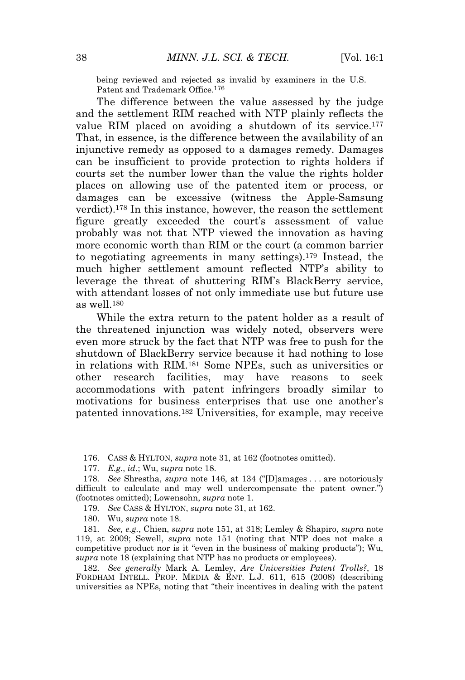being reviewed and rejected as invalid by examiners in the U.S. Patent and Trademark Office.176

The difference between the value assessed by the judge and the settlement RIM reached with NTP plainly reflects the value RIM placed on avoiding a shutdown of its service.<sup>177</sup> That, in essence, is the difference between the availability of an injunctive remedy as opposed to a damages remedy. Damages can be insufficient to provide protection to rights holders if courts set the number lower than the value the rights holder places on allowing use of the patented item or process, or damages can be excessive (witness the Apple-Samsung verdict).<sup>178</sup> In this instance, however, the reason the settlement figure greatly exceeded the court's assessment of value probably was not that NTP viewed the innovation as having more economic worth than RIM or the court (a common barrier to negotiating agreements in many settings).<sup>179</sup> Instead, the much higher settlement amount reflected NTP's ability to leverage the threat of shuttering RIM's BlackBerry service, with attendant losses of not only immediate use but future use as well.<sup>180</sup>

While the extra return to the patent holder as a result of the threatened injunction was widely noted, observers were even more struck by the fact that NTP was free to push for the shutdown of BlackBerry service because it had nothing to lose in relations with RIM.<sup>181</sup> Some NPEs, such as universities or other research facilities, may have reasons to seek accommodations with patent infringers broadly similar to motivations for business enterprises that use one another's patented innovations.<sup>182</sup> Universities, for example, may receive

180. Wu, *supra* note 18.

<sup>176.</sup> CASS & HYLTON, *supra* note 31, at 162 (footnotes omitted).

<sup>177</sup>*. E.g.*, *id*.; Wu, *supra* note 18.

<sup>178</sup>*. See* Shrestha, *supra* note 146, at 134 ("[D]amages . . . are notoriously difficult to calculate and may well undercompensate the patent owner.") (footnotes omitted); Lowensohn, *supra* note 1.

<sup>179</sup>*. See* CASS & HYLTON, *supra* note 31, at 162.

<sup>181</sup>*. See, e.g.*, Chien, *supra* note 151, at 318; Lemley & Shapiro, *supra* note 119, at 2009; Sewell, *supra* note 151 (noting that NTP does not make a competitive product nor is it "even in the business of making products"); Wu, *supra* note 18 (explaining that NTP has no products or employees).

<sup>182</sup>*. See generally* Mark A. Lemley, *Are Universities Patent Trolls?*, 18 FORDHAM INTELL. PROP. MEDIA & ENT. L.J. 611, 615 (2008) (describing universities as NPEs, noting that "their incentives in dealing with the patent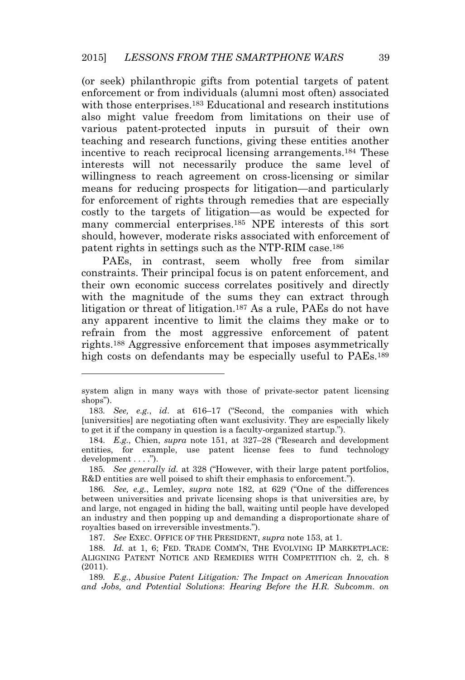(or seek) philanthropic gifts from potential targets of patent enforcement or from individuals (alumni most often) associated with those enterprises.<sup>183</sup> Educational and research institutions also might value freedom from limitations on their use of various patent-protected inputs in pursuit of their own teaching and research functions, giving these entities another incentive to reach reciprocal licensing arrangements.<sup>184</sup> These interests will not necessarily produce the same level of willingness to reach agreement on cross-licensing or similar means for reducing prospects for litigation—and particularly for enforcement of rights through remedies that are especially costly to the targets of litigation—as would be expected for many commercial enterprises.<sup>185</sup> NPE interests of this sort should, however, moderate risks associated with enforcement of patent rights in settings such as the NTP-RIM case.<sup>186</sup>

PAEs, in contrast, seem wholly free from similar constraints. Their principal focus is on patent enforcement, and their own economic success correlates positively and directly with the magnitude of the sums they can extract through litigation or threat of litigation.<sup>187</sup> As a rule, PAEs do not have any apparent incentive to limit the claims they make or to refrain from the most aggressive enforcement of patent rights.<sup>188</sup> Aggressive enforcement that imposes asymmetrically high costs on defendants may be especially useful to PAEs.<sup>189</sup>

185*. See generally id.* at 328 ("However, with their large patent portfolios, R&D entities are well poised to shift their emphasis to enforcement.").

187*. See* EXEC. OFFICE OF THE PRESIDENT, *supra* note 153, at 1.

system align in many ways with those of private-sector patent licensing shops").

<sup>183</sup>*. See, e.g.*, *id*. at 616–17 ("Second, the companies with which [universities] are negotiating often want exclusivity. They are especially likely to get it if the company in question is a faculty-organized startup.").

<sup>184</sup>*. E.g.*, Chien, *supra* note 151, at 327–28 ("Research and development entities, for example, use patent license fees to fund technology development . . . .").

<sup>186</sup>*. See, e.g.*, Lemley, *supra* note 182, at 629 ("One of the differences between universities and private licensing shops is that universities are, by and large, not engaged in hiding the ball, waiting until people have developed an industry and then popping up and demanding a disproportionate share of royalties based on irreversible investments.").

<sup>188</sup>*. Id.* at 1, 6; FED. TRADE COMM'N, THE EVOLVING IP MARKETPLACE: ALIGNING PATENT NOTICE AND REMEDIES WITH COMPETITION ch. 2, ch. 8 (2011).

<sup>189</sup>*. E.g.*, *Abusive Patent Litigation: The Impact on American Innovation and Jobs, and Potential Solutions*: *Hearing Before the H.R. Subcomm. on*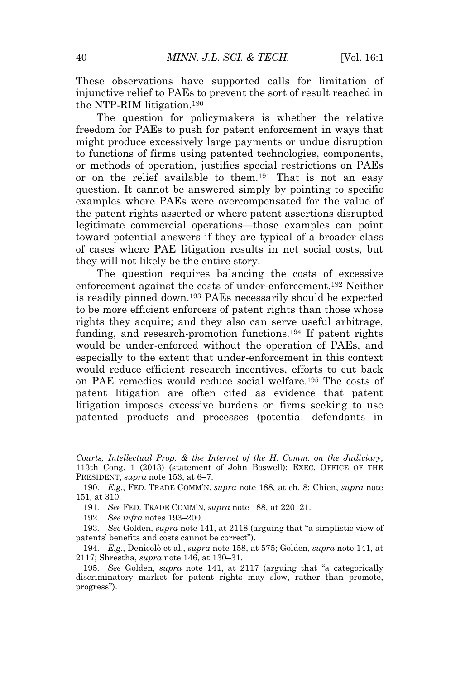These observations have supported calls for limitation of injunctive relief to PAEs to prevent the sort of result reached in the NTP-RIM litigation.<sup>190</sup>

The question for policymakers is whether the relative freedom for PAEs to push for patent enforcement in ways that might produce excessively large payments or undue disruption to functions of firms using patented technologies, components, or methods of operation, justifies special restrictions on PAEs or on the relief available to them.<sup>191</sup> That is not an easy question. It cannot be answered simply by pointing to specific examples where PAEs were overcompensated for the value of the patent rights asserted or where patent assertions disrupted legitimate commercial operations—those examples can point toward potential answers if they are typical of a broader class of cases where PAE litigation results in net social costs, but they will not likely be the entire story.

The question requires balancing the costs of excessive enforcement against the costs of under-enforcement.<sup>192</sup> Neither is readily pinned down.<sup>193</sup> PAEs necessarily should be expected to be more efficient enforcers of patent rights than those whose rights they acquire; and they also can serve useful arbitrage, funding, and research-promotion functions.<sup>194</sup> If patent rights would be under-enforced without the operation of PAEs, and especially to the extent that under-enforcement in this context would reduce efficient research incentives, efforts to cut back on PAE remedies would reduce social welfare.<sup>195</sup> The costs of patent litigation are often cited as evidence that patent litigation imposes excessive burdens on firms seeking to use patented products and processes (potential defendants in

*Courts, Intellectual Prop. & the Internet of the H. Comm. on the Judiciary*, 113th Cong. 1 (2013) (statement of John Boswell); EXEC. OFFICE OF THE PRESIDENT, *supra* note 153, at 6–7.

<sup>190</sup>*. E.g.*, FED. TRADE COMM'N, *supra* note 188, at ch. 8; Chien, *supra* note 151, at 310.

<sup>191</sup>*. See* FED. TRADE COMM'N, *supra* note 188, at 220–21.

<sup>192</sup>*. See infra* notes 193–200.

<sup>193</sup>*. See* Golden, *supra* note 141, at 2118 (arguing that "a simplistic view of patents' benefits and costs cannot be correct").

<sup>194</sup>*. E.g.*, Denicolò et al., *supra* note 158, at 575; Golden, *supra* note 141, at 2117; Shrestha, *supra* note 146, at 130–31.

<sup>195</sup>*. See* Golden, *supra* note 141, at 2117 (arguing that "a categorically discriminatory market for patent rights may slow, rather than promote, progress").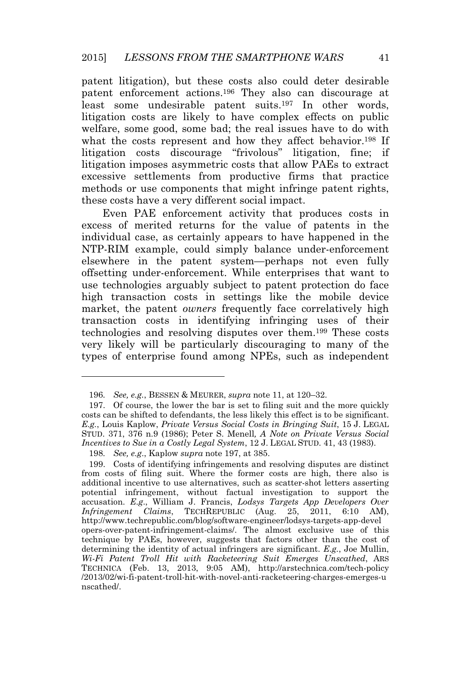patent litigation), but these costs also could deter desirable patent enforcement actions.<sup>196</sup> They also can discourage at least some undesirable patent suits.<sup>197</sup> In other words, litigation costs are likely to have complex effects on public welfare, some good, some bad; the real issues have to do with what the costs represent and how they affect behavior.<sup>198</sup> If litigation costs discourage "frivolous" litigation, fine; if litigation imposes asymmetric costs that allow PAEs to extract excessive settlements from productive firms that practice methods or use components that might infringe patent rights, these costs have a very different social impact.

Even PAE enforcement activity that produces costs in excess of merited returns for the value of patents in the individual case, as certainly appears to have happened in the NTP-RIM example, could simply balance under-enforcement elsewhere in the patent system—perhaps not even fully offsetting under-enforcement. While enterprises that want to use technologies arguably subject to patent protection do face high transaction costs in settings like the mobile device market, the patent *owners* frequently face correlatively high transaction costs in identifying infringing uses of their technologies and resolving disputes over them.<sup>199</sup> These costs very likely will be particularly discouraging to many of the types of enterprise found among NPEs, such as independent

<sup>196</sup>*. See, e.g.*, BESSEN & MEURER, *supra* note 11, at 120–32.

<sup>197.</sup> Of course, the lower the bar is set to filing suit and the more quickly costs can be shifted to defendants, the less likely this effect is to be significant. *E.g.*, Louis Kaplow, *Private Versus Social Costs in Bringing Suit*, 15 J. LEGAL STUD. 371, 376 n.9 (1986); Peter S. Menell*, A Note on Private Versus Social Incentives to Sue in a Costly Legal System*, 12 J. LEGAL STUD. 41, 43 (1983).

<sup>198</sup>*. See, e.g*., Kaplow *supra* note 197, at 385.

<sup>199.</sup> Costs of identifying infringements and resolving disputes are distinct from costs of filing suit. Where the former costs are high, there also is additional incentive to use alternatives, such as scatter-shot letters asserting potential infringement, without factual investigation to support the accusation. *E.g*., William J. Francis, *Lodsys Targets App Developers Over Infringement Claims*, TECHREPUBLIC (Aug. 25, 2011, 6:10 AM), http://www.techrepublic.com/blog/software-engineer/lodsys-targets-app-devel opers-over-patent-infringement-claims/. The almost exclusive use of this technique by PAEs, however, suggests that factors other than the cost of determining the identity of actual infringers are significant. *E.g.*, Joe Mullin, *Wi-Fi Patent Troll Hit with Racketeering Suit Emerges Unscathed*, ARS TECHNICA (Feb. 13, 2013, 9:05 AM), http://arstechnica.com/tech-policy /2013/02/wi-fi-patent-troll-hit-with-novel-anti-racketeering-charges-emerges-u nscathed/.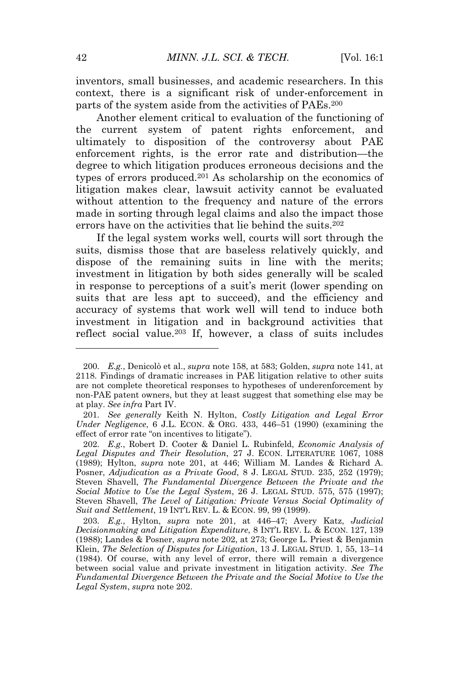inventors, small businesses, and academic researchers. In this context, there is a significant risk of under-enforcement in parts of the system aside from the activities of PAEs.<sup>200</sup>

Another element critical to evaluation of the functioning of the current system of patent rights enforcement, and ultimately to disposition of the controversy about PAE enforcement rights, is the error rate and distribution—the degree to which litigation produces erroneous decisions and the types of errors produced.<sup>201</sup> As scholarship on the economics of litigation makes clear, lawsuit activity cannot be evaluated without attention to the frequency and nature of the errors made in sorting through legal claims and also the impact those errors have on the activities that lie behind the suits.<sup>202</sup>

If the legal system works well, courts will sort through the suits, dismiss those that are baseless relatively quickly, and dispose of the remaining suits in line with the merits; investment in litigation by both sides generally will be scaled in response to perceptions of a suit's merit (lower spending on suits that are less apt to succeed), and the efficiency and accuracy of systems that work well will tend to induce both investment in litigation and in background activities that reflect social value.<sup>203</sup> If, however, a class of suits includes

<sup>200</sup>*. E.g.*, Denicolò et al., *supra* note 158, at 583; Golden, *supra* note 141, at 2118. Findings of dramatic increases in PAE litigation relative to other suits are not complete theoretical responses to hypotheses of underenforcement by non-PAE patent owners, but they at least suggest that something else may be at play. *See infra* Part IV.

<sup>201</sup>*. See generally* Keith N. Hylton, *Costly Litigation and Legal Error Under Negligence*, 6 J.L. ECON. & ORG. 433, 446–51 (1990) (examining the effect of error rate "on incentives to litigate").

<sup>202</sup>*. E.g.*, Robert D. Cooter & Daniel L. Rubinfeld, *Economic Analysis of Legal Disputes and Their Resolution*, 27 J. ECON. LITERATURE 1067, 1088 (1989); Hylton, *supra* note 201, at 446; William M. Landes & Richard A. Posner, *Adjudication as a Private Good*, 8 J. LEGAL STUD. 235, 252 (1979); Steven Shavell, *The Fundamental Divergence Between the Private and the Social Motive to Use the Legal System*, 26 J. LEGAL STUD. 575, 575 (1997); Steven Shavell, *The Level of Litigation: Private Versus Social Optimality of Suit and Settlement*, 19 INT'<sup>L</sup> REV. L. & ECON. 99, 99 (1999).

<sup>203</sup>*. E.g.*, Hylton, *supra* note 201, at 446–47; Avery Katz, *Judicial Decisionmaking and Litigation Expenditure*, 8 INT'<sup>L</sup> REV. L. & ECON. 127, 139 (1988); Landes & Posner, *supra* note 202, at 273; George L. Priest & Benjamin Klein, *The Selection of Disputes for Litigation*, 13 J. LEGAL STUD. 1, 55, 13–14 (1984). Of course, with any level of error, there will remain a divergence between social value and private investment in litigation activity. *See The Fundamental Divergence Between the Private and the Social Motive to Use the Legal System*, *supra* note 202.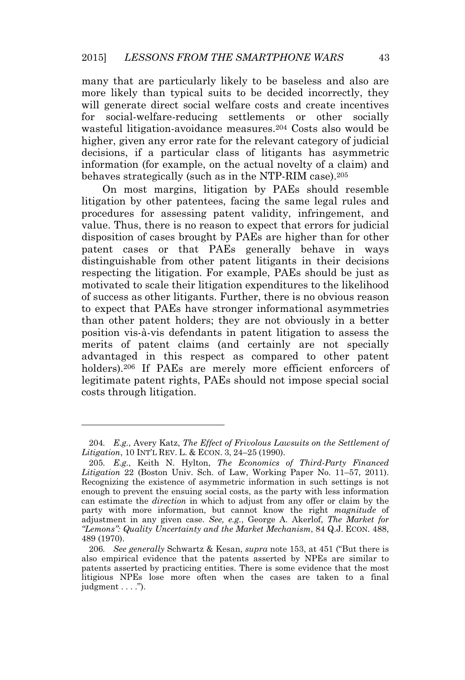many that are particularly likely to be baseless and also are more likely than typical suits to be decided incorrectly, they will generate direct social welfare costs and create incentives for social-welfare-reducing settlements or other socially wasteful litigation-avoidance measures.<sup>204</sup> Costs also would be higher, given any error rate for the relevant category of judicial decisions, if a particular class of litigants has asymmetric information (for example, on the actual novelty of a claim) and behaves strategically (such as in the NTP-RIM case).<sup>205</sup>

On most margins, litigation by PAEs should resemble litigation by other patentees, facing the same legal rules and procedures for assessing patent validity, infringement, and value. Thus, there is no reason to expect that errors for judicial disposition of cases brought by PAEs are higher than for other patent cases or that PAEs generally behave in ways distinguishable from other patent litigants in their decisions respecting the litigation. For example, PAEs should be just as motivated to scale their litigation expenditures to the likelihood of success as other litigants. Further, there is no obvious reason to expect that PAEs have stronger informational asymmetries than other patent holders; they are not obviously in a better position vis-à-vis defendants in patent litigation to assess the merits of patent claims (and certainly are not specially advantaged in this respect as compared to other patent holders).<sup>206</sup> If PAEs are merely more efficient enforcers of legitimate patent rights, PAEs should not impose special social costs through litigation.

<sup>204</sup>*. E.g.*, Avery Katz, *The Effect of Frivolous Lawsuits on the Settlement of Litigation*, 10 INT'<sup>L</sup> REV. L. & ECON. 3, 24–25 (1990).

<sup>205</sup>*. E.g.*, Keith N. Hylton, *The Economics of Third-Party Financed Litigation* 22 (Boston Univ. Sch. of Law, Working Paper No. 11–57, 2011). Recognizing the existence of asymmetric information in such settings is not enough to prevent the ensuing social costs, as the party with less information can estimate the *direction* in which to adjust from any offer or claim by the party with more information, but cannot know the right *magnitude* of adjustment in any given case. *See, e.g.*, George A. Akerlof, *The Market for "Lemons": Quality Uncertainty and the Market Mechanism*, 84 Q.J. ECON. 488, 489 (1970).

<sup>206</sup>*. See generally* Schwartz & Kesan, *supra* note 153, at 451 ("But there is also empirical evidence that the patents asserted by NPEs are similar to patents asserted by practicing entities. There is some evidence that the most litigious NPEs lose more often when the cases are taken to a final judgment . . . .").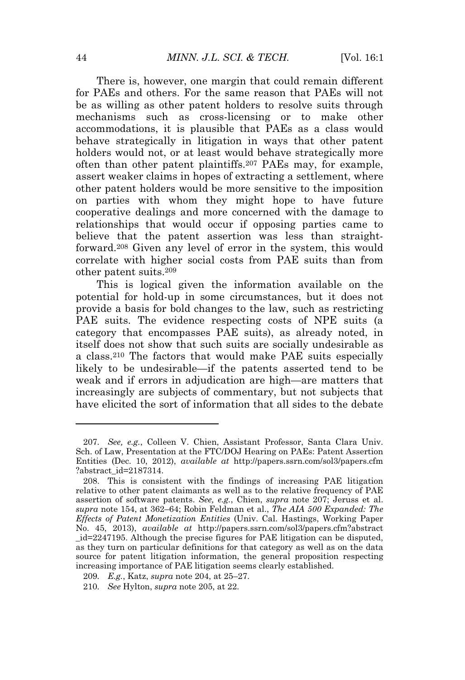There is, however, one margin that could remain different for PAEs and others. For the same reason that PAEs will not be as willing as other patent holders to resolve suits through mechanisms such as cross-licensing or to make other accommodations, it is plausible that PAEs as a class would behave strategically in litigation in ways that other patent holders would not, or at least would behave strategically more often than other patent plaintiffs.<sup>207</sup> PAEs may, for example, assert weaker claims in hopes of extracting a settlement, where other patent holders would be more sensitive to the imposition on parties with whom they might hope to have future cooperative dealings and more concerned with the damage to relationships that would occur if opposing parties came to believe that the patent assertion was less than straightforward.<sup>208</sup> Given any level of error in the system, this would correlate with higher social costs from PAE suits than from other patent suits.<sup>209</sup>

This is logical given the information available on the potential for hold-up in some circumstances, but it does not provide a basis for bold changes to the law, such as restricting PAE suits. The evidence respecting costs of NPE suits (a category that encompasses PAE suits), as already noted, in itself does not show that such suits are socially undesirable as a class.<sup>210</sup> The factors that would make PAE suits especially likely to be undesirable—if the patents asserted tend to be weak and if errors in adjudication are high—are matters that increasingly are subjects of commentary, but not subjects that have elicited the sort of information that all sides to the debate

<sup>207</sup>*. See, e.g.*, Colleen V. Chien, Assistant Professor, Santa Clara Univ. Sch. of Law, Presentation at the FTC/DOJ Hearing on PAEs: Patent Assertion Entities (Dec. 10, 2012), *available at* http://papers.ssrn.com/sol3/papers.cfm ?abstract\_id=2187314.

<sup>208.</sup> This is consistent with the findings of increasing PAE litigation relative to other patent claimants as well as to the relative frequency of PAE assertion of software patents. *See, e.g.*, Chien, *supra* note 207; Jeruss et al. *supra* note 154, at 362–64; Robin Feldman et al., *The AIA 500 Expanded: The Effects of Patent Monetization Entities* (Univ. Cal. Hastings, Working Paper No. 45, 2013), *available at* http://papers.ssrn.com/sol3/papers.cfm?abstract \_id=2247195. Although the precise figures for PAE litigation can be disputed, as they turn on particular definitions for that category as well as on the data source for patent litigation information, the general proposition respecting increasing importance of PAE litigation seems clearly established.

<sup>209</sup>*. E.g.*, Katz, *supra* note 204, at 25–27.

<sup>210</sup>*. See* Hylton, *supra* note 205, at 22.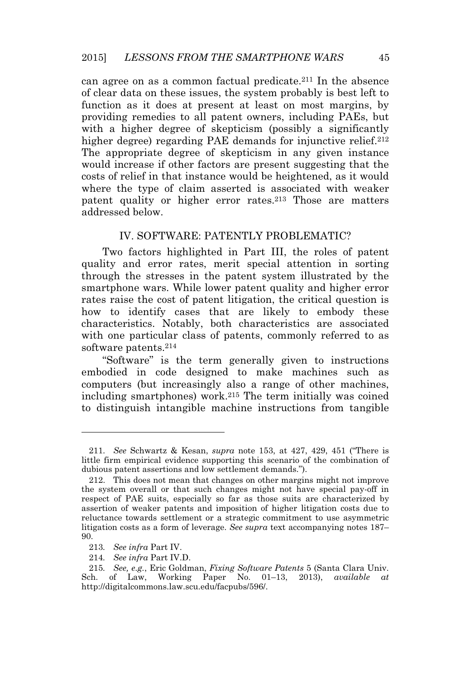can agree on as a common factual predicate.<sup>211</sup> In the absence of clear data on these issues, the system probably is best left to function as it does at present at least on most margins, by providing remedies to all patent owners, including PAEs, but with a higher degree of skepticism (possibly a significantly higher degree) regarding PAE demands for injunctive relief.<sup>212</sup> The appropriate degree of skepticism in any given instance would increase if other factors are present suggesting that the costs of relief in that instance would be heightened, as it would where the type of claim asserted is associated with weaker patent quality or higher error rates.<sup>213</sup> Those are matters addressed below.

#### IV. SOFTWARE: PATENTLY PROBLEMATIC?

Two factors highlighted in Part III, the roles of patent quality and error rates, merit special attention in sorting through the stresses in the patent system illustrated by the smartphone wars. While lower patent quality and higher error rates raise the cost of patent litigation, the critical question is how to identify cases that are likely to embody these characteristics. Notably, both characteristics are associated with one particular class of patents, commonly referred to as software patents.<sup>214</sup>

"Software" is the term generally given to instructions embodied in code designed to make machines such as computers (but increasingly also a range of other machines, including smartphones) work.<sup>215</sup> The term initially was coined to distinguish intangible machine instructions from tangible

<sup>211</sup>*. See* Schwartz & Kesan, *supra* note 153, at 427, 429, 451 ("There is little firm empirical evidence supporting this scenario of the combination of dubious patent assertions and low settlement demands.").

<sup>212.</sup> This does not mean that changes on other margins might not improve the system overall or that such changes might not have special pay-off in respect of PAE suits, especially so far as those suits are characterized by assertion of weaker patents and imposition of higher litigation costs due to reluctance towards settlement or a strategic commitment to use asymmetric litigation costs as a form of leverage. *See supra* text accompanying notes 187– 90.

<sup>213</sup>*. See infra* Part IV.

<sup>214</sup>*. See infra* Part IV.D.

<sup>215</sup>*. See, e.g.*, Eric Goldman, *Fixing Software Patents* 5 (Santa Clara Univ. Sch. of Law, Working Paper No. 01–13, 2013), *available at* http://digitalcommons.law.scu.edu/facpubs/596/.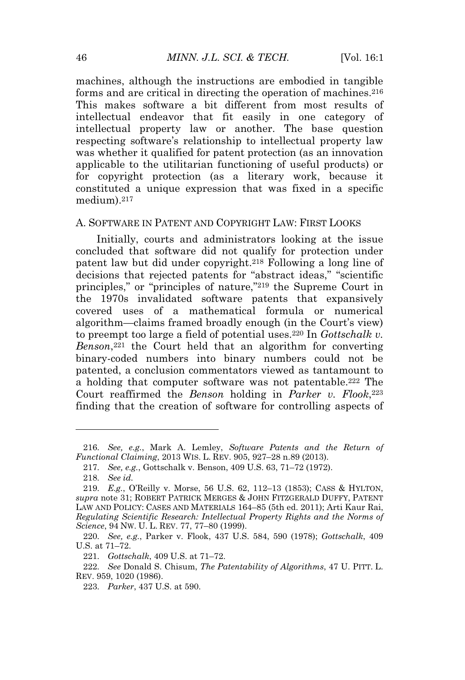machines, although the instructions are embodied in tangible forms and are critical in directing the operation of machines.<sup>216</sup> This makes software a bit different from most results of intellectual endeavor that fit easily in one category of intellectual property law or another. The base question respecting software's relationship to intellectual property law was whether it qualified for patent protection (as an innovation applicable to the utilitarian functioning of useful products) or for copyright protection (as a literary work, because it constituted a unique expression that was fixed in a specific medium).<sup>217</sup>

#### A. SOFTWARE IN PATENT AND COPYRIGHT LAW: FIRST LOOKS

Initially, courts and administrators looking at the issue concluded that software did not qualify for protection under patent law but did under copyright.<sup>218</sup> Following a long line of decisions that rejected patents for "abstract ideas," "scientific principles," or "principles of nature," <sup>219</sup> the Supreme Court in the 1970s invalidated software patents that expansively covered uses of a mathematical formula or numerical algorithm—claims framed broadly enough (in the Court's view) to preempt too large a field of potential uses.<sup>220</sup> In *Gottschalk v. Benson*, <sup>221</sup> the Court held that an algorithm for converting binary-coded numbers into binary numbers could not be patented, a conclusion commentators viewed as tantamount to a holding that computer software was not patentable.<sup>222</sup> The Court reaffirmed the *Benson* holding in *Parker v. Flook*, 223 finding that the creation of software for controlling aspects of

<sup>216</sup>*. See, e.g.*, Mark A. Lemley, *Software Patents and the Return of Functional Claiming*, 2013 WIS. L. REV. 905, 927–28 n.89 (2013).

<sup>217</sup>*. See, e.g.*, Gottschalk v. Benson, 409 U.S. 63, 71–72 (1972).

<sup>218</sup>*. See id.*

<sup>219</sup>*. E.g.*, O'Reilly v. Morse, 56 U.S. 62, 112–13 (1853); CASS & HYLTON, *supra* note 31; ROBERT PATRICK MERGES & JOHN FITZGERALD DUFFY, PATENT LAW AND POLICY: CASES AND MATERIALS 164–85 (5th ed. 2011); Arti Kaur Rai, *Regulating Scientific Research: Intellectual Property Rights and the Norms of Science*, 94 NW. U. L. REV. 77, 77–80 (1999).

<sup>220</sup>*. See, e.g.*, Parker v. Flook, 437 U.S. 584, 590 (1978); *Gottschalk*, 409 U.S. at 71–72.

<sup>221</sup>*. Gottschalk*, 409 U.S. at 71–72.

<sup>222</sup>*. See* Donald S. Chisum, *The Patentability of Algorithms*, 47 U. PITT. L. REV. 959, 1020 (1986).

<sup>223</sup>*. Parker*, 437 U.S. at 590.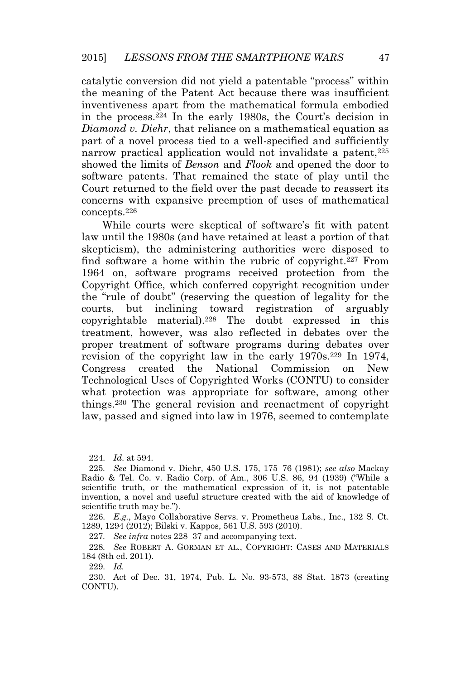catalytic conversion did not yield a patentable "process" within the meaning of the Patent Act because there was insufficient inventiveness apart from the mathematical formula embodied in the process.<sup>224</sup> In the early 1980s, the Court's decision in *Diamond v. Diehr,* that reliance on a mathematical equation as part of a novel process tied to a well-specified and sufficiently narrow practical application would not invalidate a patent,<sup>225</sup> showed the limits of *Benson* and *Flook* and opened the door to software patents. That remained the state of play until the Court returned to the field over the past decade to reassert its concerns with expansive preemption of uses of mathematical concepts.<sup>226</sup>

While courts were skeptical of software's fit with patent law until the 1980s (and have retained at least a portion of that skepticism), the administering authorities were disposed to find software a home within the rubric of copyright.<sup>227</sup> From 1964 on, software programs received protection from the Copyright Office, which conferred copyright recognition under the "rule of doubt" (reserving the question of legality for the courts, but inclining toward registration of arguably copyrightable material).<sup>228</sup> The doubt expressed in this treatment, however, was also reflected in debates over the proper treatment of software programs during debates over revision of the copyright law in the early 1970s.<sup>229</sup> In 1974, Congress created the National Commission on New Technological Uses of Copyrighted Works (CONTU) to consider what protection was appropriate for software, among other things.<sup>230</sup> The general revision and reenactment of copyright law, passed and signed into law in 1976, seemed to contemplate

229*. Id.*

<sup>224</sup>*. Id*. at 594.

<sup>225</sup>*. See* Diamond v. Diehr, 450 U.S. 175, 175–76 (1981); *see also* Mackay Radio & Tel. Co. v. Radio Corp. of Am., 306 U.S. 86, 94 (1939) ("While a scientific truth, or the mathematical expression of it, is not patentable invention, a novel and useful structure created with the aid of knowledge of scientific truth may be.").

<sup>226</sup>*. E.g.*, Mayo Collaborative Servs. v. Prometheus Labs., Inc., 132 S. Ct. 1289, 1294 (2012); Bilski v. Kappos, 561 U.S. 593 (2010).

<sup>227</sup>*. See infra* notes 228–37 and accompanying text.

<sup>228</sup>*. See* ROBERT A. GORMAN ET AL., COPYRIGHT: CASES AND MATERIALS 184 (8th ed. 2011).

<sup>230.</sup> Act of Dec. 31, 1974, Pub. L. No. 93-573, 88 Stat. 1873 (creating CONTU).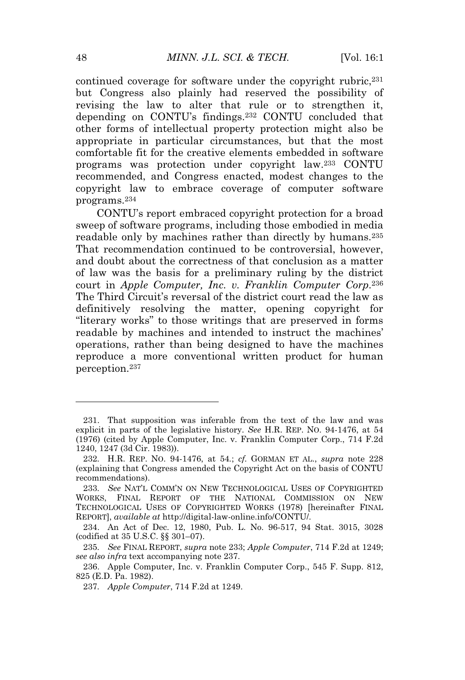continued coverage for software under the copyright rubric.<sup>231</sup> but Congress also plainly had reserved the possibility of revising the law to alter that rule or to strengthen it, depending on CONTU's findings.<sup>232</sup> CONTU concluded that other forms of intellectual property protection might also be appropriate in particular circumstances, but that the most comfortable fit for the creative elements embedded in software programs was protection under copyright law.<sup>233</sup> CONTU recommended, and Congress enacted, modest changes to the copyright law to embrace coverage of computer software programs.<sup>234</sup>

CONTU's report embraced copyright protection for a broad sweep of software programs, including those embodied in media readable only by machines rather than directly by humans.<sup>235</sup> That recommendation continued to be controversial, however, and doubt about the correctness of that conclusion as a matter of law was the basis for a preliminary ruling by the district court in *Apple Computer, Inc. v. Franklin Computer Corp*. 236 The Third Circuit's reversal of the district court read the law as definitively resolving the matter, opening copyright for "literary works" to those writings that are preserved in forms readable by machines and intended to instruct the machines' operations, rather than being designed to have the machines reproduce a more conventional written product for human perception.<sup>237</sup>

<sup>231.</sup> That supposition was inferable from the text of the law and was explicit in parts of the legislative history. *See* H.R. REP. NO. 94-1476, at 54 (1976) (cited by Apple Computer, Inc. v. Franklin Computer Corp., 714 F.2d 1240, 1247 (3d Cir. 1983)).

<sup>232</sup>*.* H.R. REP. NO. 94-1476, at 54*.*; *cf.* GORMAN ET AL., *supra* note 228 (explaining that Congress amended the Copyright Act on the basis of CONTU recommendations).

<sup>233</sup>*. See* NAT'<sup>L</sup> COMM'N ON NEW TECHNOLOGICAL USES OF COPYRIGHTED WORKS, FINAL REPORT OF THE NATIONAL COMMISSION ON NEW TECHNOLOGICAL USES OF COPYRIGHTED WORKS (1978) [hereinafter FINAL REPORT], *available at* http://digital-law-online.info/CONTU/.

<sup>234.</sup> An Act of Dec. 12, 1980, Pub. L. No. 96-517, 94 Stat. 3015, 3028 (codified at 35 U.S.C. §§ 301–07).

<sup>235</sup>*. See* FINAL REPORT, *supra* note 233; *Apple Computer*, 714 F.2d at 1249; *see also infra* text accompanying note 237.

<sup>236.</sup> Apple Computer, Inc. v. Franklin Computer Corp., 545 F. Supp. 812, 825 (E.D. Pa. 1982).

<sup>237</sup>*. Apple Computer*, 714 F.2d at 1249.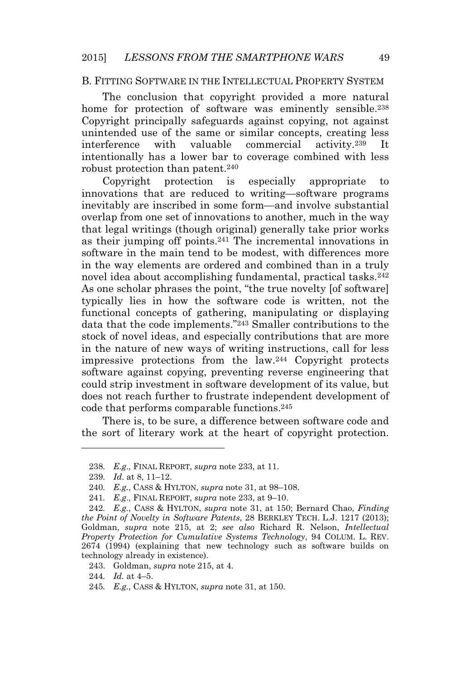#### B. FITTING SOFTWARE IN THE INTELLECTUAL PROPERTY SYSTEM

The conclusion that copyright provided a more natural home for protection of software was eminently sensible.<sup>238</sup> Copyright principally safeguards against copying, not against unintended use of the same or similar concepts, creating less interference with valuable commercial activity.<sup>239</sup> It intentionally has a lower bar to coverage combined with less robust protection than patent.<sup>240</sup>

Copyright protection is especially appropriate to innovations that are reduced to writing—software programs inevitably are inscribed in some form—and involve substantial overlap from one set of innovations to another, much in the way that legal writings (though original) generally take prior works as their jumping off points.<sup>241</sup> The incremental innovations in software in the main tend to be modest, with differences more in the way elements are ordered and combined than in a truly novel idea about accomplishing fundamental, practical tasks.<sup>242</sup> As one scholar phrases the point, "the true novelty [of software] typically lies in how the software code is written, not the functional concepts of gathering, manipulating or displaying data that the code implements." <sup>243</sup> Smaller contributions to the stock of novel ideas, and especially contributions that are more in the nature of new ways of writing instructions, call for less impressive protections from the law.<sup>244</sup> Copyright protects software against copying, preventing reverse engineering that could strip investment in software development of its value, but does not reach further to frustrate independent development of code that performs comparable functions.<sup>245</sup>

There is, to be sure, a difference between software code and the sort of literary work at the heart of copyright protection.

<sup>238</sup>*. E.g*., FINAL REPORT, *supra* note 233, at 11.

<sup>239</sup>*. Id*. at 8, 11–12.

<sup>240</sup>*. E.g.*, CASS & HYLTON, *supra* note 31, at 98–108.

<sup>241</sup>*. E.g*., FINAL REPORT, *supra* note 233, at 9–10.

<sup>242</sup>*. E.g.*, CASS & HYLTON, *supra* note 31, at 150; Bernard Chao, *Finding the Point of Novelty in Software Patents*, 28 BERKLEY TECH. L.J. 1217 (2013); Goldman, *supra* note 215, at 2; *see also* Richard R. Nelson, *Intellectual Property Protection for Cumulative Systems Technology*, 94 COLUM. L. REV. 2674 (1994) (explaining that new technology such as software builds on technology already in existence).

<sup>243.</sup> Goldman, *supra* note 215, at 4.

<sup>244</sup>*. Id.* at 4–5.

<sup>245</sup>*. E.g.*, CASS & HYLTON, *supra* note 31, at 150.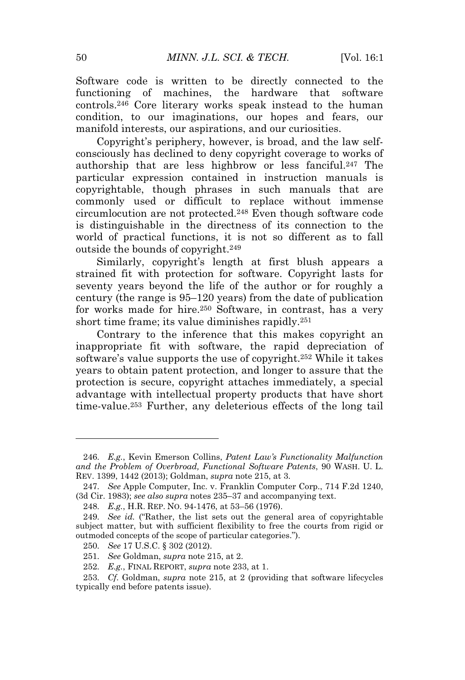Software code is written to be directly connected to the functioning of machines, the hardware that software controls.<sup>246</sup> Core literary works speak instead to the human condition, to our imaginations, our hopes and fears, our manifold interests, our aspirations, and our curiosities.

Copyright's periphery, however, is broad, and the law selfconsciously has declined to deny copyright coverage to works of authorship that are less highbrow or less fanciful.<sup>247</sup> The particular expression contained in instruction manuals is copyrightable, though phrases in such manuals that are commonly used or difficult to replace without immense circumlocution are not protected.<sup>248</sup> Even though software code is distinguishable in the directness of its connection to the world of practical functions, it is not so different as to fall outside the bounds of copyright.<sup>249</sup>

Similarly, copyright's length at first blush appears a strained fit with protection for software. Copyright lasts for seventy years beyond the life of the author or for roughly a century (the range is 95–120 years) from the date of publication for works made for hire.<sup>250</sup> Software, in contrast, has a very short time frame; its value diminishes rapidly.<sup>251</sup>

Contrary to the inference that this makes copyright an inappropriate fit with software, the rapid depreciation of software's value supports the use of copyright.<sup>252</sup> While it takes years to obtain patent protection, and longer to assure that the protection is secure, copyright attaches immediately, a special advantage with intellectual property products that have short time-value.<sup>253</sup> Further, any deleterious effects of the long tail

250*. See* 17 U.S.C. § 302 (2012).

252*. E.g.*, FINAL REPORT, *supra* note 233, at 1.

<sup>246</sup>*. E.g.*, Kevin Emerson Collins, *Patent Law's Functionality Malfunction and the Problem of Overbroad, Functional Software Patents*, 90 WASH. U. L. REV. 1399, 1442 (2013); Goldman, *supra* note 215, at 3.

<sup>247</sup>*. See* Apple Computer, Inc. v. Franklin Computer Corp., 714 F.2d 1240, (3d Cir. 1983); *see also supra* notes 235–37 and accompanying text.

<sup>248</sup>*. E.g.*, H.R. REP. NO. 94-1476, at 53–56 (1976).

<sup>249</sup>*. See id.* ("Rather, the list sets out the general area of copyrightable subject matter, but with sufficient flexibility to free the courts from rigid or outmoded concepts of the scope of particular categories.").

<sup>251</sup>*. See* Goldman, *supra* note 215, at 2.

<sup>253</sup>*. Cf*. Goldman, *supra* note 215, at 2 (providing that software lifecycles typically end before patents issue).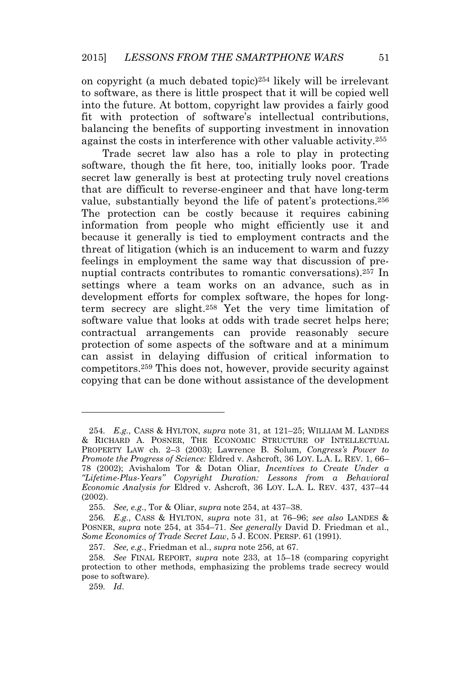on copyright (a much debated topic)<sup>254</sup> likely will be irrelevant to software, as there is little prospect that it will be copied well into the future. At bottom, copyright law provides a fairly good fit with protection of software's intellectual contributions, balancing the benefits of supporting investment in innovation against the costs in interference with other valuable activity.<sup>255</sup>

Trade secret law also has a role to play in protecting software, though the fit here, too, initially looks poor. Trade secret law generally is best at protecting truly novel creations that are difficult to reverse-engineer and that have long-term value, substantially beyond the life of patent's protections.<sup>256</sup> The protection can be costly because it requires cabining information from people who might efficiently use it and because it generally is tied to employment contracts and the threat of litigation (which is an inducement to warm and fuzzy feelings in employment the same way that discussion of prenuptial contracts contributes to romantic conversations).<sup>257</sup> In settings where a team works on an advance, such as in development efforts for complex software, the hopes for longterm secrecy are slight.<sup>258</sup> Yet the very time limitation of software value that looks at odds with trade secret helps here; contractual arrangements can provide reasonably secure protection of some aspects of the software and at a minimum can assist in delaying diffusion of critical information to competitors.<sup>259</sup> This does not, however, provide security against copying that can be done without assistance of the development

<sup>254</sup>*. E.g.*, CASS & HYLTON, *supra* note 31, at 121–25; WILLIAM M. LANDES & RICHARD A. POSNER, THE ECONOMIC STRUCTURE OF INTELLECTUAL PROPERTY LAW ch. 2–3 (2003); Lawrence B. Solum, *Congress's Power to Promote the Progress of Science:* Eldred v. Ashcroft, 36 LOY. L.A. L. REV. 1, 66– 78 (2002); Avishalom Tor & Dotan Oliar, *Incentives to Create Under a "Lifetime-Plus-Years" Copyright Duration: Lessons from a Behavioral Economic Analysis for* Eldred v. Ashcroft, 36 LOY. L.A. L. REV. 437, 437–44 (2002).

<sup>255</sup>*. See, e.g*., Tor & Oliar, *supra* note 254, at 437–38.

<sup>256</sup>*. E.g.*, CASS & HYLTON, *supra* note 31, at 76–96; *see also* LANDES & POSNER, *supra* note 254, at 354–71. *See generally* David D. Friedman et al., *Some Economics of Trade Secret Law*, 5 J. ECON. PERSP. 61 (1991).

<sup>257</sup>*. See, e.g*., Friedman et al., *supra* note 256, at 67.

<sup>258</sup>*. See* FINAL REPORT, *supra* note 233, at 15–18 (comparing copyright protection to other methods, emphasizing the problems trade secrecy would pose to software).

<sup>259</sup>*. Id*.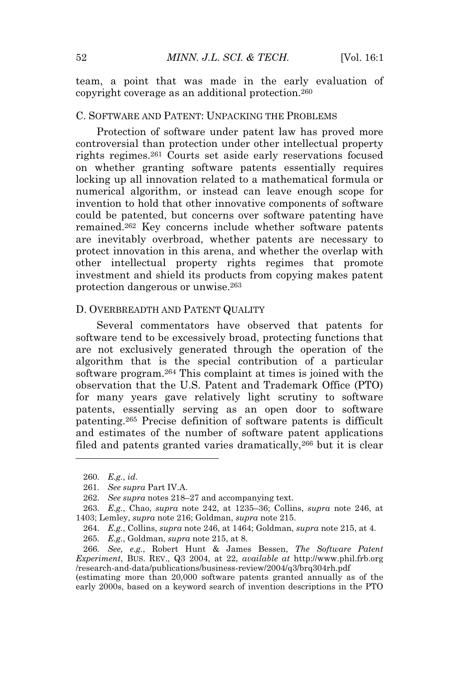team, a point that was made in the early evaluation of copyright coverage as an additional protection.<sup>260</sup>

#### C. SOFTWARE AND PATENT: UNPACKING THE PROBLEMS

Protection of software under patent law has proved more controversial than protection under other intellectual property rights regimes.<sup>261</sup> Courts set aside early reservations focused on whether granting software patents essentially requires locking up all innovation related to a mathematical formula or numerical algorithm, or instead can leave enough scope for invention to hold that other innovative components of software could be patented, but concerns over software patenting have remained.<sup>262</sup> Key concerns include whether software patents are inevitably overbroad, whether patents are necessary to protect innovation in this arena, and whether the overlap with other intellectual property rights regimes that promote investment and shield its products from copying makes patent protection dangerous or unwise.<sup>263</sup>

#### D. OVERBREADTH AND PATENT QUALITY

Several commentators have observed that patents for software tend to be excessively broad, protecting functions that are not exclusively generated through the operation of the algorithm that is the special contribution of a particular software program.<sup>264</sup> This complaint at times is joined with the observation that the U.S. Patent and Trademark Office (PTO) for many years gave relatively light scrutiny to software patents, essentially serving as an open door to software patenting.<sup>265</sup> Precise definition of software patents is difficult and estimates of the number of software patent applications filed and patents granted varies dramatically,<sup>266</sup> but it is clear

<sup>260</sup>*. E.g.*, *id*.

<sup>261</sup>*. See supra* Part IV.A.

<sup>262</sup>*. See supra* notes 218–27 and accompanying text.

<sup>263</sup>*. E.g.*, Chao, *supra* note 242, at 1235–36; Collins, *supra* note 246, at 1403; Lemley, *supra* note 216; Goldman, *supra* note 215.

<sup>264</sup>*. E.g.*, Collins, *supra* note 246, at 1464; Goldman, *supra* note 215, at 4.

<sup>265</sup>*. E.g.*, Goldman, *supra* note 215, at 8.

<sup>266</sup>*. See, e.g.*, Robert Hunt & James Bessen, *The Software Patent Experiment*, BUS. REV., Q3 2004, at 22, *available at* http://www.phil.frb.org /research-and-data/publications/business-review/2004/q3/brq304rh.pdf

<sup>(</sup>estimating more than 20,000 software patents granted annually as of the early 2000s, based on a keyword search of invention descriptions in the PTO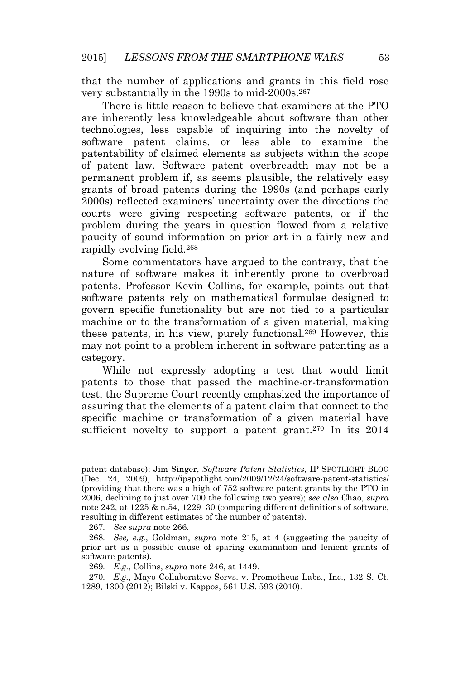that the number of applications and grants in this field rose very substantially in the 1990s to mid-2000s.<sup>267</sup>

There is little reason to believe that examiners at the PTO are inherently less knowledgeable about software than other technologies, less capable of inquiring into the novelty of software patent claims, or less able to examine the patentability of claimed elements as subjects within the scope of patent law. Software patent overbreadth may not be a permanent problem if, as seems plausible, the relatively easy grants of broad patents during the 1990s (and perhaps early 2000s) reflected examiners' uncertainty over the directions the courts were giving respecting software patents, or if the problem during the years in question flowed from a relative paucity of sound information on prior art in a fairly new and rapidly evolving field.<sup>268</sup>

Some commentators have argued to the contrary, that the nature of software makes it inherently prone to overbroad patents. Professor Kevin Collins, for example, points out that software patents rely on mathematical formulae designed to govern specific functionality but are not tied to a particular machine or to the transformation of a given material, making these patents, in his view, purely functional.<sup>269</sup> However, this may not point to a problem inherent in software patenting as a category.

While not expressly adopting a test that would limit patents to those that passed the machine-or-transformation test, the Supreme Court recently emphasized the importance of assuring that the elements of a patent claim that connect to the specific machine or transformation of a given material have sufficient novelty to support a patent grant.<sup>270</sup> In its 2014

patent database); Jim Singer, *Software Patent Statistics*, IP SPOTLIGHT BLOG (Dec. 24, 2009), http://ipspotlight.com/2009/12/24/software-patent-statistics/ (providing that there was a high of 752 software patent grants by the PTO in 2006, declining to just over 700 the following two years); *see also* Chao, *supra* note 242, at 1225 & n.54, 1229–30 (comparing different definitions of software, resulting in different estimates of the number of patents).

<sup>267</sup>*. See supra* note 266.

<sup>268</sup>*. See, e.g.*, Goldman, *supra* note 215, at 4 (suggesting the paucity of prior art as a possible cause of sparing examination and lenient grants of software patents).

<sup>269</sup>*. E.g.*, Collins, *supra* note 246, at 1449.

<sup>270</sup>*. E.g.*, Mayo Collaborative Servs. v. Prometheus Labs., Inc., 132 S. Ct. 1289, 1300 (2012); Bilski v. Kappos, 561 U.S. 593 (2010).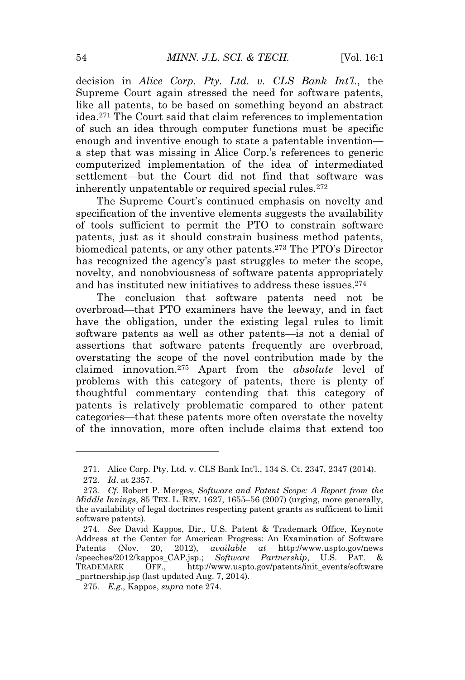decision in *Alice Corp. Pty. Ltd. v. CLS Bank Int'l.*, the Supreme Court again stressed the need for software patents, like all patents, to be based on something beyond an abstract idea.<sup>271</sup> The Court said that claim references to implementation of such an idea through computer functions must be specific enough and inventive enough to state a patentable invention a step that was missing in Alice Corp.'s references to generic computerized implementation of the idea of intermediated settlement—but the Court did not find that software was inherently unpatentable or required special rules.<sup>272</sup>

The Supreme Court's continued emphasis on novelty and specification of the inventive elements suggests the availability of tools sufficient to permit the PTO to constrain software patents, just as it should constrain business method patents, biomedical patents, or any other patents.<sup>273</sup> The PTO's Director has recognized the agency's past struggles to meter the scope, novelty, and nonobviousness of software patents appropriately and has instituted new initiatives to address these issues.<sup>274</sup>

The conclusion that software patents need not be overbroad—that PTO examiners have the leeway, and in fact have the obligation, under the existing legal rules to limit software patents as well as other patents—is not a denial of assertions that software patents frequently are overbroad, overstating the scope of the novel contribution made by the claimed innovation.<sup>275</sup> Apart from the *absolute* level of problems with this category of patents, there is plenty of thoughtful commentary contending that this category of patents is relatively problematic compared to other patent categories—that these patents more often overstate the novelty of the innovation, more often include claims that extend too

<sup>271.</sup> Alice Corp. Pty. Ltd. v. CLS Bank Int'l., 134 S. Ct. 2347, 2347 (2014).

<sup>272</sup>*. Id*. at 2357.

<sup>273</sup>*. Cf.* Robert P. Merges, *Software and Patent Scope: A Report from the Middle Innings*, 85 TEX. L. REV. 1627, 1655–56 (2007) (urging, more generally, the availability of legal doctrines respecting patent grants as sufficient to limit software patents).

<sup>274</sup>*. See* David Kappos, Dir., U.S. Patent & Trademark Office, Keynote Address at the Center for American Progress: An Examination of Software Patents (Nov. 20, 2012), *available at* http://www.uspto.gov/news /speeches/2012/kappos\_CAP.jsp.; *Software Partnership*, U.S. PAT. & TRADEMARK OFF., http://www.uspto.gov/patents/init\_events/software \_partnership.jsp (last updated Aug. 7, 2014).

<sup>275</sup>*. E.g.*, Kappos, *supra* note 274.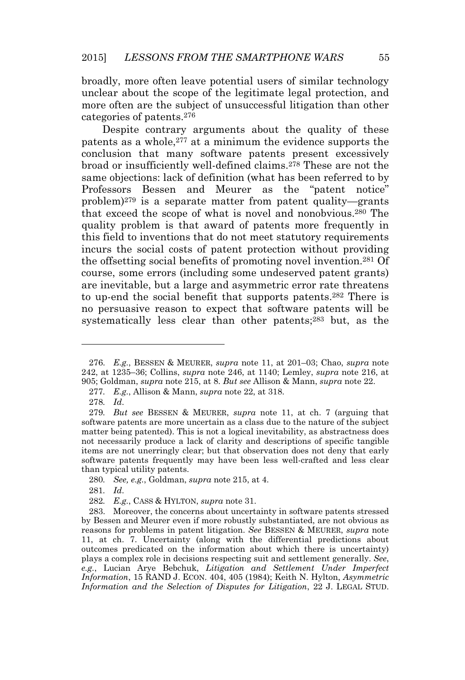broadly, more often leave potential users of similar technology unclear about the scope of the legitimate legal protection, and more often are the subject of unsuccessful litigation than other categories of patents.<sup>276</sup>

Despite contrary arguments about the quality of these patents as a whole,<sup>277</sup> at a minimum the evidence supports the conclusion that many software patents present excessively broad or insufficiently well-defined claims.<sup>278</sup> These are not the same objections: lack of definition (what has been referred to by Professors Bessen and Meurer as the "patent notice" problem)<sup>279</sup> is a separate matter from patent quality—grants that exceed the scope of what is novel and nonobvious.<sup>280</sup> The quality problem is that award of patents more frequently in this field to inventions that do not meet statutory requirements incurs the social costs of patent protection without providing the offsetting social benefits of promoting novel invention.<sup>281</sup> Of course, some errors (including some undeserved patent grants) are inevitable, but a large and asymmetric error rate threatens to up-end the social benefit that supports patents.<sup>282</sup> There is no persuasive reason to expect that software patents will be systematically less clear than other patents;<sup>283</sup> but, as the

<sup>276</sup>*. E.g.*, BESSEN & MEURER, *supra* note 11, at 201–03; Chao, *supra* note 242, at 1235–36; Collins, *supra* note 246, at 1140; Lemley, *supra* note 216, at 905; Goldman, *supra* note 215, at 8. *But see* Allison & Mann, *supra* note 22.

<sup>277</sup>*. E.g.*, Allison & Mann, *supra* note 22, at 318.

<sup>278</sup>*. Id*.

<sup>279</sup>*. But see* BESSEN & MEURER, *supra* note 11, at ch. 7 (arguing that software patents are more uncertain as a class due to the nature of the subject matter being patented). This is not a logical inevitability, as abstractness does not necessarily produce a lack of clarity and descriptions of specific tangible items are not unerringly clear; but that observation does not deny that early software patents frequently may have been less well-crafted and less clear than typical utility patents.

<sup>280</sup>*. See, e.g.*, Goldman, *supra* note 215, at 4.

<sup>281</sup>*. Id*.

<sup>282</sup>*. E.g.*, CASS & HYLTON, *supra* note 31.

<sup>283.</sup> Moreover, the concerns about uncertainty in software patents stressed by Bessen and Meurer even if more robustly substantiated, are not obvious as reasons for problems in patent litigation. *See* BESSEN & MEURER, *supra* note 11, at ch. 7. Uncertainty (along with the differential predictions about outcomes predicated on the information about which there is uncertainty) plays a complex role in decisions respecting suit and settlement generally. *See*, *e.g.*, Lucian Arye Bebchuk, *Litigation and Settlement Under Imperfect Information*, 15 RAND J. ECON. 404, 405 (1984); Keith N. Hylton, *Asymmetric Information and the Selection of Disputes for Litigation*, 22 J. LEGAL STUD.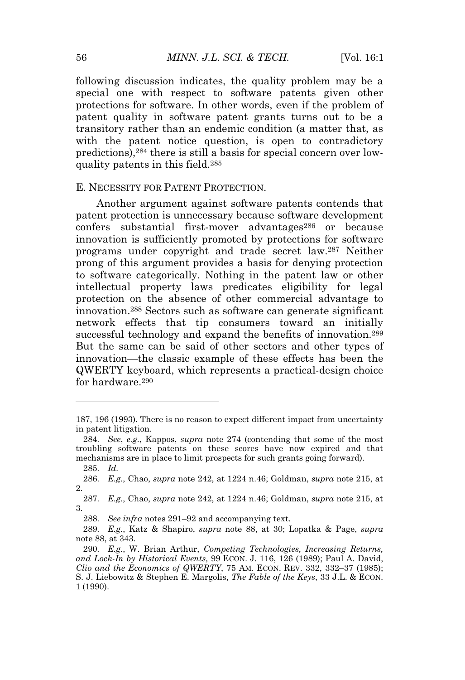following discussion indicates, the quality problem may be a special one with respect to software patents given other protections for software. In other words, even if the problem of patent quality in software patent grants turns out to be a transitory rather than an endemic condition (a matter that, as with the patent notice question, is open to contradictory predictions),<sup>284</sup> there is still a basis for special concern over lowquality patents in this field.<sup>285</sup>

#### E. NECESSITY FOR PATENT PROTECTION.

Another argument against software patents contends that patent protection is unnecessary because software development confers substantial first-mover advantages<sup>286</sup> or because innovation is sufficiently promoted by protections for software programs under copyright and trade secret law.<sup>287</sup> Neither prong of this argument provides a basis for denying protection to software categorically. Nothing in the patent law or other intellectual property laws predicates eligibility for legal protection on the absence of other commercial advantage to innovation.<sup>288</sup> Sectors such as software can generate significant network effects that tip consumers toward an initially successful technology and expand the benefits of innovation.<sup>289</sup> But the same can be said of other sectors and other types of innovation—the classic example of these effects has been the QWERTY keyboard, which represents a practical-design choice for hardware 290

<sup>187, 196 (1993).</sup> There is no reason to expect different impact from uncertainty in patent litigation.

<sup>284</sup>*. See*, *e.g.*, Kappos, *supra* note 274 (contending that some of the most troubling software patents on these scores have now expired and that mechanisms are in place to limit prospects for such grants going forward).

<sup>285</sup>*. Id.*

<sup>286</sup>*. E.g.*, Chao, *supra* note 242, at 1224 n.46; Goldman, *supra* note 215, at 2.

<sup>287</sup>*. E.g.*, Chao, *supra* note 242, at 1224 n.46; Goldman, *supra* note 215, at 3.

<sup>288</sup>*. See infra* notes 291–92 and accompanying text.

<sup>289</sup>*. E.g.*, Katz & Shapiro, *supra* note 88, at 30; Lopatka & Page, *supra* note 88, at 343.

<sup>290</sup>*. E.g.*, W. Brian Arthur, *Competing Technologies, Increasing Returns, and Lock-In by Historical Events,* 99 ECON. J. 116, 126 (1989); Paul A. David, *Clio and the Economics of QWERTY*, 75 AM. ECON. REV. 332, 332–37 (1985); S. J. Liebowitz & Stephen E. Margolis, *The Fable of the Keys*, 33 J.L. & ECON. 1 (1990).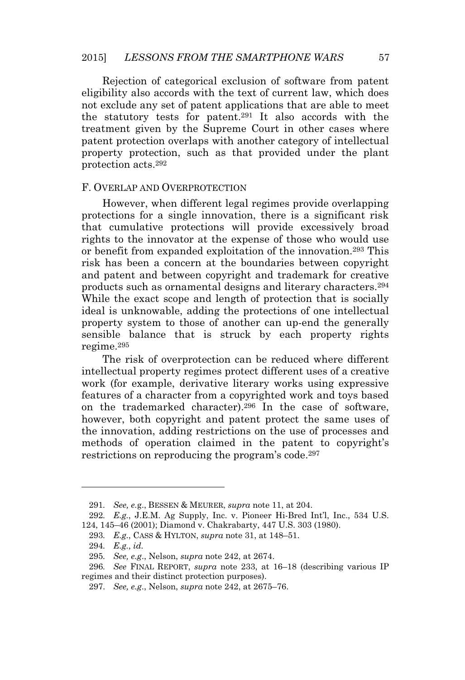Rejection of categorical exclusion of software from patent eligibility also accords with the text of current law, which does not exclude any set of patent applications that are able to meet the statutory tests for patent.<sup>291</sup> It also accords with the treatment given by the Supreme Court in other cases where patent protection overlaps with another category of intellectual property protection, such as that provided under the plant protection acts.<sup>292</sup>

#### F. OVERLAP AND OVERPROTECTION

However, when different legal regimes provide overlapping protections for a single innovation, there is a significant risk that cumulative protections will provide excessively broad rights to the innovator at the expense of those who would use or benefit from expanded exploitation of the innovation.<sup>293</sup> This risk has been a concern at the boundaries between copyright and patent and between copyright and trademark for creative products such as ornamental designs and literary characters.<sup>294</sup> While the exact scope and length of protection that is socially ideal is unknowable, adding the protections of one intellectual property system to those of another can up-end the generally sensible balance that is struck by each property rights regime.<sup>295</sup>

The risk of overprotection can be reduced where different intellectual property regimes protect different uses of a creative work (for example, derivative literary works using expressive features of a character from a copyrighted work and toys based on the trademarked character).<sup>296</sup> In the case of software, however, both copyright and patent protect the same uses of the innovation, adding restrictions on the use of processes and methods of operation claimed in the patent to copyright's restrictions on reproducing the program's code.<sup>297</sup>

<sup>291</sup>*. See, e.*g., BESSEN & MEURER, *supra* note 11, at 204.

<sup>292</sup>*. E.g.*, J.E.M. Ag Supply, Inc. v. Pioneer Hi-Bred Int'l, Inc., 534 U.S. 124, 145–46 (2001); Diamond v. Chakrabarty, 447 U.S. 303 (1980).

<sup>293</sup>*. E.g.*, CASS & HYLTON, *supra* note 31, at 148–51.

<sup>294</sup>*. E.g.*, *id.*

<sup>295</sup>*. See, e.g*., Nelson, *supra* note 242, at 2674.

<sup>296</sup>*. See* FINAL REPORT, *supra* note 233, at 16–18 (describing various IP regimes and their distinct protection purposes).

<sup>297</sup>*. See, e.g*., Nelson, *supra* note 242, at 2675–76.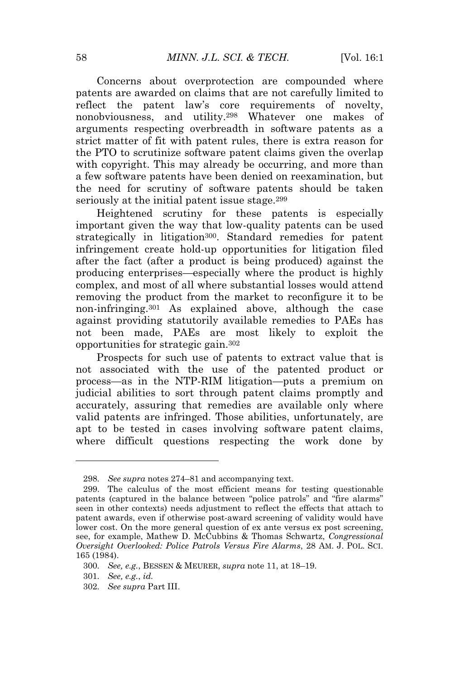Concerns about overprotection are compounded where patents are awarded on claims that are not carefully limited to reflect the patent law's core requirements of novelty, nonobviousness, and utility.<sup>298</sup> Whatever one makes of arguments respecting overbreadth in software patents as a strict matter of fit with patent rules, there is extra reason for the PTO to scrutinize software patent claims given the overlap with copyright. This may already be occurring, and more than a few software patents have been denied on reexamination, but the need for scrutiny of software patents should be taken seriously at the initial patent issue stage.<sup>299</sup>

Heightened scrutiny for these patents is especially important given the way that low-quality patents can be used strategically in litigation<sup>300</sup>. Standard remedies for patent infringement create hold-up opportunities for litigation filed after the fact (after a product is being produced) against the producing enterprises—especially where the product is highly complex, and most of all where substantial losses would attend removing the product from the market to reconfigure it to be non-infringing.<sup>301</sup> As explained above, although the case against providing statutorily available remedies to PAEs has not been made, PAEs are most likely to exploit the opportunities for strategic gain.<sup>302</sup>

Prospects for such use of patents to extract value that is not associated with the use of the patented product or process—as in the NTP-RIM litigation—puts a premium on judicial abilities to sort through patent claims promptly and accurately, assuring that remedies are available only where valid patents are infringed. Those abilities, unfortunately, are apt to be tested in cases involving software patent claims, where difficult questions respecting the work done by

<sup>298</sup>*. See supra* notes 274–81 and accompanying text.

<sup>299.</sup> The calculus of the most efficient means for testing questionable patents (captured in the balance between "police patrols" and "fire alarms" seen in other contexts) needs adjustment to reflect the effects that attach to patent awards, even if otherwise post-award screening of validity would have lower cost. On the more general question of ex ante versus ex post screening, see, for example, Mathew D. McCubbins & Thomas Schwartz, *Congressional Oversight Overlooked: Police Patrols Versus Fire Alarms*, 28 AM. J. POL. SCI. 165 (1984).

<sup>300</sup>*. See, e.g.*, BESSEN & MEURER, *supra* note 11, at 18–19.

<sup>301</sup>*. See, e.g.*, *id.*

<sup>302</sup>*. See supra* Part III.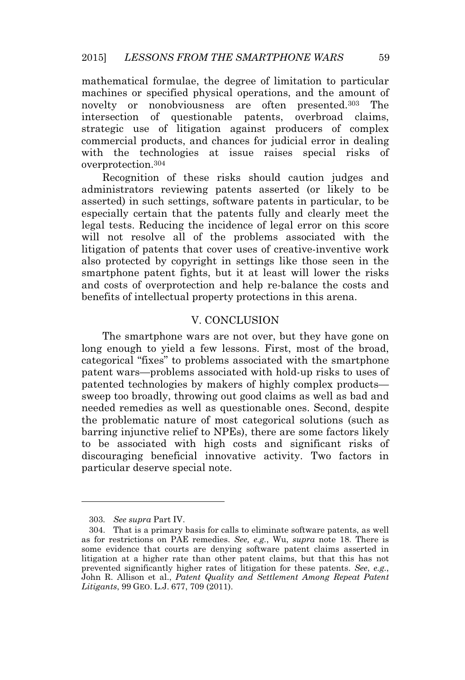mathematical formulae, the degree of limitation to particular machines or specified physical operations, and the amount of novelty or nonobviousness are often presented.<sup>303</sup> The intersection of questionable patents, overbroad claims, strategic use of litigation against producers of complex commercial products, and chances for judicial error in dealing with the technologies at issue raises special risks of overprotection.<sup>304</sup>

Recognition of these risks should caution judges and administrators reviewing patents asserted (or likely to be asserted) in such settings, software patents in particular, to be especially certain that the patents fully and clearly meet the legal tests. Reducing the incidence of legal error on this score will not resolve all of the problems associated with the litigation of patents that cover uses of creative-inventive work also protected by copyright in settings like those seen in the smartphone patent fights, but it at least will lower the risks and costs of overprotection and help re-balance the costs and benefits of intellectual property protections in this arena.

#### V. CONCLUSION

The smartphone wars are not over, but they have gone on long enough to yield a few lessons. First, most of the broad, categorical "fixes" to problems associated with the smartphone patent wars—problems associated with hold-up risks to uses of patented technologies by makers of highly complex products sweep too broadly, throwing out good claims as well as bad and needed remedies as well as questionable ones. Second, despite the problematic nature of most categorical solutions (such as barring injunctive relief to NPEs), there are some factors likely to be associated with high costs and significant risks of discouraging beneficial innovative activity. Two factors in particular deserve special note.

<sup>303</sup>*. See supra* Part IV.

<sup>304.</sup> That is a primary basis for calls to eliminate software patents, as well as for restrictions on PAE remedies. *See, e.g.*, Wu, *supra* note 18. There is some evidence that courts are denying software patent claims asserted in litigation at a higher rate than other patent claims, but that this has not prevented significantly higher rates of litigation for these patents. *See*, *e.g.*, John R. Allison et al., *Patent Quality and Settlement Among Repeat Patent Litigants*, 99 GEO. L.J. 677, 709 (2011).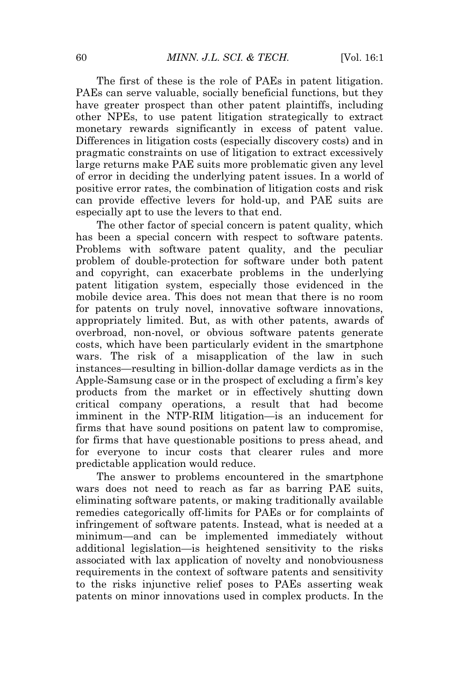The first of these is the role of PAEs in patent litigation. PAEs can serve valuable, socially beneficial functions, but they have greater prospect than other patent plaintiffs, including other NPEs, to use patent litigation strategically to extract monetary rewards significantly in excess of patent value. Differences in litigation costs (especially discovery costs) and in pragmatic constraints on use of litigation to extract excessively large returns make PAE suits more problematic given any level of error in deciding the underlying patent issues. In a world of positive error rates, the combination of litigation costs and risk can provide effective levers for hold-up, and PAE suits are especially apt to use the levers to that end.

The other factor of special concern is patent quality, which has been a special concern with respect to software patents. Problems with software patent quality, and the peculiar problem of double-protection for software under both patent and copyright, can exacerbate problems in the underlying patent litigation system, especially those evidenced in the mobile device area. This does not mean that there is no room for patents on truly novel, innovative software innovations, appropriately limited. But, as with other patents, awards of overbroad, non-novel, or obvious software patents generate costs, which have been particularly evident in the smartphone wars. The risk of a misapplication of the law in such instances—resulting in billion-dollar damage verdicts as in the Apple-Samsung case or in the prospect of excluding a firm's key products from the market or in effectively shutting down critical company operations, a result that had become imminent in the NTP-RIM litigation—is an inducement for firms that have sound positions on patent law to compromise, for firms that have questionable positions to press ahead, and for everyone to incur costs that clearer rules and more predictable application would reduce.

The answer to problems encountered in the smartphone wars does not need to reach as far as barring PAE suits, eliminating software patents, or making traditionally available remedies categorically off-limits for PAEs or for complaints of infringement of software patents. Instead, what is needed at a minimum—and can be implemented immediately without additional legislation—is heightened sensitivity to the risks associated with lax application of novelty and nonobviousness requirements in the context of software patents and sensitivity to the risks injunctive relief poses to PAEs asserting weak patents on minor innovations used in complex products. In the